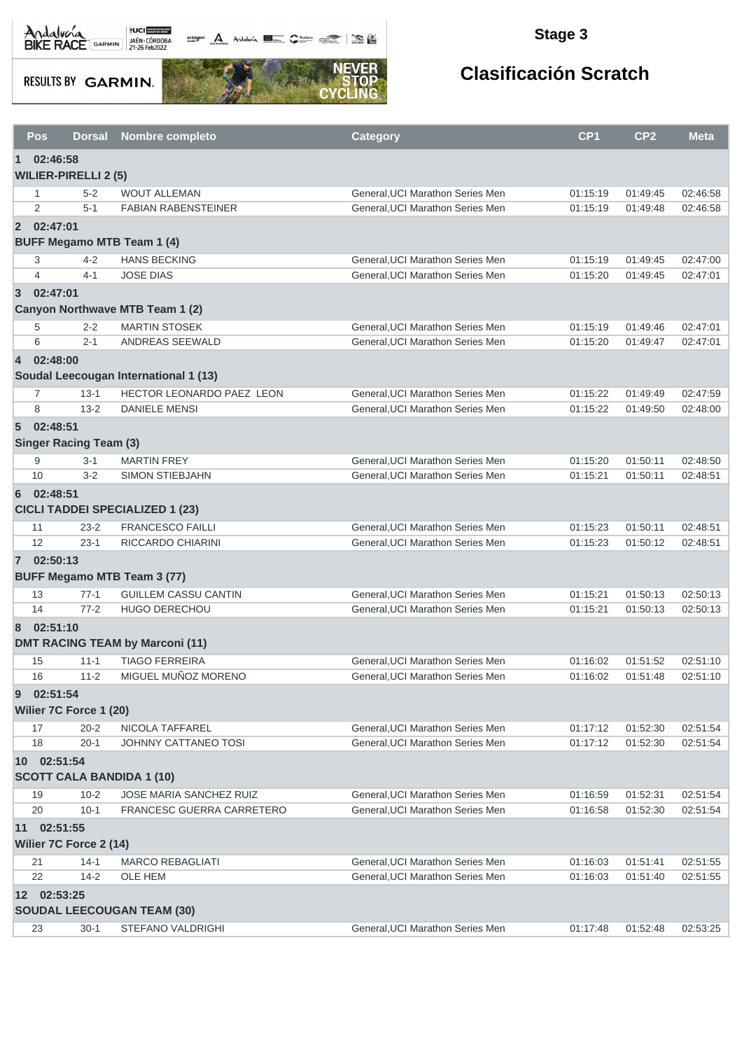

**octogon A** Andalwin **ELLER** CANNAIS TO BE

### **Stage 3**

**RESULTS BY GARMIN.** 



|                | Pos<br><b>Dorsal</b>                            | <b>Nombre completo</b>                 | <b>Category</b>                  | CP <sub>1</sub> | CP <sub>2</sub> | <b>Meta</b> |  |  |  |
|----------------|-------------------------------------------------|----------------------------------------|----------------------------------|-----------------|-----------------|-------------|--|--|--|
| 1              | 02:46:58                                        |                                        |                                  |                 |                 |             |  |  |  |
|                | <b>WILIER-PIRELLI 2 (5)</b>                     |                                        |                                  |                 |                 |             |  |  |  |
|                | $5-2$<br>1                                      | <b>WOUT ALLEMAN</b>                    | General, UCI Marathon Series Men | 01:15:19        | 01:49:45        | 02:46:58    |  |  |  |
|                | 2<br>$5 - 1$                                    | <b>FABIAN RABENSTEINER</b>             | General, UCI Marathon Series Men | 01:15:19        | 01:49:48        | 02:46:58    |  |  |  |
|                | 2 02:47:01<br><b>BUFF Megamo MTB Team 1 (4)</b> |                                        |                                  |                 |                 |             |  |  |  |
|                | 3<br>$4 - 2$                                    | <b>HANS BECKING</b>                    | General, UCI Marathon Series Men | 01:15:19        | 01:49:45        | 02:47:00    |  |  |  |
|                | $\overline{4}$<br>$4 - 1$                       | <b>JOSE DIAS</b>                       | General, UCI Marathon Series Men | 01:15:20        | 01:49:45        | 02:47:01    |  |  |  |
| $\overline{3}$ | 02:47:01                                        |                                        |                                  |                 |                 |             |  |  |  |
|                |                                                 | Canyon Northwave MTB Team 1 (2)        |                                  |                 |                 |             |  |  |  |
|                | $2 - 2$<br>5                                    | <b>MARTIN STOSEK</b>                   | General, UCI Marathon Series Men | 01:15:19        | 01:49:46        | 02:47:01    |  |  |  |
|                | 6<br>$2 - 1$                                    | ANDREAS SEEWALD                        | General, UCI Marathon Series Men | 01:15:20        | 01:49:47        | 02:47:01    |  |  |  |
|                | 4 02:48:00                                      |                                        |                                  |                 |                 |             |  |  |  |
|                |                                                 | Soudal Leecougan International 1 (13)  |                                  |                 |                 |             |  |  |  |
|                | $\overline{7}$<br>$13 - 1$                      | HECTOR LEONARDO PAEZ LEON              | General, UCI Marathon Series Men | 01:15:22        | 01:49:49        | 02:47:59    |  |  |  |
|                | 8<br>$13 - 2$                                   | <b>DANIELE MENSI</b>                   | General, UCI Marathon Series Men | 01:15:22        | 01:49:50        | 02:48:00    |  |  |  |
| 5 <sup>5</sup> | 02:48:51<br><b>Singer Racing Team (3)</b>       |                                        |                                  |                 |                 |             |  |  |  |
|                | 9<br>$3 - 1$                                    | <b>MARTIN FREY</b>                     | General, UCI Marathon Series Men | 01:15:20        | 01:50:11        | 02:48:50    |  |  |  |
|                | 10<br>$3 - 2$                                   | <b>SIMON STIEBJAHN</b>                 | General, UCI Marathon Series Men | 01:15:21        | 01:50:11        | 02:48:51    |  |  |  |
| 6              | 02:48:51                                        | <b>CICLI TADDEI SPECIALIZED 1 (23)</b> |                                  |                 |                 |             |  |  |  |
|                | $23 - 2$<br>11                                  | <b>FRANCESCO FAILLI</b>                | General, UCI Marathon Series Men | 01:15:23        | 01:50:11        | 02:48:51    |  |  |  |
|                | 12<br>$23-1$                                    | RICCARDO CHIARINI                      | General, UCI Marathon Series Men | 01:15:23        | 01:50:12        | 02:48:51    |  |  |  |
|                | 7 02:50:13                                      |                                        |                                  |                 |                 |             |  |  |  |
|                |                                                 | <b>BUFF Megamo MTB Team 3 (77)</b>     |                                  |                 |                 |             |  |  |  |
|                | 13<br>$77-1$                                    | <b>GUILLEM CASSU CANTIN</b>            | General, UCI Marathon Series Men | 01:15:21        | 01:50:13        | 02:50:13    |  |  |  |
|                | 14<br>$77 - 2$                                  | HUGO DERECHOU                          | General, UCI Marathon Series Men | 01:15:21        | 01:50:13        | 02:50:13    |  |  |  |
| 8              | 02:51:10                                        | <b>DMT RACING TEAM by Marconi (11)</b> |                                  |                 |                 |             |  |  |  |
|                | 15<br>$11 - 1$                                  | <b>TIAGO FERREIRA</b>                  | General, UCI Marathon Series Men | 01:16:02        | 01:51:52        | 02:51:10    |  |  |  |
|                | 16<br>$11 - 2$                                  | MIGUEL MUÑOZ MORENO                    | General, UCI Marathon Series Men | 01:16:02        | 01:51:48        | 02:51:10    |  |  |  |
| 9              | 02:51:54                                        |                                        |                                  |                 |                 |             |  |  |  |
|                | Wilier 7C Force 1 (20)                          |                                        |                                  |                 |                 |             |  |  |  |
|                | 17<br>$20 - 2$                                  | NICOLA TAFFAREL                        | General, UCI Marathon Series Men | 01:17:12        | 01:52:30        | 02:51:54    |  |  |  |
|                | 18<br>$20-1$                                    | JOHNNY CATTANEO TOSI                   | General, UCI Marathon Series Men | 01:17:12        | 01:52:30        | 02:51:54    |  |  |  |
|                | 10 02:51:54                                     | <b>SCOTT CALA BANDIDA 1 (10)</b>       |                                  |                 |                 |             |  |  |  |
|                | $10 - 2$<br>19                                  | JOSE MARIA SANCHEZ RUIZ                | General, UCI Marathon Series Men | 01:16:59        | 01:52:31        | 02:51:54    |  |  |  |
|                | 20<br>$10-1$                                    | FRANCESC GUERRA CARRETERO              | General, UCI Marathon Series Men | 01:16:58        | 01:52:30        | 02:51:54    |  |  |  |
| 11             | 02:51:55<br>Wilier 7C Force 2 (14)              |                                        |                                  |                 |                 |             |  |  |  |
|                | $14-1$<br>21                                    | <b>MARCO REBAGLIATI</b>                | General, UCI Marathon Series Men | 01:16:03        | 01:51:41        | 02:51:55    |  |  |  |
|                | 22<br>$14 - 2$                                  | OLE HEM                                | General, UCI Marathon Series Men | 01:16:03        | 01:51:40        | 02:51:55    |  |  |  |
|                | 12 02:53:25                                     | <b>SOUDAL LEECOUGAN TEAM (30)</b>      |                                  |                 |                 |             |  |  |  |
|                | $30-1$<br>23                                    | STEFANO VALDRIGHI                      | General, UCI Marathon Series Men | 01:17:48        | 01:52:48        | 02:53:25    |  |  |  |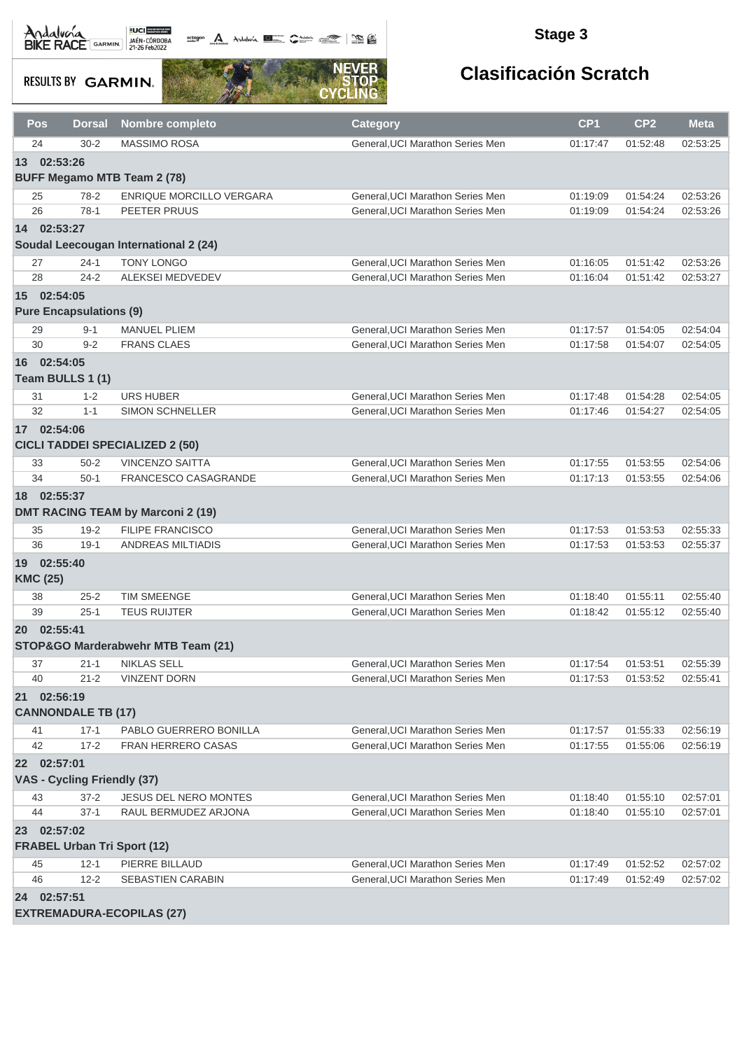**octogon A** Andalwin **ELLER** CANNAIS TO BE

### **Stage 3**

**RESULTS BY GARMIN.** 



| Pos                         | <b>Dorsal</b>                  | <b>Nombre completo</b>                   | <b>Category</b>                  | CP <sub>1</sub> | CP <sub>2</sub> | <b>Meta</b> |  |  |
|-----------------------------|--------------------------------|------------------------------------------|----------------------------------|-----------------|-----------------|-------------|--|--|
| 24                          | $30 - 2$                       | <b>MASSIMO ROSA</b>                      | General, UCI Marathon Series Men | 01:17:47        | 01:52:48        | 02:53:25    |  |  |
| 02:53:26<br>13              |                                |                                          |                                  |                 |                 |             |  |  |
|                             |                                | <b>BUFF Megamo MTB Team 2 (78)</b>       |                                  |                 |                 |             |  |  |
| 25                          | $78-2$                         | ENRIQUE MORCILLO VERGARA                 | General, UCI Marathon Series Men | 01:19:09        | 01:54:24        | 02:53:26    |  |  |
| 26                          | $78-1$                         | PEETER PRUUS                             | General, UCI Marathon Series Men | 01:19:09        | 01:54:24        | 02:53:26    |  |  |
| 14 02:53:27                 |                                |                                          |                                  |                 |                 |             |  |  |
|                             |                                | Soudal Leecougan International 2 (24)    |                                  |                 |                 |             |  |  |
| 27                          | $24 - 1$                       | <b>TONY LONGO</b>                        | General, UCI Marathon Series Men | 01:16:05        | 01:51:42        | 02:53:26    |  |  |
| 28                          | $24 - 2$                       | ALEKSEI MEDVEDEV                         | General, UCI Marathon Series Men | 01:16:04        | 01:51:42        | 02:53:27    |  |  |
| 02:54:05<br>15 <sup>1</sup> |                                |                                          |                                  |                 |                 |             |  |  |
|                             | <b>Pure Encapsulations (9)</b> |                                          |                                  |                 |                 |             |  |  |
| 29                          | $9 - 1$                        | <b>MANUEL PLIEM</b>                      | General, UCI Marathon Series Men | 01:17:57        | 01:54:05        | 02:54:04    |  |  |
| 30                          | $9 - 2$                        | <b>FRANS CLAES</b>                       | General, UCI Marathon Series Men | 01:17:58        | 01:54:07        | 02:54:05    |  |  |
| 16 02:54:05                 |                                |                                          |                                  |                 |                 |             |  |  |
|                             | Team BULLS 1 (1)               |                                          |                                  |                 |                 |             |  |  |
| 31                          | $1 - 2$                        | <b>URS HUBER</b>                         | General, UCI Marathon Series Men | 01:17:48        | 01:54:28        | 02:54:05    |  |  |
| 32                          | $1 - 1$                        | <b>SIMON SCHNELLER</b>                   | General, UCI Marathon Series Men | 01:17:46        | 01:54:27        | 02:54:05    |  |  |
| 02:54:06<br>17              |                                |                                          |                                  |                 |                 |             |  |  |
|                             |                                | <b>CICLI TADDEI SPECIALIZED 2 (50)</b>   |                                  |                 |                 |             |  |  |
| 33                          | $50 - 2$                       | <b>VINCENZO SAITTA</b>                   | General, UCI Marathon Series Men | 01:17:55        | 01:53:55        | 02:54:06    |  |  |
| 34                          | $50-1$                         | <b>FRANCESCO CASAGRANDE</b>              | General, UCI Marathon Series Men | 01:17:13        | 01:53:55        | 02:54:06    |  |  |
| 18 02:55:37                 |                                |                                          |                                  |                 |                 |             |  |  |
|                             |                                | <b>DMT RACING TEAM by Marconi 2 (19)</b> |                                  |                 |                 |             |  |  |
| 35                          | $19 - 2$                       | <b>FILIPE FRANCISCO</b>                  | General, UCI Marathon Series Men | 01:17:53        | 01:53:53        | 02:55:33    |  |  |
| 36                          | $19-1$                         | <b>ANDREAS MILTIADIS</b>                 | General, UCI Marathon Series Men | 01:17:53        | 01:53:53        | 02:55:37    |  |  |
| 02:55:40<br>19              |                                |                                          |                                  |                 |                 |             |  |  |
| <b>KMC (25)</b>             |                                |                                          |                                  |                 |                 |             |  |  |
| 38                          | $25 - 2$                       | <b>TIM SMEENGE</b>                       | General.UCI Marathon Series Men  | 01:18:40        | 01:55:11        | 02:55:40    |  |  |
| 39                          | $25 - 1$                       | <b>TEUS RUIJTER</b>                      | General, UCI Marathon Series Men | 01:18:42        | 01:55:12        | 02:55:40    |  |  |
| 20 02:55:41                 |                                |                                          |                                  |                 |                 |             |  |  |
|                             |                                | STOP&GO Marderabwehr MTB Team (21)       |                                  |                 |                 |             |  |  |
| 37                          | $21 - 1$                       | <b>NIKLAS SELL</b>                       | General, UCI Marathon Series Men | 01:17:54        | 01:53:51        | 02:55:39    |  |  |
| 40                          | $21 - 2$                       | <b>VINZENT DORN</b>                      | General, UCI Marathon Series Men | 01:17:53        | 01:53:52        | 02:55:41    |  |  |
| 02:56:19<br>21              |                                |                                          |                                  |                 |                 |             |  |  |
|                             | <b>CANNONDALE TB (17)</b>      |                                          |                                  |                 |                 |             |  |  |
| 41                          | $17 - 1$                       | PABLO GUERRERO BONILLA                   | General, UCI Marathon Series Men | 01:17:57        | 01:55:33        | 02:56:19    |  |  |
| 42                          | $17 - 2$                       | <b>FRAN HERRERO CASAS</b>                | General, UCI Marathon Series Men | 01:17:55        | 01:55:06        | 02:56:19    |  |  |
| 22 02:57:01                 |                                |                                          |                                  |                 |                 |             |  |  |
|                             | VAS - Cycling Friendly (37)    |                                          |                                  |                 |                 |             |  |  |
| 43                          | $37 - 2$                       | JESUS DEL NERO MONTES                    | General. UCI Marathon Series Men | 01:18:40        | 01:55:10        | 02:57:01    |  |  |
| 44                          | $37-1$                         | RAUL BERMUDEZ ARJONA                     | General, UCI Marathon Series Men | 01:18:40        | 01:55:10        | 02:57:01    |  |  |
| 02:57:02<br>23              |                                |                                          |                                  |                 |                 |             |  |  |
|                             |                                | <b>FRABEL Urban Tri Sport (12)</b>       |                                  |                 |                 |             |  |  |
| 45                          | $12 - 1$                       | PIERRE BILLAUD                           | General, UCI Marathon Series Men | 01:17:49        | 01:52:52        | 02:57:02    |  |  |
| 46                          | $12 - 2$                       | SEBASTIEN CARABIN                        | General, UCI Marathon Series Men | 01:17:49        | 01:52:49        | 02:57:02    |  |  |
|                             | 24 02:57:51                    |                                          |                                  |                 |                 |             |  |  |
|                             |                                | <b>EXTREMADURA-ECOPILAS (27)</b>         |                                  |                 |                 |             |  |  |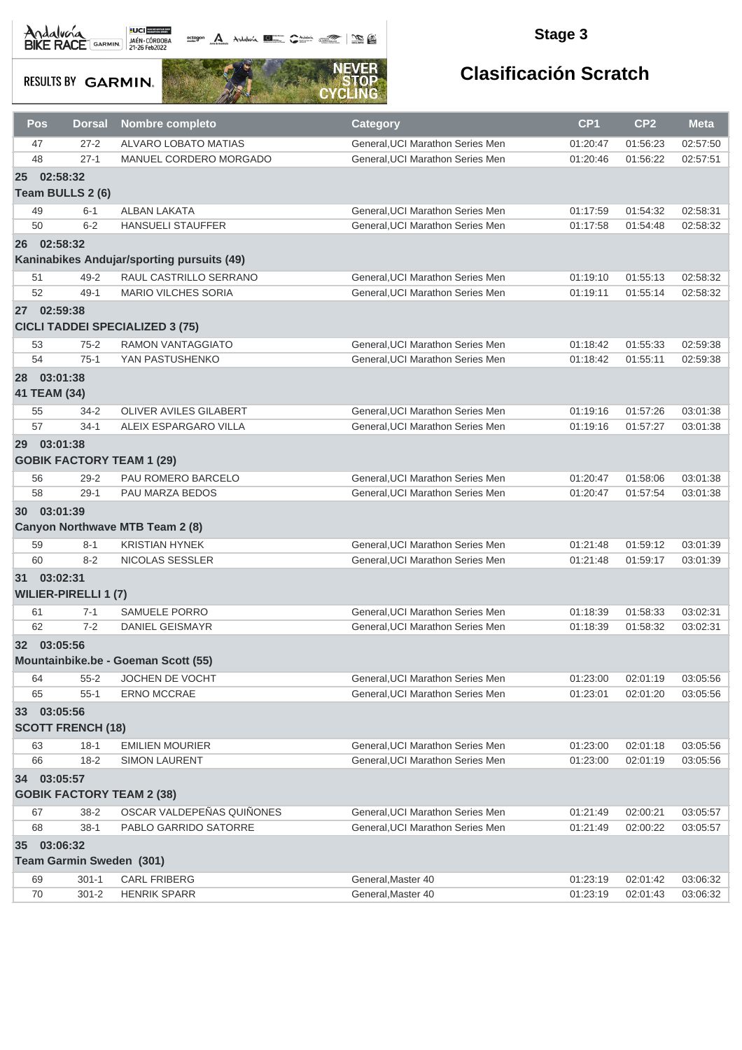octogon A Andalusía **DE C**ANALIS COMPOS COMPOS

### **Stage 3**

**RESULTS BY GARMIN.** 



| Pos                         | <b>Dorsal</b>                           | <b>Nombre completo</b>                     | <b>Category</b>                  | CP <sub>1</sub> | CP <sub>2</sub> | <b>Meta</b> |
|-----------------------------|-----------------------------------------|--------------------------------------------|----------------------------------|-----------------|-----------------|-------------|
| 47                          | $27 - 2$                                | ALVARO LOBATO MATIAS                       | General, UCI Marathon Series Men | 01:20:47        | 01:56:23        | 02:57:50    |
| 48                          | $27-1$                                  | MANUEL CORDERO MORGADO                     | General, UCI Marathon Series Men | 01:20:46        | 01:56:22        | 02:57:51    |
| 25                          | 02:58:32<br>Team BULLS 2 (6)            |                                            |                                  |                 |                 |             |
| 49                          | $6 - 1$                                 | ALBAN LAKATA                               | General, UCI Marathon Series Men | 01:17:59        | 01:54:32        | 02:58:31    |
| 50                          | $6 - 2$                                 | <b>HANSUELI STAUFFER</b>                   | General, UCI Marathon Series Men | 01:17:58        | 01:54:48        | 02:58:32    |
| 26                          | 02:58:32                                |                                            |                                  |                 |                 |             |
|                             |                                         | Kaninabikes Andujar/sporting pursuits (49) |                                  |                 |                 |             |
| 51                          | $49 - 2$                                | RAUL CASTRILLO SERRANO                     | General, UCI Marathon Series Men | 01:19:10        | 01:55:13        | 02:58:32    |
| 52                          | $49 - 1$                                | <b>MARIO VILCHES SORIA</b>                 | General, UCI Marathon Series Men | 01:19:11        | 01:55:14        | 02:58:32    |
| 27                          | 02:59:38                                | <b>CICLI TADDEI SPECIALIZED 3 (75)</b>     |                                  |                 |                 |             |
| 53                          | $75-2$                                  | <b>RAMON VANTAGGIATO</b>                   | General, UCI Marathon Series Men | 01:18:42        | 01:55:33        | 02:59:38    |
| 54                          | $75-1$                                  | YAN PASTUSHENKO                            | General.UCI Marathon Series Men  | 01:18:42        | 01:55:11        | 02:59:38    |
| 28 03:01:38<br>41 TEAM (34) |                                         |                                            |                                  |                 |                 |             |
| 55                          | $34 - 2$                                | OLIVER AVILES GILABERT                     | General, UCI Marathon Series Men | 01:19:16        | 01:57:26        | 03:01:38    |
| 57                          | $34 - 1$                                | ALEIX ESPARGARO VILLA                      | General, UCI Marathon Series Men | 01:19:16        | 01:57:27        | 03:01:38    |
| 29 <sup>°</sup>             | 03:01:38                                | <b>GOBIK FACTORY TEAM 1 (29)</b>           |                                  |                 |                 |             |
| 56                          | $29 - 2$                                | PAU ROMERO BARCELO                         | General, UCI Marathon Series Men | 01:20:47        | 01:58:06        | 03:01:38    |
| 58                          | $29-1$                                  | PAU MARZA BEDOS                            | General, UCI Marathon Series Men | 01:20:47        | 01:57:54        | 03:01:38    |
| 30 03:01:39                 |                                         | <b>Canyon Northwave MTB Team 2 (8)</b>     |                                  |                 |                 |             |
| 59                          | $8 - 1$                                 | <b>KRISTIAN HYNEK</b>                      | General, UCI Marathon Series Men | 01:21:48        | 01:59:12        | 03:01:39    |
| 60                          | $8 - 2$                                 | NICOLAS SESSLER                            | General, UCI Marathon Series Men | 01:21:48        | 01:59:17        | 03:01:39    |
| 31                          | 03:02:31<br><b>WILIER-PIRELLI 1 (7)</b> |                                            |                                  |                 |                 |             |
| 61                          | $7 - 1$                                 | <b>SAMUELE PORRO</b>                       | General, UCI Marathon Series Men | 01:18:39        | 01:58:33        | 03:02:31    |
| 62                          | $7 - 2$                                 | <b>DANIEL GEISMAYR</b>                     | General, UCI Marathon Series Men | 01:18:39        | 01:58:32        | 03:02:31    |
| 32 <sub>2</sub>             | 03:05:56                                | Mountainbike.be - Goeman Scott (55)        |                                  |                 |                 |             |
| 64                          | $55 - 2$                                | JOCHEN DE VOCHT                            | General, UCI Marathon Series Men | 01:23:00        | 02:01:19        | 03:05:56    |
| 65                          | $55 - 1$                                | <b>ERNO MCCRAE</b>                         | General, UCI Marathon Series Men | 01:23:01        | 02:01:20        | 03:05:56    |
| 33 03:05:56                 |                                         |                                            |                                  |                 |                 |             |
|                             | <b>SCOTT FRENCH (18)</b>                |                                            |                                  |                 |                 |             |
| 63                          | $18 - 1$                                | <b>EMILIEN MOURIER</b>                     | General, UCI Marathon Series Men | 01:23:00        | 02:01:18        | 03:05:56    |
| 66                          | $18 - 2$                                | <b>SIMON LAURENT</b>                       | General, UCI Marathon Series Men | 01:23:00        | 02:01:19        | 03:05:56    |
| 34 03:05:57                 |                                         |                                            |                                  |                 |                 |             |
|                             |                                         | <b>GOBIK FACTORY TEAM 2 (38)</b>           |                                  |                 |                 |             |
| 67                          | $38 - 2$                                | OSCAR VALDEPEÑAS QUIÑONES                  | General, UCI Marathon Series Men | 01:21:49        | 02:00:21        | 03:05:57    |
| 68                          | $38-1$                                  | PABLO GARRIDO SATORRE                      | General, UCI Marathon Series Men | 01:21:49        | 02:00:22        | 03:05:57    |
| 35                          | 03:06:32<br>Team Garmin Sweden (301)    |                                            |                                  |                 |                 |             |
| 69                          | $301 - 1$                               | <b>CARL FRIBERG</b>                        | General, Master 40               | 01:23:19        | 02:01:42        | 03:06:32    |
| 70                          | $301 - 2$                               | <b>HENRIK SPARR</b>                        | General, Master 40               | 01:23:19        | 02:01:43        | 03:06:32    |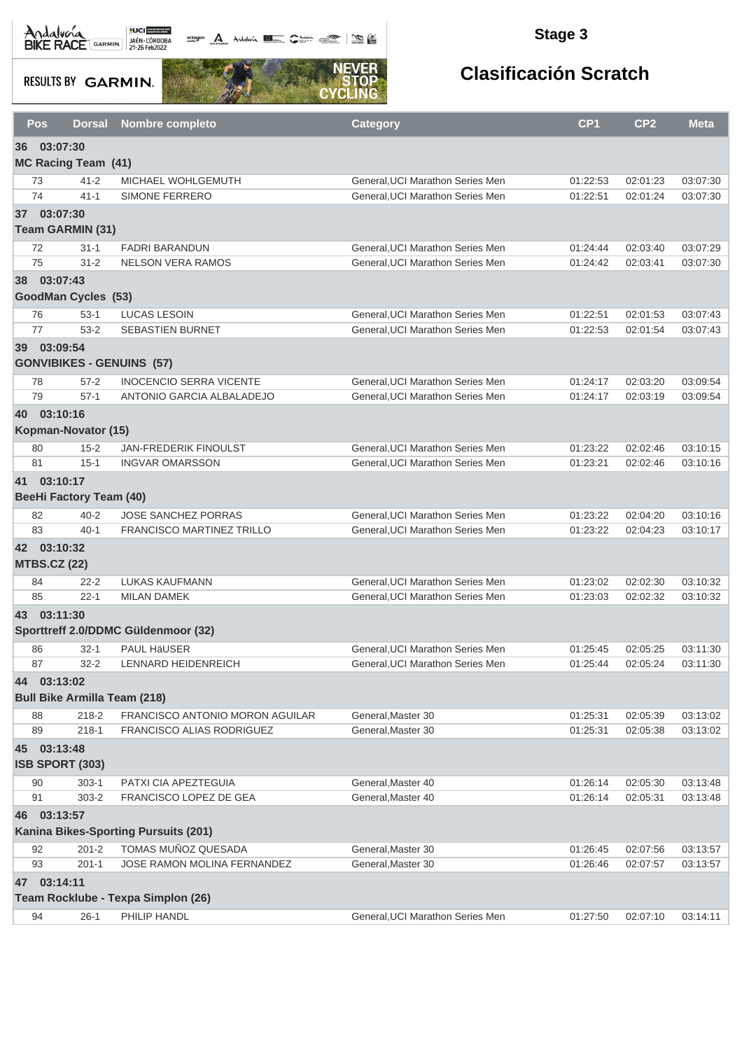Andalva BACE GARMIN AND LOCAL DEL BACK

octogon A Andalunia **1977** Catalog 2008 - 2008

### **Stage 3**

**RESULTS BY GARMIN.** 



|           | Pos<br><b>Dorsal</b>                | <b>Nombre completo</b>                 | <b>Category</b>                  | CP <sub>1</sub> | CP <sub>2</sub> | <b>Meta</b> |
|-----------|-------------------------------------|----------------------------------------|----------------------------------|-----------------|-----------------|-------------|
| 36        | 03:07:30                            |                                        |                                  |                 |                 |             |
|           | <b>MC Racing Team (41)</b>          |                                        |                                  |                 |                 |             |
|           | $41 - 2$<br>73                      | MICHAEL WOHLGEMUTH                     | General, UCI Marathon Series Men | 01:22:53        | 02:01:23        | 03:07:30    |
|           | 74<br>$41 - 1$                      | SIMONE FERRERO                         | General, UCI Marathon Series Men | 01:22:51        | 02:01:24        | 03:07:30    |
|           | 37 03:07:30                         |                                        |                                  |                 |                 |             |
|           | Team GARMIN (31)                    |                                        |                                  |                 |                 |             |
|           | 72<br>$31 - 1$                      | <b>FADRI BARANDUN</b>                  | General, UCI Marathon Series Men | 01:24:44        | 02:03:40        | 03:07:29    |
|           | 75<br>$31 - 2$                      | <b>NELSON VERA RAMOS</b>               | General.UCI Marathon Series Men  | 01:24:42        | 02:03:41        | 03:07:30    |
| 38        | 03:07:43                            |                                        |                                  |                 |                 |             |
|           | GoodMan Cycles (53)                 |                                        |                                  |                 |                 |             |
|           | $53-1$<br>76                        | <b>LUCAS LESOIN</b>                    | General, UCI Marathon Series Men | 01:22:51        | 02:01:53        | 03:07:43    |
|           | $53-2$<br>77                        | SEBASTIEN BURNET                       | General, UCI Marathon Series Men | 01:22:53        | 02:01:54        | 03:07:43    |
|           | 39 03:09:54                         |                                        |                                  |                 |                 |             |
|           |                                     | <b>GONVIBIKES - GENUINS (57)</b>       |                                  |                 |                 |             |
|           | 78<br>$57 - 2$                      | <b>INOCENCIO SERRA VICENTE</b>         | General, UCI Marathon Series Men | 01:24:17        | 02:03:20        | 03:09:54    |
|           | 79<br>$57-1$                        | ANTONIO GARCIA ALBALADEJO              | General, UCI Marathon Series Men | 01:24:17        | 02:03:19        | 03:09:54    |
| <b>40</b> | 03:10:16                            |                                        |                                  |                 |                 |             |
|           | Kopman-Novator (15)                 |                                        |                                  |                 |                 |             |
|           | $15 - 2$<br>80                      | <b>JAN-FREDERIK FINOULST</b>           | General, UCI Marathon Series Men | 01:23:22        | 02:02:46        | 03:10:15    |
|           | 81<br>$15 - 1$                      | <b>INGVAR OMARSSON</b>                 | General, UCI Marathon Series Men | 01:23:21        | 02:02:46        | 03:10:16    |
|           | 41 03:10:17                         |                                        |                                  |                 |                 |             |
|           | <b>BeeHi Factory Team (40)</b>      |                                        |                                  |                 |                 |             |
|           | 82<br>$40 - 2$                      | <b>JOSE SANCHEZ PORRAS</b>             | General, UCI Marathon Series Men | 01:23:22        | 02:04:20        | 03:10:16    |
|           | 83<br>$40 - 1$                      | FRANCISCO MARTINEZ TRILLO              | General, UCI Marathon Series Men | 01:23:22        | 02:04:23        | 03:10:17    |
|           | 42 03:10:32                         |                                        |                                  |                 |                 |             |
|           | <b>MTBS.CZ (22)</b>                 |                                        |                                  |                 |                 |             |
|           | $22 - 2$<br>84                      | <b>LUKAS KAUFMANN</b>                  | General, UCI Marathon Series Men | 01:23:02        | 02:02:30        | 03:10:32    |
|           | 85<br>$22 - 1$                      | <b>MILAN DAMEK</b>                     | General, UCI Marathon Series Men | 01:23:03        | 02:02:32        | 03:10:32    |
|           | 43 03:11:30                         |                                        |                                  |                 |                 |             |
|           |                                     | Sporttreff 2.0/DDMC Güldenmoor (32)    |                                  |                 |                 |             |
|           | 86<br>$32 - 1$                      | <b>PAUL HÄUSER</b>                     | General.UCI Marathon Series Men  | 01:25:45        | 02:05:25        | 03:11:30    |
|           | 87<br>$32 - 2$                      | <b>LENNARD HEIDENREICH</b>             | General, UCI Marathon Series Men | 01:25:44        | 02:05:24        | 03:11:30    |
| 44        | 03:13:02                            |                                        |                                  |                 |                 |             |
|           | <b>Bull Bike Armilla Team (218)</b> |                                        |                                  |                 |                 |             |
|           | $218 - 2$<br>88                     | <b>FRANCISCO ANTONIO MORON AGUILAR</b> | General.Master 30                | 01:25:31        | 02:05:39        | 03:13:02    |
|           | 89<br>$218 - 1$                     | FRANCISCO ALIAS RODRIGUEZ              | General, Master 30               | 01:25:31        | 02:05:38        | 03:13:02    |
|           | 45 03:13:48                         |                                        |                                  |                 |                 |             |
|           | <b>ISB SPORT (303)</b>              |                                        |                                  |                 |                 |             |
|           | $303-1$<br>90                       | PATXI CIA APEZTEGUIA                   | General, Master 40               | 01:26:14        | 02:05:30        | 03:13:48    |
|           | $303 - 2$<br>91                     | FRANCISCO LOPEZ DE GEA                 | General, Master 40               | 01:26:14        | 02:05:31        | 03:13:48    |
| 46        | 03:13:57                            |                                        |                                  |                 |                 |             |
|           |                                     | Kanina Bikes-Sporting Pursuits (201)   |                                  |                 |                 |             |
|           | 92<br>$201 - 2$                     | TOMAS MUÑOZ QUESADA                    | General, Master 30               | 01:26:45        | 02:07:56        | 03:13:57    |
|           | 93<br>$201 - 1$                     | <b>JOSE RAMON MOLINA FERNANDEZ</b>     | General, Master 30               | 01:26:46        | 02:07:57        | 03:13:57    |
| 47        | 03:14:11                            |                                        |                                  |                 |                 |             |
|           |                                     | Team Rocklube - Texpa Simplon (26)     |                                  |                 |                 |             |
|           | $26-1$<br>94                        | PHILIP HANDL                           | General, UCI Marathon Series Men | 01:27:50        | 02:07:10        | 03:14:11    |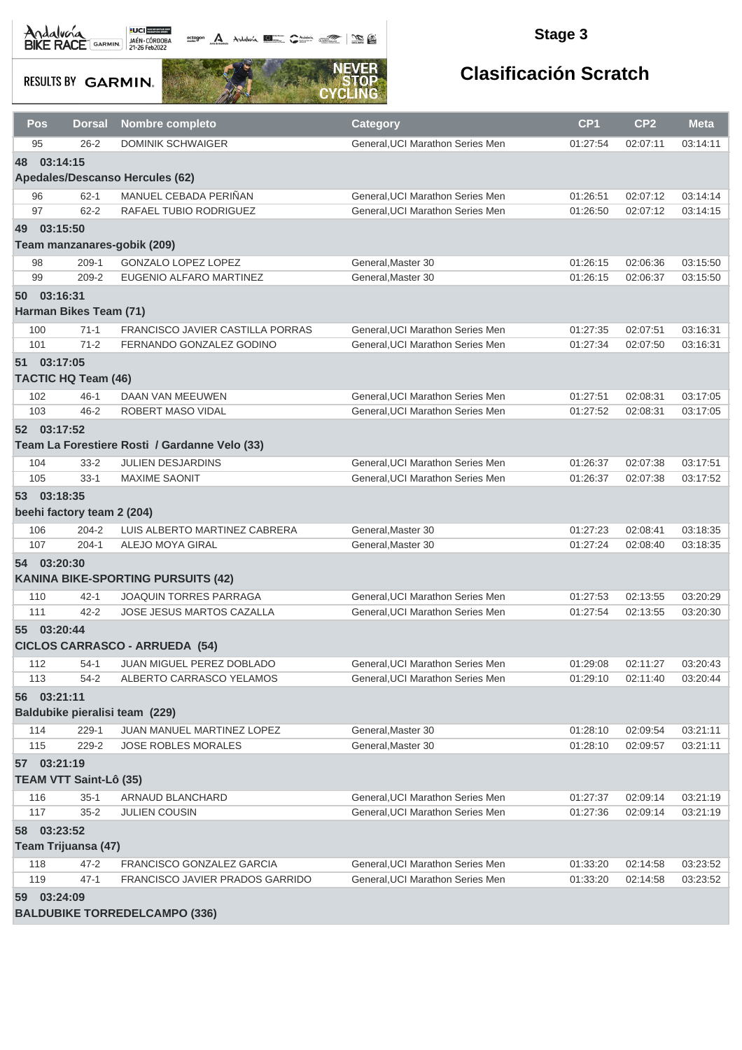octogon A Andalusía **DE C**ANALIS COMPOS COMPOS

#### **Stage 3**

**RESULTS BY GARMIN.** 



| Pos            | <b>Dorsal</b>                 | <b>Nombre completo</b>                        | Category                         | CP <sub>1</sub> | CP <sub>2</sub> | <b>Meta</b> |  |  |  |  |
|----------------|-------------------------------|-----------------------------------------------|----------------------------------|-----------------|-----------------|-------------|--|--|--|--|
| 95             | $26 - 2$                      | <b>DOMINIK SCHWAIGER</b>                      | General, UCI Marathon Series Men | 01:27:54        | 02:07:11        | 03:14:11    |  |  |  |  |
| 48             | 03:14:15                      |                                               |                                  |                 |                 |             |  |  |  |  |
|                |                               | <b>Apedales/Descanso Hercules (62)</b>        |                                  |                 |                 |             |  |  |  |  |
| 96             | $62 - 1$                      | MANUEL CEBADA PERIÑAN                         | General, UCI Marathon Series Men | 01:26:51        | 02:07:12        | 03:14:14    |  |  |  |  |
| 97             | $62 - 2$                      | RAFAEL TUBIO RODRIGUEZ                        | General, UCI Marathon Series Men | 01:26:50        | 02:07:12        | 03:14:15    |  |  |  |  |
| 03:15:50<br>49 |                               |                                               |                                  |                 |                 |             |  |  |  |  |
|                |                               | Team manzanares-gobik (209)                   |                                  |                 |                 |             |  |  |  |  |
| 98             | $209-1$                       | <b>GONZALO LOPEZ LOPEZ</b>                    | General, Master 30               | 01:26:15        | 02:06:36        | 03:15:50    |  |  |  |  |
| 99             | $209 - 2$                     | EUGENIO ALFARO MARTINEZ                       | General, Master 30               | 01:26:15        | 02:06:37        | 03:15:50    |  |  |  |  |
| 03:16:31<br>50 |                               |                                               |                                  |                 |                 |             |  |  |  |  |
|                | Harman Bikes Team (71)        |                                               |                                  |                 |                 |             |  |  |  |  |
| 100            | $71-1$                        | <b>FRANCISCO JAVIER CASTILLA PORRAS</b>       | General, UCI Marathon Series Men | 01:27:35        | 02:07:51        | 03:16:31    |  |  |  |  |
| 101            | $71-2$                        | FERNANDO GONZALEZ GODINO                      | General, UCI Marathon Series Men | 01:27:34        | 02:07:50        | 03:16:31    |  |  |  |  |
| 51 03:17:05    |                               |                                               |                                  |                 |                 |             |  |  |  |  |
|                | <b>TACTIC HQ Team (46)</b>    |                                               |                                  |                 |                 |             |  |  |  |  |
| 102            | $46 - 1$                      | DAAN VAN MEEUWEN                              | General, UCI Marathon Series Men | 01:27:51        | 02:08:31        | 03:17:05    |  |  |  |  |
| 103            | $46 - 2$                      | <b>ROBERT MASO VIDAL</b>                      | General, UCI Marathon Series Men | 01:27:52        | 02:08:31        | 03:17:05    |  |  |  |  |
| 52 03:17:52    |                               |                                               |                                  |                 |                 |             |  |  |  |  |
|                |                               | Team La Forestiere Rosti / Gardanne Velo (33) |                                  |                 |                 |             |  |  |  |  |
| 104            | $33 - 2$                      | <b>JULIEN DESJARDINS</b>                      | General, UCI Marathon Series Men | 01:26:37        | 02:07:38        | 03:17:51    |  |  |  |  |
| 105            | $33 - 1$                      | <b>MAXIME SAONIT</b>                          | General, UCI Marathon Series Men | 01:26:37        | 02:07:38        | 03:17:52    |  |  |  |  |
| 53 03:18:35    |                               |                                               |                                  |                 |                 |             |  |  |  |  |
|                | beehi factory team 2 (204)    |                                               |                                  |                 |                 |             |  |  |  |  |
| 106            | $204 - 2$                     | LUIS ALBERTO MARTINEZ CABRERA                 | General, Master 30               | 01:27:23        | 02:08:41        | 03:18:35    |  |  |  |  |
| 107            | $204 - 1$                     | ALEJO MOYA GIRAL                              | General, Master 30               | 01:27:24        | 02:08:40        | 03:18:35    |  |  |  |  |
| 54 03:20:30    |                               |                                               |                                  |                 |                 |             |  |  |  |  |
|                |                               | <b>KANINA BIKE-SPORTING PURSUITS (42)</b>     |                                  |                 |                 |             |  |  |  |  |
| 110            | $42 - 1$                      | JOAQUIN TORRES PARRAGA                        | General, UCI Marathon Series Men | 01:27:53        | 02:13:55        | 03:20:29    |  |  |  |  |
| 111            | $42 - 2$                      | JOSE JESUS MARTOS CAZALLA                     | General, UCI Marathon Series Men | 01:27:54        | 02:13:55        | 03:20:30    |  |  |  |  |
| 55 03:20:44    |                               |                                               |                                  |                 |                 |             |  |  |  |  |
|                |                               | <b>CICLOS CARRASCO - ARRUEDA (54)</b>         |                                  |                 |                 |             |  |  |  |  |
| 112            | $54-1$                        | <b>JUAN MIGUEL PEREZ DOBLADO</b>              | General, UCI Marathon Series Men | 01:29:08        | 02:11:27        | 03:20:43    |  |  |  |  |
| 113            | 54-2                          | ALBERTO CARRASCO YELAMOS                      | General, UCI Marathon Series Men | 01:29:10        | 02:11:40        | 03:20:44    |  |  |  |  |
| 56 03:21:11    |                               |                                               |                                  |                 |                 |             |  |  |  |  |
|                |                               | Baldubike pieralisi team (229)                |                                  |                 |                 |             |  |  |  |  |
| 114            | $229-1$                       | JUAN MANUEL MARTINEZ LOPEZ                    | General, Master 30               | 01:28:10        | 02:09:54        | 03:21:11    |  |  |  |  |
| 115            | 229-2                         | <b>JOSE ROBLES MORALES</b>                    | General.Master 30                | 01:28:10        | 02:09:57        | 03:21:11    |  |  |  |  |
| 57 03:21:19    |                               |                                               |                                  |                 |                 |             |  |  |  |  |
|                | <b>TEAM VTT Saint-Lô (35)</b> |                                               |                                  |                 |                 |             |  |  |  |  |
| 116            | $35-1$                        | ARNAUD BLANCHARD                              | General, UCI Marathon Series Men | 01:27:37        | 02:09:14        | 03:21:19    |  |  |  |  |
| 117            | $35 - 2$                      | <b>JULIEN COUSIN</b>                          | General, UCI Marathon Series Men | 01:27:36        | 02:09:14        | 03:21:19    |  |  |  |  |
| 58             | 03:23:52                      |                                               |                                  |                 |                 |             |  |  |  |  |
|                | Team Trijuansa (47)           |                                               |                                  |                 |                 |             |  |  |  |  |
| 118            | 47-2                          | FRANCISCO GONZALEZ GARCIA                     | General, UCI Marathon Series Men | 01:33:20        | 02:14:58        | 03:23:52    |  |  |  |  |
| 119            | $47 - 1$                      | FRANCISCO JAVIER PRADOS GARRIDO               | General, UCI Marathon Series Men | 01:33:20        | 02:14:58        | 03:23:52    |  |  |  |  |
|                | 59 03:24:09                   |                                               |                                  |                 |                 |             |  |  |  |  |
|                |                               | <b>BALDUBIKE TORREDELCAMPO (336)</b>          |                                  |                 |                 |             |  |  |  |  |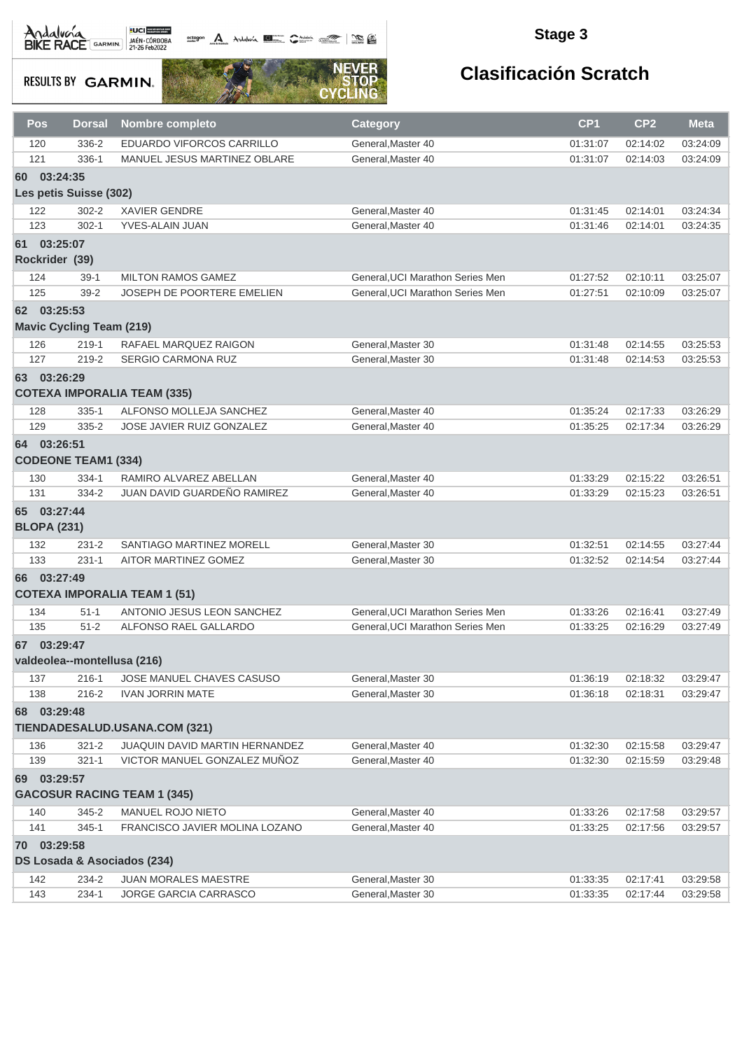# Andalva BACE GARMIN AND LOCAL DEL BACK

actagon A Andaluna **1977** Contain 1988

### **Stage 3**

**RESULTS BY GARMIN.** 



| Pos        | Dorsal                          | <b>Nombre completo</b>                             | <b>Category</b>                  | CP <sub>1</sub>      | CP <sub>2</sub> | <b>Meta</b> |
|------------|---------------------------------|----------------------------------------------------|----------------------------------|----------------------|-----------------|-------------|
| 120        | 336-2                           | EDUARDO VIFORCOS CARRILLO                          | General, Master 40               | 01:31:07             | 02:14:02        | 03:24:09    |
| 121        | 336-1                           | MANUEL JESUS MARTINEZ OBLARE                       | General.Master 40                | 01:31:07             | 02:14:03        | 03:24:09    |
| 60         | 03:24:35                        |                                                    |                                  |                      |                 |             |
|            | Les petis Suisse (302)          |                                                    |                                  |                      |                 |             |
| 122        | $302 - 2$                       | <b>XAVIER GENDRE</b>                               | General, Master 40               | 01:31:45             | 02:14:01        | 03:24:34    |
| 123        | $302 - 1$                       | YVES-ALAIN JUAN                                    | General, Master 40               | 01:31:46             | 02:14:01        | 03:24:35    |
|            | 61 03:25:07                     |                                                    |                                  |                      |                 |             |
|            | Rockrider (39)                  |                                                    |                                  |                      |                 |             |
| 124        | $39-1$                          | <b>MILTON RAMOS GAMEZ</b>                          | General, UCI Marathon Series Men | 01:27:52             | 02:10:11        | 03:25:07    |
| 125        | $39 - 2$                        | <b>JOSEPH DE POORTERE EMELIEN</b>                  | General, UCI Marathon Series Men | 01:27:51             | 02:10:09        | 03:25:07    |
|            | 62 03:25:53                     |                                                    |                                  |                      |                 |             |
|            | <b>Mavic Cycling Team (219)</b> |                                                    |                                  |                      |                 |             |
|            |                                 |                                                    | General, Master 30               |                      | 02:14:55        | 03:25:53    |
| 126<br>127 | $219-1$<br>219-2                | RAFAEL MARQUEZ RAIGON<br><b>SERGIO CARMONA RUZ</b> | General, Master 30               | 01:31:48<br>01:31:48 | 02:14:53        | 03:25:53    |
|            |                                 |                                                    |                                  |                      |                 |             |
|            | 63 03:26:29                     |                                                    |                                  |                      |                 |             |
|            |                                 | <b>COTEXA IMPORALIA TEAM (335)</b>                 |                                  |                      |                 |             |
| 128        | $335 - 1$                       | ALFONSO MOLLEJA SANCHEZ                            | General, Master 40               | 01:35:24             | 02:17:33        | 03:26:29    |
| 129        | 335-2                           | JOSE JAVIER RUIZ GONZALEZ                          | General.Master 40                | 01:35:25             | 02:17:34        | 03:26:29    |
|            | 64 03:26:51                     |                                                    |                                  |                      |                 |             |
|            | <b>CODEONE TEAM1 (334)</b>      |                                                    |                                  |                      |                 |             |
| 130        | $334-1$                         | RAMIRO ALVAREZ ABELLAN                             | General, Master 40               | 01:33:29             | 02:15:22        | 03:26:51    |
| 131        | 334-2                           | JUAN DAVID GUARDEÑO RAMIREZ                        | General, Master 40               | 01:33:29             | 02:15:23        | 03:26:51    |
|            | 65 03:27:44                     |                                                    |                                  |                      |                 |             |
|            | <b>BLOPA (231)</b>              |                                                    |                                  |                      |                 |             |
| 132        | $231 - 2$                       | SANTIAGO MARTINEZ MORELL                           | General, Master 30               | 01:32:51             | 02:14:55        | 03:27:44    |
| 133        | $231 - 1$                       | AITOR MARTINEZ GOMEZ                               | General, Master 30               | 01:32:52             | 02:14:54        | 03:27:44    |
|            | 66 03:27:49                     |                                                    |                                  |                      |                 |             |
|            |                                 | <b>COTEXA IMPORALIA TEAM 1 (51)</b>                |                                  |                      |                 |             |
| 134        | $51 - 1$                        | ANTONIO JESUS LEON SANCHEZ                         | General.UCI Marathon Series Men  | 01:33:26             | 02:16:41        | 03:27:49    |
| 135        | $51 - 2$                        | ALFONSO RAEL GALLARDO                              | General, UCI Marathon Series Men | 01:33:25             | 02:16:29        | 03:27:49    |
| 67         | 03:29:47                        |                                                    |                                  |                      |                 |             |
|            | valdeolea--montellusa (216)     |                                                    |                                  |                      |                 |             |
|            |                                 |                                                    |                                  |                      |                 |             |
| 137        | $216 - 1$                       | JOSE MANUEL CHAVES CASUSO                          | General, Master 30               | 01:36:19             | 02:18:32        | 03:29:47    |
| 138        | 216-2                           | <b>IVAN JORRIN MATE</b>                            | General, Master 30               | 01:36:18             | 02:18:31        | 03:29:47    |
| 68         | 03:29:48                        |                                                    |                                  |                      |                 |             |
|            |                                 | TIENDADESALUD.USANA.COM (321)                      |                                  |                      |                 |             |
| 136        | $321 - 2$                       | <b>JUAQUIN DAVID MARTIN HERNANDEZ</b>              | General.Master 40                | 01:32:30             | 02:15:58        | 03:29:47    |
| 139        | $321 - 1$                       | VICTOR MANUEL GONZALEZ MUÑOZ                       | General, Master 40               | 01:32:30             | 02:15:59        | 03:29:48    |
|            | 69 03:29:57                     |                                                    |                                  |                      |                 |             |
|            |                                 | <b>GACOSUR RACING TEAM 1 (345)</b>                 |                                  |                      |                 |             |
| 140        | 345-2                           | MANUEL ROJO NIETO                                  | General.Master 40                | 01:33:26             | 02:17:58        | 03:29:57    |
| 141        | $345 - 1$                       | FRANCISCO JAVIER MOLINA LOZANO                     | General.Master 40                | 01:33:25             | 02:17:56        | 03:29:57    |
| 70         | 03:29:58                        |                                                    |                                  |                      |                 |             |
|            | DS Losada & Asociados (234)     |                                                    |                                  |                      |                 |             |
| 142        | 234-2                           | <b>JUAN MORALES MAESTRE</b>                        | General, Master 30               | 01:33:35             | 02:17:41        | 03:29:58    |
| 143        | $234 - 1$                       | JORGE GARCIA CARRASCO                              | General, Master 30               | 01:33:35             | 02:17:44        | 03:29:58    |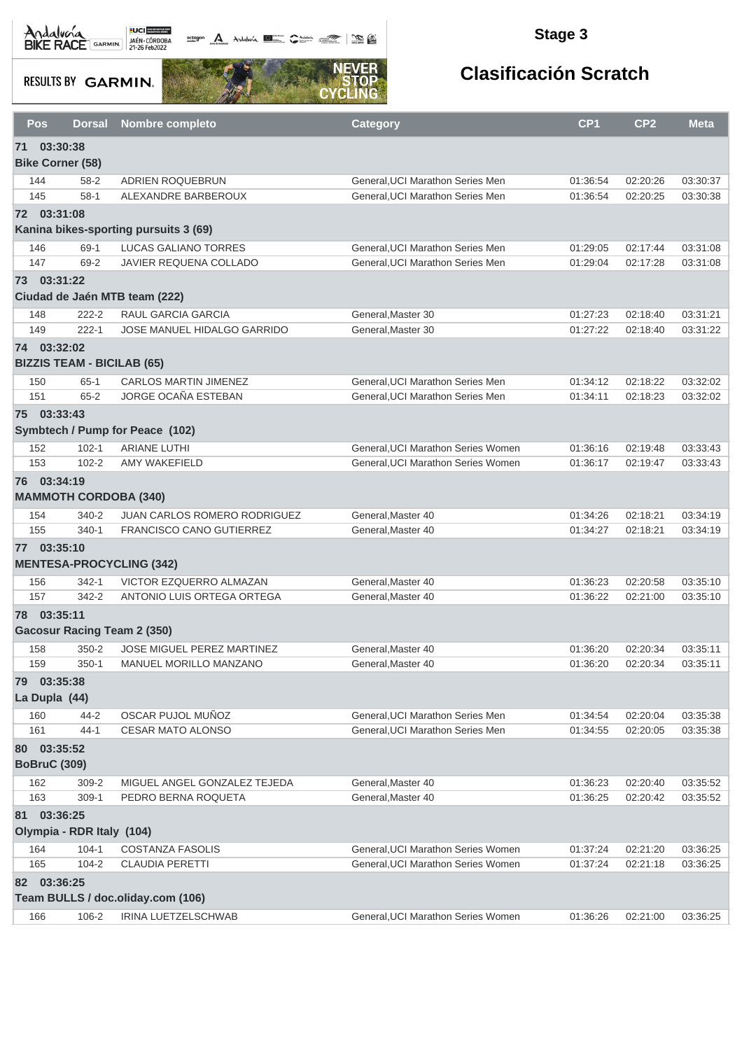**Declargem** A Andalwin **ELLER Comments of the Comments of the Comments of the Comments of the Comments of the Comments of the Comments of the Comments of the Comments of the Comments of the Comments of the Comments of the** 

### **Stage 3**

**RESULTS BY GARMIN.** 



|    | <b>Pos</b><br>Dorsal                              | Nombre completo                       | <b>Category</b>                    | CP <sub>1</sub> | CP <sub>2</sub> | <b>Meta</b> |  |  |  |
|----|---------------------------------------------------|---------------------------------------|------------------------------------|-----------------|-----------------|-------------|--|--|--|
| 71 | 03:30:38<br><b>Bike Corner (58)</b>               |                                       |                                    |                 |                 |             |  |  |  |
|    | 144<br>$58 - 2$                                   | ADRIEN ROQUEBRUN                      | General, UCI Marathon Series Men   | 01:36:54        | 02:20:26        | 03:30:37    |  |  |  |
|    | $58-1$<br>145                                     | ALEXANDRE BARBEROUX                   | General, UCI Marathon Series Men   | 01:36:54        | 02:20:25        | 03:30:38    |  |  |  |
|    | 72 03:31:08                                       | Kanina bikes-sporting pursuits 3 (69) |                                    |                 |                 |             |  |  |  |
|    | 146<br>$69-1$                                     | LUCAS GALIANO TORRES                  | General, UCI Marathon Series Men   | 01:29:05        | 02:17:44        | 03:31:08    |  |  |  |
|    | 147<br>69-2                                       | JAVIER REQUENA COLLADO                | General.UCI Marathon Series Men    | 01:29:04        | 02:17:28        | 03:31:08    |  |  |  |
|    | 73 03:31:22                                       | Ciudad de Jaén MTB team (222)         |                                    |                 |                 |             |  |  |  |
|    | $222 - 2$<br>148                                  | RAUL GARCIA GARCIA                    | General, Master 30                 | 01:27:23        | 02:18:40        | 03:31:21    |  |  |  |
|    | 149<br>$222 - 1$                                  | JOSE MANUEL HIDALGO GARRIDO           | General, Master 30                 | 01:27:22        | 02:18:40        | 03:31:22    |  |  |  |
|    | 74 03:32:02<br><b>BIZZIS TEAM - BICILAB (65)</b>  |                                       |                                    |                 |                 |             |  |  |  |
|    | 150<br>$65 - 1$                                   | <b>CARLOS MARTIN JIMENEZ</b>          | General, UCI Marathon Series Men   | 01:34:12        | 02:18:22        | 03:32:02    |  |  |  |
|    | 151<br>$65 - 2$                                   | JORGE OCAÑA ESTEBAN                   | General, UCI Marathon Series Men   | 01:34:11        | 02:18:23        | 03:32:02    |  |  |  |
|    | 75 03:33:43                                       | Symbtech / Pump for Peace (102)       |                                    |                 |                 |             |  |  |  |
|    | $102 - 1$<br>152                                  | <b>ARIANE LUTHI</b>                   | General, UCI Marathon Series Women | 01:36:16        | 02:19:48        | 03:33:43    |  |  |  |
|    | 153<br>$102 - 2$                                  | <b>AMY WAKEFIELD</b>                  | General, UCI Marathon Series Women | 01:36:17        | 02:19:47        | 03:33:43    |  |  |  |
|    | 76 03:34:19<br><b>MAMMOTH CORDOBA (340)</b>       |                                       |                                    |                 |                 |             |  |  |  |
|    | $340 - 2$<br>154                                  | JUAN CARLOS ROMERO RODRIGUEZ          | General, Master 40                 | 01:34:26        | 02:18:21        | 03:34:19    |  |  |  |
|    | 155<br>$340 - 1$                                  | <b>FRANCISCO CANO GUTIERREZ</b>       | General, Master 40                 | 01:34:27        | 02:18:21        | 03:34:19    |  |  |  |
|    | 77 03:35:10                                       | <b>MENTESA-PROCYCLING (342)</b>       |                                    |                 |                 |             |  |  |  |
|    | 156<br>$342 - 1$                                  | VICTOR EZQUERRO ALMAZAN               | General, Master 40                 | 01:36:23        | 02:20:58        | 03:35:10    |  |  |  |
|    | 157<br>342-2                                      | ANTONIO LUIS ORTEGA ORTEGA            | General, Master 40                 | 01:36:22        | 02:21:00        | 03:35:10    |  |  |  |
|    | 78 03:35:11<br><b>Gacosur Racing Team 2 (350)</b> |                                       |                                    |                 |                 |             |  |  |  |
|    | 158<br>$350 - 2$                                  | <b>JOSE MIGUEL PEREZ MARTINEZ</b>     | General, Master 40                 | 01:36:20        | 02:20:34        | 03:35:11    |  |  |  |
|    | 159<br>$350-1$                                    | MANUEL MORILLO MANZANO                | General.Master 40                  | 01:36:20        | 02:20:34        | 03:35:11    |  |  |  |
| 79 | 03:35:38<br>La Dupla (44)                         |                                       |                                    |                 |                 |             |  |  |  |
|    | $44 - 2$<br>160                                   | OSCAR PUJOL MUÑOZ                     | General, UCI Marathon Series Men   | 01:34:54        | 02:20:04        | 03:35:38    |  |  |  |
|    | 161<br>$44 - 1$                                   | CESAR MATO ALONSO                     | General, UCI Marathon Series Men   | 01:34:55        | 02:20:05        | 03:35:38    |  |  |  |
|    | 80 03:35:52                                       |                                       |                                    |                 |                 |             |  |  |  |
|    | <b>BoBruC (309)</b>                               |                                       |                                    |                 |                 |             |  |  |  |
|    | 162<br>$309 - 2$                                  | MIGUEL ANGEL GONZALEZ TEJEDA          | General, Master 40                 | 01:36:23        | 02:20:40        | 03:35:52    |  |  |  |
|    | 163<br>$309-1$                                    | PEDRO BERNA ROQUETA                   | General.Master 40                  | 01:36:25        | 02:20:42        | 03:35:52    |  |  |  |
|    | 81 03:36:25<br>Olympia - RDR Italy (104)          |                                       |                                    |                 |                 |             |  |  |  |
|    | $104 - 1$<br>164                                  | <b>COSTANZA FASOLIS</b>               | General, UCI Marathon Series Women | 01:37:24        | 02:21:20        | 03:36:25    |  |  |  |
|    | 165<br>$104 - 2$                                  | <b>CLAUDIA PERETTI</b>                | General, UCI Marathon Series Women | 01:37:24        | 02:21:18        | 03:36:25    |  |  |  |
|    | 82 03:36:25                                       | Team BULLS / doc.oliday.com (106)     |                                    |                 |                 |             |  |  |  |
|    | 166<br>106-2                                      | IRINA LUETZELSCHWAB                   | General, UCI Marathon Series Women | 01:36:26        | 02:21:00        | 03:36:25    |  |  |  |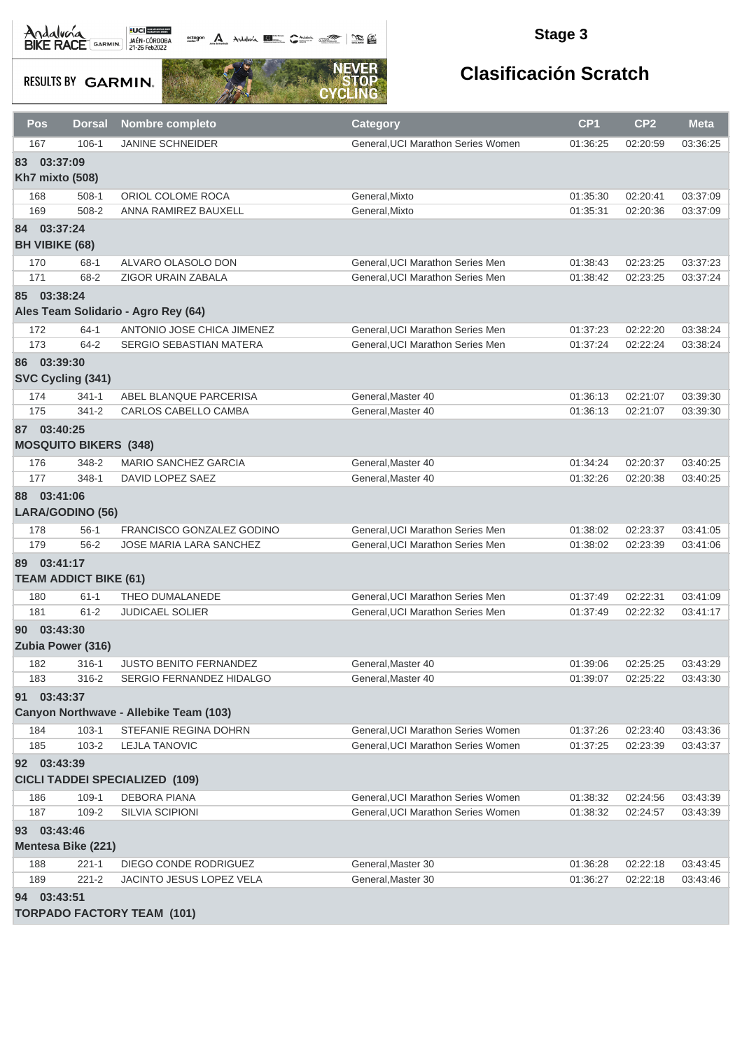$\frac{1}{\sqrt{2}}$  and  $\frac{1}{\sqrt{2}}$  and  $\frac{1}{\sqrt{2}}$ 

### **Stage 3**

**RESULTS BY GARMIN.** 



| Pos | <b>Dorsal</b>                | <b>Nombre completo</b>                 | Category                           | CP <sub>1</sub> | CP <sub>2</sub> | <b>Meta</b> |
|-----|------------------------------|----------------------------------------|------------------------------------|-----------------|-----------------|-------------|
| 167 | $106 - 1$                    | <b>JANINE SCHNEIDER</b>                | General, UCI Marathon Series Women | 01:36:25        | 02:20:59        | 03:36:25    |
| 83  | 03:37:09                     |                                        |                                    |                 |                 |             |
|     | <b>Kh7 mixto (508)</b>       |                                        |                                    |                 |                 |             |
| 168 | $508-1$                      | ORIOL COLOME ROCA                      | General, Mixto                     | 01:35:30        | 02:20:41        | 03:37:09    |
| 169 | 508-2                        | ANNA RAMIREZ BAUXELL                   | General, Mixto                     | 01:35:31        | 02:20:36        | 03:37:09    |
|     | 84 03:37:24                  |                                        |                                    |                 |                 |             |
|     | <b>BH VIBIKE (68)</b>        |                                        |                                    |                 |                 |             |
| 170 | 68-1                         | ALVARO OLASOLO DON                     | General, UCI Marathon Series Men   | 01:38:43        | 02:23:25        | 03:37:23    |
| 171 | 68-2                         | <b>ZIGOR URAIN ZABALA</b>              | General, UCI Marathon Series Men   | 01:38:42        | 02:23:25        | 03:37:24    |
|     | 85 03:38:24                  |                                        |                                    |                 |                 |             |
|     |                              | Ales Team Solidario - Agro Rey (64)    |                                    |                 |                 |             |
| 172 | $64-1$                       | ANTONIO JOSE CHICA JIMENEZ             | General, UCI Marathon Series Men   | 01:37:23        | 02:22:20        | 03:38:24    |
| 173 | $64 - 2$                     | SERGIO SEBASTIAN MATERA                | General, UCI Marathon Series Men   | 01:37:24        | 02:22:24        | 03:38:24    |
|     | 86 03:39:30                  |                                        |                                    |                 |                 |             |
|     | SVC Cycling (341)            |                                        |                                    |                 |                 |             |
| 174 | $341 - 1$                    | ABEL BLANQUE PARCERISA                 | General, Master 40                 | 01:36:13        | 02:21:07        | 03:39:30    |
| 175 | $341 - 2$                    | CARLOS CABELLO CAMBA                   | General, Master 40                 | 01:36:13        | 02:21:07        | 03:39:30    |
|     | 87 03:40:25                  |                                        |                                    |                 |                 |             |
|     | <b>MOSQUITO BIKERS (348)</b> |                                        |                                    |                 |                 |             |
| 176 | 348-2                        | <b>MARIO SANCHEZ GARCIA</b>            | General, Master 40                 | 01:34:24        | 02:20:37        | 03:40:25    |
| 177 | $348-1$                      | DAVID LOPEZ SAEZ                       | General, Master 40                 | 01:32:26        | 02:20:38        | 03:40:25    |
|     | 88 03:41:06                  |                                        |                                    |                 |                 |             |
|     | LARA/GODINO (56)             |                                        |                                    |                 |                 |             |
| 178 | $56-1$                       | FRANCISCO GONZALEZ GODINO              | General, UCI Marathon Series Men   | 01:38:02        | 02:23:37        | 03:41:05    |
| 179 | $56 - 2$                     | JOSE MARIA LARA SANCHEZ                | General, UCI Marathon Series Men   | 01:38:02        | 02:23:39        | 03:41:06    |
|     | 89 03:41:17                  |                                        |                                    |                 |                 |             |
|     | <b>TEAM ADDICT BIKE (61)</b> |                                        |                                    |                 |                 |             |
| 180 | $61 - 1$                     | THEO DUMALANEDE                        | General.UCI Marathon Series Men    | 01:37:49        | 02:22:31        | 03:41:09    |
| 181 | $61 - 2$                     | JUDICAEL SOLIER                        | General, UCI Marathon Series Men   | 01:37:49        | 02:22:32        | 03:41:17    |
|     | 90 03:43:30                  |                                        |                                    |                 |                 |             |
|     | Zubia Power (316)            |                                        |                                    |                 |                 |             |
| 182 | $316 - 1$                    | <b>JUSTO BENITO FERNANDEZ</b>          | General, Master 40                 | 01:39:06        | 02:25:25        | 03:43:29    |
| 183 | 316-2                        | SERGIO FERNANDEZ HIDALGO               | General, Master 40                 | 01:39:07        | 02:25:22        | 03:43:30    |
|     | 91 03:43:37                  |                                        |                                    |                 |                 |             |
|     |                              | Canyon Northwave - Allebike Team (103) |                                    |                 |                 |             |
| 184 | $103-1$                      | STEFANIE REGINA DOHRN                  | General, UCI Marathon Series Women | 01:37:26        | 02:23:40        | 03:43:36    |
| 185 | $103 - 2$                    | <b>LEJLA TANOVIC</b>                   | General, UCI Marathon Series Women | 01:37:25        | 02:23:39        | 03:43:37    |
|     | 92 03:43:39                  |                                        |                                    |                 |                 |             |
|     |                              | <b>CICLI TADDEI SPECIALIZED (109)</b>  |                                    |                 |                 |             |
| 186 | $109-1$                      | <b>DEBORA PIANA</b>                    | General, UCI Marathon Series Women | 01:38:32        | 02:24:56        | 03:43:39    |
| 187 | 109-2                        | <b>SILVIA SCIPIONI</b>                 | General, UCI Marathon Series Women | 01:38:32        | 02:24:57        | 03:43:39    |
|     | 93 03:43:46                  |                                        |                                    |                 |                 |             |
|     | <b>Mentesa Bike (221)</b>    |                                        |                                    |                 |                 |             |
| 188 | $221 - 1$                    | DIEGO CONDE RODRIGUEZ                  | General, Master 30                 | 01:36:28        | 02:22:18        | 03:43:45    |
| 189 | $221 - 2$                    | JACINTO JESUS LOPEZ VELA               | General, Master 30                 | 01:36:27        | 02:22:18        | 03:43:46    |
|     | 94 03:43:51                  |                                        |                                    |                 |                 |             |
|     |                              | <b>TORPADO FACTORY TEAM (101)</b>      |                                    |                 |                 |             |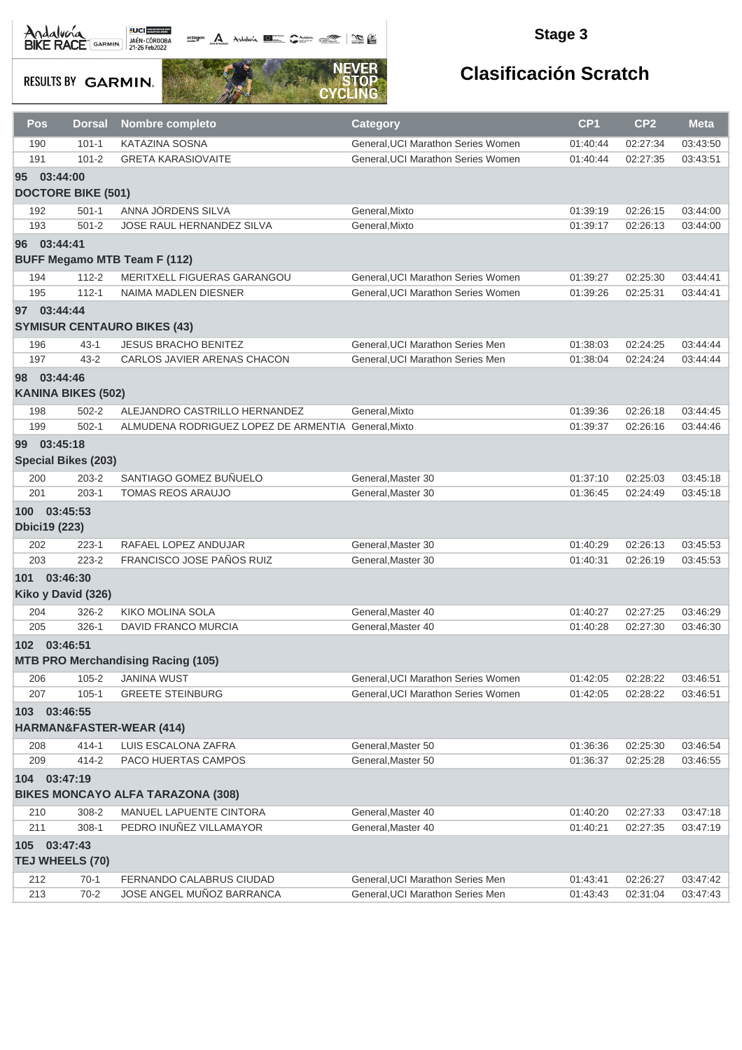# Andalva BACE GARMIN AND LOCAL DEL BACK

**Dectagon A** Andalwin **Report Communication** and A

### **Stage 3**

**RESULTS BY GARMIN.** 



| $101 - 1$<br>KATAZINA SOSNA<br>General, UCI Marathon Series Women<br>02:27:34<br>03:43:50<br>190<br>01:40:44<br>$101 - 2$<br>General, UCI Marathon Series Women<br>191<br><b>GRETA KARASIOVAITE</b><br>01:40:44<br>02:27:35<br>03:43:51<br>03:44:00<br>95 <sup>°</sup><br><b>DOCTORE BIKE (501)</b><br>ANNA JÖRDENS SILVA<br>192<br>$501 - 1$<br>General, Mixto<br>01:39:19<br>02:26:15<br>03:44:00<br>193<br>$501 - 2$<br>JOSE RAUL HERNANDEZ SILVA<br>General, Mixto<br>03:44:00<br>01:39:17<br>02:26:13<br>96 03:44:41<br><b>BUFF Megamo MTB Team F (112)</b><br>$112 - 2$<br>194<br>MERITXELL FIGUERAS GARANGOU<br>General, UCI Marathon Series Women<br>01:39:27<br>02:25:30<br>03:44:41<br>195<br>$112 - 1$<br>General, UCI Marathon Series Women<br>03:44:41<br>NAIMA MADLEN DIESNER<br>01:39:26<br>02:25:31<br>97 03:44:44<br><b>SYMISUR CENTAURO BIKES (43)</b><br>03:44:44<br>196<br>$43 - 1$<br><b>JESUS BRACHO BENITEZ</b><br>General, UCI Marathon Series Men<br>01:38:03<br>02:24:25<br>General.UCI Marathon Series Men<br>197<br>$43 - 2$<br>CARLOS JAVIER ARENAS CHACON<br>01:38:04<br>02:24:24<br>03:44:44<br>98 03:44:46<br><b>KANINA BIKES (502)</b><br>$502 - 2$<br>ALEJANDRO CASTRILLO HERNANDEZ<br>General.Mixto<br>198<br>01:39:36<br>02:26:18<br>03:44:45<br>$502-1$<br>ALMUDENA RODRIGUEZ LOPEZ DE ARMENTIA General, Mixto<br>199<br>01:39:37<br>02:26:16<br>03:44:46<br>03:45:18<br>99<br><b>Special Bikes (203)</b><br>SANTIAGO GOMEZ BUÑUELO<br>$203 - 2$<br>General, Master 30<br>01:37:10<br>02:25:03<br>03:45:18<br>200<br>201<br>$203 - 1$<br><b>TOMAS REOS ARAUJO</b><br>General, Master 30<br>01:36:45<br>02:24:49<br>03:45:18<br>100 03:45:53<br><b>Dbici19 (223)</b><br>202<br>RAFAEL LOPEZ ANDUJAR<br>General, Master 30<br>02:26:13<br>$223 - 1$<br>01:40:29<br>03:45:53<br><b>FRANCISCO JOSE PAÑOS RUIZ</b><br>203<br>$223 - 2$<br>02:26:19<br>General, Master 30<br>01:40:31<br>03:45:53<br>101 03:46:30<br>Kiko y David (326)<br><b>KIKO MOLINA SOLA</b><br>$326 - 2$<br>General, Master 40<br>02:27:25<br>03:46:29<br>204<br>01:40:27<br>$326-1$<br>205<br>DAVID FRANCO MURCIA<br>General, Master 40<br>01:40:28<br>02:27:30<br>03:46:30<br>102 03:46:51<br><b>MTB PRO Merchandising Racing (105)</b><br>$105 - 2$<br><b>JANINA WUST</b><br>General, UCI Marathon Series Women<br>01:42:05<br>02:28:22<br>03:46:51<br>206<br>$105 - 1$<br><b>GREETE STEINBURG</b><br>General, UCI Marathon Series Women<br>207<br>01:42:05<br>02:28:22<br>03:46:51<br>03:46:55<br>103<br>HARMAN&FASTER-WEAR (414)<br>$414 - 1$<br>LUIS ESCALONA ZAFRA<br>General, Master 50<br>208<br>01:36:36<br>02:25:30<br>03:46:54<br>209<br>$414 - 2$<br>PACO HUERTAS CAMPOS<br>General.Master 50<br>01:36:37<br>02:25:28<br>03:46:55<br>104 03:47:19<br><b>BIKES MONCAYO ALFA TARAZONA (308)</b><br>308-2<br><b>MANUEL LAPUENTE CINTORA</b><br>General, Master 40<br>210<br>01:40:20<br>02:27:33<br>03:47:18<br>PEDRO INUÑEZ VILLAMAYOR<br>211<br>$308 - 1$<br>General.Master 40<br>01:40:21<br>02:27:35<br>03:47:19<br>03:47:43<br>105<br>TEJ WHEELS (70)<br>212<br>$70-1$<br>FERNANDO CALABRUS CIUDAD<br>General, UCI Marathon Series Men<br>03:47:42<br>01:43:41<br>02:26:27<br>01:43:43<br>02:31:04 | Pos | <b>Dorsal</b> | <b>Nombre completo</b>    | Category                         | CP <sub>1</sub> | CP <sub>2</sub> | <b>Meta</b> |
|-------------------------------------------------------------------------------------------------------------------------------------------------------------------------------------------------------------------------------------------------------------------------------------------------------------------------------------------------------------------------------------------------------------------------------------------------------------------------------------------------------------------------------------------------------------------------------------------------------------------------------------------------------------------------------------------------------------------------------------------------------------------------------------------------------------------------------------------------------------------------------------------------------------------------------------------------------------------------------------------------------------------------------------------------------------------------------------------------------------------------------------------------------------------------------------------------------------------------------------------------------------------------------------------------------------------------------------------------------------------------------------------------------------------------------------------------------------------------------------------------------------------------------------------------------------------------------------------------------------------------------------------------------------------------------------------------------------------------------------------------------------------------------------------------------------------------------------------------------------------------------------------------------------------------------------------------------------------------------------------------------------------------------------------------------------------------------------------------------------------------------------------------------------------------------------------------------------------------------------------------------------------------------------------------------------------------------------------------------------------------------------------------------------------------------------------------------------------------------------------------------------------------------------------------------------------------------------------------------------------------------------------------------------------------------------------------------------------------------------------------------------------------------------------------------------------------------------------------------------------------------------------------------------------------------------------------------------------------------------------------------------------------------------------------------------------------------------------------------------------------------------------------------------------------------------------------------------------------|-----|---------------|---------------------------|----------------------------------|-----------------|-----------------|-------------|
|                                                                                                                                                                                                                                                                                                                                                                                                                                                                                                                                                                                                                                                                                                                                                                                                                                                                                                                                                                                                                                                                                                                                                                                                                                                                                                                                                                                                                                                                                                                                                                                                                                                                                                                                                                                                                                                                                                                                                                                                                                                                                                                                                                                                                                                                                                                                                                                                                                                                                                                                                                                                                                                                                                                                                                                                                                                                                                                                                                                                                                                                                                                                                                                                                         |     |               |                           |                                  |                 |                 |             |
|                                                                                                                                                                                                                                                                                                                                                                                                                                                                                                                                                                                                                                                                                                                                                                                                                                                                                                                                                                                                                                                                                                                                                                                                                                                                                                                                                                                                                                                                                                                                                                                                                                                                                                                                                                                                                                                                                                                                                                                                                                                                                                                                                                                                                                                                                                                                                                                                                                                                                                                                                                                                                                                                                                                                                                                                                                                                                                                                                                                                                                                                                                                                                                                                                         |     |               |                           |                                  |                 |                 |             |
|                                                                                                                                                                                                                                                                                                                                                                                                                                                                                                                                                                                                                                                                                                                                                                                                                                                                                                                                                                                                                                                                                                                                                                                                                                                                                                                                                                                                                                                                                                                                                                                                                                                                                                                                                                                                                                                                                                                                                                                                                                                                                                                                                                                                                                                                                                                                                                                                                                                                                                                                                                                                                                                                                                                                                                                                                                                                                                                                                                                                                                                                                                                                                                                                                         |     |               |                           |                                  |                 |                 |             |
|                                                                                                                                                                                                                                                                                                                                                                                                                                                                                                                                                                                                                                                                                                                                                                                                                                                                                                                                                                                                                                                                                                                                                                                                                                                                                                                                                                                                                                                                                                                                                                                                                                                                                                                                                                                                                                                                                                                                                                                                                                                                                                                                                                                                                                                                                                                                                                                                                                                                                                                                                                                                                                                                                                                                                                                                                                                                                                                                                                                                                                                                                                                                                                                                                         |     |               |                           |                                  |                 |                 |             |
|                                                                                                                                                                                                                                                                                                                                                                                                                                                                                                                                                                                                                                                                                                                                                                                                                                                                                                                                                                                                                                                                                                                                                                                                                                                                                                                                                                                                                                                                                                                                                                                                                                                                                                                                                                                                                                                                                                                                                                                                                                                                                                                                                                                                                                                                                                                                                                                                                                                                                                                                                                                                                                                                                                                                                                                                                                                                                                                                                                                                                                                                                                                                                                                                                         |     |               |                           |                                  |                 |                 |             |
|                                                                                                                                                                                                                                                                                                                                                                                                                                                                                                                                                                                                                                                                                                                                                                                                                                                                                                                                                                                                                                                                                                                                                                                                                                                                                                                                                                                                                                                                                                                                                                                                                                                                                                                                                                                                                                                                                                                                                                                                                                                                                                                                                                                                                                                                                                                                                                                                                                                                                                                                                                                                                                                                                                                                                                                                                                                                                                                                                                                                                                                                                                                                                                                                                         |     |               |                           |                                  |                 |                 |             |
|                                                                                                                                                                                                                                                                                                                                                                                                                                                                                                                                                                                                                                                                                                                                                                                                                                                                                                                                                                                                                                                                                                                                                                                                                                                                                                                                                                                                                                                                                                                                                                                                                                                                                                                                                                                                                                                                                                                                                                                                                                                                                                                                                                                                                                                                                                                                                                                                                                                                                                                                                                                                                                                                                                                                                                                                                                                                                                                                                                                                                                                                                                                                                                                                                         |     |               |                           |                                  |                 |                 |             |
|                                                                                                                                                                                                                                                                                                                                                                                                                                                                                                                                                                                                                                                                                                                                                                                                                                                                                                                                                                                                                                                                                                                                                                                                                                                                                                                                                                                                                                                                                                                                                                                                                                                                                                                                                                                                                                                                                                                                                                                                                                                                                                                                                                                                                                                                                                                                                                                                                                                                                                                                                                                                                                                                                                                                                                                                                                                                                                                                                                                                                                                                                                                                                                                                                         |     |               |                           |                                  |                 |                 |             |
|                                                                                                                                                                                                                                                                                                                                                                                                                                                                                                                                                                                                                                                                                                                                                                                                                                                                                                                                                                                                                                                                                                                                                                                                                                                                                                                                                                                                                                                                                                                                                                                                                                                                                                                                                                                                                                                                                                                                                                                                                                                                                                                                                                                                                                                                                                                                                                                                                                                                                                                                                                                                                                                                                                                                                                                                                                                                                                                                                                                                                                                                                                                                                                                                                         |     |               |                           |                                  |                 |                 |             |
|                                                                                                                                                                                                                                                                                                                                                                                                                                                                                                                                                                                                                                                                                                                                                                                                                                                                                                                                                                                                                                                                                                                                                                                                                                                                                                                                                                                                                                                                                                                                                                                                                                                                                                                                                                                                                                                                                                                                                                                                                                                                                                                                                                                                                                                                                                                                                                                                                                                                                                                                                                                                                                                                                                                                                                                                                                                                                                                                                                                                                                                                                                                                                                                                                         |     |               |                           |                                  |                 |                 |             |
|                                                                                                                                                                                                                                                                                                                                                                                                                                                                                                                                                                                                                                                                                                                                                                                                                                                                                                                                                                                                                                                                                                                                                                                                                                                                                                                                                                                                                                                                                                                                                                                                                                                                                                                                                                                                                                                                                                                                                                                                                                                                                                                                                                                                                                                                                                                                                                                                                                                                                                                                                                                                                                                                                                                                                                                                                                                                                                                                                                                                                                                                                                                                                                                                                         |     |               |                           |                                  |                 |                 |             |
|                                                                                                                                                                                                                                                                                                                                                                                                                                                                                                                                                                                                                                                                                                                                                                                                                                                                                                                                                                                                                                                                                                                                                                                                                                                                                                                                                                                                                                                                                                                                                                                                                                                                                                                                                                                                                                                                                                                                                                                                                                                                                                                                                                                                                                                                                                                                                                                                                                                                                                                                                                                                                                                                                                                                                                                                                                                                                                                                                                                                                                                                                                                                                                                                                         |     |               |                           |                                  |                 |                 |             |
|                                                                                                                                                                                                                                                                                                                                                                                                                                                                                                                                                                                                                                                                                                                                                                                                                                                                                                                                                                                                                                                                                                                                                                                                                                                                                                                                                                                                                                                                                                                                                                                                                                                                                                                                                                                                                                                                                                                                                                                                                                                                                                                                                                                                                                                                                                                                                                                                                                                                                                                                                                                                                                                                                                                                                                                                                                                                                                                                                                                                                                                                                                                                                                                                                         |     |               |                           |                                  |                 |                 |             |
|                                                                                                                                                                                                                                                                                                                                                                                                                                                                                                                                                                                                                                                                                                                                                                                                                                                                                                                                                                                                                                                                                                                                                                                                                                                                                                                                                                                                                                                                                                                                                                                                                                                                                                                                                                                                                                                                                                                                                                                                                                                                                                                                                                                                                                                                                                                                                                                                                                                                                                                                                                                                                                                                                                                                                                                                                                                                                                                                                                                                                                                                                                                                                                                                                         |     |               |                           |                                  |                 |                 |             |
|                                                                                                                                                                                                                                                                                                                                                                                                                                                                                                                                                                                                                                                                                                                                                                                                                                                                                                                                                                                                                                                                                                                                                                                                                                                                                                                                                                                                                                                                                                                                                                                                                                                                                                                                                                                                                                                                                                                                                                                                                                                                                                                                                                                                                                                                                                                                                                                                                                                                                                                                                                                                                                                                                                                                                                                                                                                                                                                                                                                                                                                                                                                                                                                                                         |     |               |                           |                                  |                 |                 |             |
|                                                                                                                                                                                                                                                                                                                                                                                                                                                                                                                                                                                                                                                                                                                                                                                                                                                                                                                                                                                                                                                                                                                                                                                                                                                                                                                                                                                                                                                                                                                                                                                                                                                                                                                                                                                                                                                                                                                                                                                                                                                                                                                                                                                                                                                                                                                                                                                                                                                                                                                                                                                                                                                                                                                                                                                                                                                                                                                                                                                                                                                                                                                                                                                                                         |     |               |                           |                                  |                 |                 |             |
|                                                                                                                                                                                                                                                                                                                                                                                                                                                                                                                                                                                                                                                                                                                                                                                                                                                                                                                                                                                                                                                                                                                                                                                                                                                                                                                                                                                                                                                                                                                                                                                                                                                                                                                                                                                                                                                                                                                                                                                                                                                                                                                                                                                                                                                                                                                                                                                                                                                                                                                                                                                                                                                                                                                                                                                                                                                                                                                                                                                                                                                                                                                                                                                                                         |     |               |                           |                                  |                 |                 |             |
|                                                                                                                                                                                                                                                                                                                                                                                                                                                                                                                                                                                                                                                                                                                                                                                                                                                                                                                                                                                                                                                                                                                                                                                                                                                                                                                                                                                                                                                                                                                                                                                                                                                                                                                                                                                                                                                                                                                                                                                                                                                                                                                                                                                                                                                                                                                                                                                                                                                                                                                                                                                                                                                                                                                                                                                                                                                                                                                                                                                                                                                                                                                                                                                                                         |     |               |                           |                                  |                 |                 |             |
|                                                                                                                                                                                                                                                                                                                                                                                                                                                                                                                                                                                                                                                                                                                                                                                                                                                                                                                                                                                                                                                                                                                                                                                                                                                                                                                                                                                                                                                                                                                                                                                                                                                                                                                                                                                                                                                                                                                                                                                                                                                                                                                                                                                                                                                                                                                                                                                                                                                                                                                                                                                                                                                                                                                                                                                                                                                                                                                                                                                                                                                                                                                                                                                                                         |     |               |                           |                                  |                 |                 |             |
|                                                                                                                                                                                                                                                                                                                                                                                                                                                                                                                                                                                                                                                                                                                                                                                                                                                                                                                                                                                                                                                                                                                                                                                                                                                                                                                                                                                                                                                                                                                                                                                                                                                                                                                                                                                                                                                                                                                                                                                                                                                                                                                                                                                                                                                                                                                                                                                                                                                                                                                                                                                                                                                                                                                                                                                                                                                                                                                                                                                                                                                                                                                                                                                                                         |     |               |                           |                                  |                 |                 |             |
|                                                                                                                                                                                                                                                                                                                                                                                                                                                                                                                                                                                                                                                                                                                                                                                                                                                                                                                                                                                                                                                                                                                                                                                                                                                                                                                                                                                                                                                                                                                                                                                                                                                                                                                                                                                                                                                                                                                                                                                                                                                                                                                                                                                                                                                                                                                                                                                                                                                                                                                                                                                                                                                                                                                                                                                                                                                                                                                                                                                                                                                                                                                                                                                                                         |     |               |                           |                                  |                 |                 |             |
|                                                                                                                                                                                                                                                                                                                                                                                                                                                                                                                                                                                                                                                                                                                                                                                                                                                                                                                                                                                                                                                                                                                                                                                                                                                                                                                                                                                                                                                                                                                                                                                                                                                                                                                                                                                                                                                                                                                                                                                                                                                                                                                                                                                                                                                                                                                                                                                                                                                                                                                                                                                                                                                                                                                                                                                                                                                                                                                                                                                                                                                                                                                                                                                                                         |     |               |                           |                                  |                 |                 |             |
|                                                                                                                                                                                                                                                                                                                                                                                                                                                                                                                                                                                                                                                                                                                                                                                                                                                                                                                                                                                                                                                                                                                                                                                                                                                                                                                                                                                                                                                                                                                                                                                                                                                                                                                                                                                                                                                                                                                                                                                                                                                                                                                                                                                                                                                                                                                                                                                                                                                                                                                                                                                                                                                                                                                                                                                                                                                                                                                                                                                                                                                                                                                                                                                                                         |     |               |                           |                                  |                 |                 |             |
|                                                                                                                                                                                                                                                                                                                                                                                                                                                                                                                                                                                                                                                                                                                                                                                                                                                                                                                                                                                                                                                                                                                                                                                                                                                                                                                                                                                                                                                                                                                                                                                                                                                                                                                                                                                                                                                                                                                                                                                                                                                                                                                                                                                                                                                                                                                                                                                                                                                                                                                                                                                                                                                                                                                                                                                                                                                                                                                                                                                                                                                                                                                                                                                                                         |     |               |                           |                                  |                 |                 |             |
|                                                                                                                                                                                                                                                                                                                                                                                                                                                                                                                                                                                                                                                                                                                                                                                                                                                                                                                                                                                                                                                                                                                                                                                                                                                                                                                                                                                                                                                                                                                                                                                                                                                                                                                                                                                                                                                                                                                                                                                                                                                                                                                                                                                                                                                                                                                                                                                                                                                                                                                                                                                                                                                                                                                                                                                                                                                                                                                                                                                                                                                                                                                                                                                                                         |     |               |                           |                                  |                 |                 |             |
|                                                                                                                                                                                                                                                                                                                                                                                                                                                                                                                                                                                                                                                                                                                                                                                                                                                                                                                                                                                                                                                                                                                                                                                                                                                                                                                                                                                                                                                                                                                                                                                                                                                                                                                                                                                                                                                                                                                                                                                                                                                                                                                                                                                                                                                                                                                                                                                                                                                                                                                                                                                                                                                                                                                                                                                                                                                                                                                                                                                                                                                                                                                                                                                                                         |     |               |                           |                                  |                 |                 |             |
|                                                                                                                                                                                                                                                                                                                                                                                                                                                                                                                                                                                                                                                                                                                                                                                                                                                                                                                                                                                                                                                                                                                                                                                                                                                                                                                                                                                                                                                                                                                                                                                                                                                                                                                                                                                                                                                                                                                                                                                                                                                                                                                                                                                                                                                                                                                                                                                                                                                                                                                                                                                                                                                                                                                                                                                                                                                                                                                                                                                                                                                                                                                                                                                                                         |     |               |                           |                                  |                 |                 |             |
|                                                                                                                                                                                                                                                                                                                                                                                                                                                                                                                                                                                                                                                                                                                                                                                                                                                                                                                                                                                                                                                                                                                                                                                                                                                                                                                                                                                                                                                                                                                                                                                                                                                                                                                                                                                                                                                                                                                                                                                                                                                                                                                                                                                                                                                                                                                                                                                                                                                                                                                                                                                                                                                                                                                                                                                                                                                                                                                                                                                                                                                                                                                                                                                                                         |     |               |                           |                                  |                 |                 |             |
|                                                                                                                                                                                                                                                                                                                                                                                                                                                                                                                                                                                                                                                                                                                                                                                                                                                                                                                                                                                                                                                                                                                                                                                                                                                                                                                                                                                                                                                                                                                                                                                                                                                                                                                                                                                                                                                                                                                                                                                                                                                                                                                                                                                                                                                                                                                                                                                                                                                                                                                                                                                                                                                                                                                                                                                                                                                                                                                                                                                                                                                                                                                                                                                                                         |     |               |                           |                                  |                 |                 |             |
|                                                                                                                                                                                                                                                                                                                                                                                                                                                                                                                                                                                                                                                                                                                                                                                                                                                                                                                                                                                                                                                                                                                                                                                                                                                                                                                                                                                                                                                                                                                                                                                                                                                                                                                                                                                                                                                                                                                                                                                                                                                                                                                                                                                                                                                                                                                                                                                                                                                                                                                                                                                                                                                                                                                                                                                                                                                                                                                                                                                                                                                                                                                                                                                                                         |     |               |                           |                                  |                 |                 |             |
|                                                                                                                                                                                                                                                                                                                                                                                                                                                                                                                                                                                                                                                                                                                                                                                                                                                                                                                                                                                                                                                                                                                                                                                                                                                                                                                                                                                                                                                                                                                                                                                                                                                                                                                                                                                                                                                                                                                                                                                                                                                                                                                                                                                                                                                                                                                                                                                                                                                                                                                                                                                                                                                                                                                                                                                                                                                                                                                                                                                                                                                                                                                                                                                                                         |     |               |                           |                                  |                 |                 |             |
|                                                                                                                                                                                                                                                                                                                                                                                                                                                                                                                                                                                                                                                                                                                                                                                                                                                                                                                                                                                                                                                                                                                                                                                                                                                                                                                                                                                                                                                                                                                                                                                                                                                                                                                                                                                                                                                                                                                                                                                                                                                                                                                                                                                                                                                                                                                                                                                                                                                                                                                                                                                                                                                                                                                                                                                                                                                                                                                                                                                                                                                                                                                                                                                                                         |     |               |                           |                                  |                 |                 |             |
|                                                                                                                                                                                                                                                                                                                                                                                                                                                                                                                                                                                                                                                                                                                                                                                                                                                                                                                                                                                                                                                                                                                                                                                                                                                                                                                                                                                                                                                                                                                                                                                                                                                                                                                                                                                                                                                                                                                                                                                                                                                                                                                                                                                                                                                                                                                                                                                                                                                                                                                                                                                                                                                                                                                                                                                                                                                                                                                                                                                                                                                                                                                                                                                                                         |     |               |                           |                                  |                 |                 |             |
|                                                                                                                                                                                                                                                                                                                                                                                                                                                                                                                                                                                                                                                                                                                                                                                                                                                                                                                                                                                                                                                                                                                                                                                                                                                                                                                                                                                                                                                                                                                                                                                                                                                                                                                                                                                                                                                                                                                                                                                                                                                                                                                                                                                                                                                                                                                                                                                                                                                                                                                                                                                                                                                                                                                                                                                                                                                                                                                                                                                                                                                                                                                                                                                                                         |     |               |                           |                                  |                 |                 |             |
|                                                                                                                                                                                                                                                                                                                                                                                                                                                                                                                                                                                                                                                                                                                                                                                                                                                                                                                                                                                                                                                                                                                                                                                                                                                                                                                                                                                                                                                                                                                                                                                                                                                                                                                                                                                                                                                                                                                                                                                                                                                                                                                                                                                                                                                                                                                                                                                                                                                                                                                                                                                                                                                                                                                                                                                                                                                                                                                                                                                                                                                                                                                                                                                                                         |     |               |                           |                                  |                 |                 |             |
|                                                                                                                                                                                                                                                                                                                                                                                                                                                                                                                                                                                                                                                                                                                                                                                                                                                                                                                                                                                                                                                                                                                                                                                                                                                                                                                                                                                                                                                                                                                                                                                                                                                                                                                                                                                                                                                                                                                                                                                                                                                                                                                                                                                                                                                                                                                                                                                                                                                                                                                                                                                                                                                                                                                                                                                                                                                                                                                                                                                                                                                                                                                                                                                                                         |     |               |                           |                                  |                 |                 |             |
|                                                                                                                                                                                                                                                                                                                                                                                                                                                                                                                                                                                                                                                                                                                                                                                                                                                                                                                                                                                                                                                                                                                                                                                                                                                                                                                                                                                                                                                                                                                                                                                                                                                                                                                                                                                                                                                                                                                                                                                                                                                                                                                                                                                                                                                                                                                                                                                                                                                                                                                                                                                                                                                                                                                                                                                                                                                                                                                                                                                                                                                                                                                                                                                                                         |     |               |                           |                                  |                 |                 |             |
|                                                                                                                                                                                                                                                                                                                                                                                                                                                                                                                                                                                                                                                                                                                                                                                                                                                                                                                                                                                                                                                                                                                                                                                                                                                                                                                                                                                                                                                                                                                                                                                                                                                                                                                                                                                                                                                                                                                                                                                                                                                                                                                                                                                                                                                                                                                                                                                                                                                                                                                                                                                                                                                                                                                                                                                                                                                                                                                                                                                                                                                                                                                                                                                                                         |     |               |                           |                                  |                 |                 |             |
|                                                                                                                                                                                                                                                                                                                                                                                                                                                                                                                                                                                                                                                                                                                                                                                                                                                                                                                                                                                                                                                                                                                                                                                                                                                                                                                                                                                                                                                                                                                                                                                                                                                                                                                                                                                                                                                                                                                                                                                                                                                                                                                                                                                                                                                                                                                                                                                                                                                                                                                                                                                                                                                                                                                                                                                                                                                                                                                                                                                                                                                                                                                                                                                                                         |     |               |                           |                                  |                 |                 |             |
|                                                                                                                                                                                                                                                                                                                                                                                                                                                                                                                                                                                                                                                                                                                                                                                                                                                                                                                                                                                                                                                                                                                                                                                                                                                                                                                                                                                                                                                                                                                                                                                                                                                                                                                                                                                                                                                                                                                                                                                                                                                                                                                                                                                                                                                                                                                                                                                                                                                                                                                                                                                                                                                                                                                                                                                                                                                                                                                                                                                                                                                                                                                                                                                                                         |     |               |                           |                                  |                 |                 |             |
|                                                                                                                                                                                                                                                                                                                                                                                                                                                                                                                                                                                                                                                                                                                                                                                                                                                                                                                                                                                                                                                                                                                                                                                                                                                                                                                                                                                                                                                                                                                                                                                                                                                                                                                                                                                                                                                                                                                                                                                                                                                                                                                                                                                                                                                                                                                                                                                                                                                                                                                                                                                                                                                                                                                                                                                                                                                                                                                                                                                                                                                                                                                                                                                                                         |     |               |                           |                                  |                 |                 |             |
|                                                                                                                                                                                                                                                                                                                                                                                                                                                                                                                                                                                                                                                                                                                                                                                                                                                                                                                                                                                                                                                                                                                                                                                                                                                                                                                                                                                                                                                                                                                                                                                                                                                                                                                                                                                                                                                                                                                                                                                                                                                                                                                                                                                                                                                                                                                                                                                                                                                                                                                                                                                                                                                                                                                                                                                                                                                                                                                                                                                                                                                                                                                                                                                                                         |     |               |                           |                                  |                 |                 |             |
|                                                                                                                                                                                                                                                                                                                                                                                                                                                                                                                                                                                                                                                                                                                                                                                                                                                                                                                                                                                                                                                                                                                                                                                                                                                                                                                                                                                                                                                                                                                                                                                                                                                                                                                                                                                                                                                                                                                                                                                                                                                                                                                                                                                                                                                                                                                                                                                                                                                                                                                                                                                                                                                                                                                                                                                                                                                                                                                                                                                                                                                                                                                                                                                                                         |     |               |                           |                                  |                 |                 |             |
|                                                                                                                                                                                                                                                                                                                                                                                                                                                                                                                                                                                                                                                                                                                                                                                                                                                                                                                                                                                                                                                                                                                                                                                                                                                                                                                                                                                                                                                                                                                                                                                                                                                                                                                                                                                                                                                                                                                                                                                                                                                                                                                                                                                                                                                                                                                                                                                                                                                                                                                                                                                                                                                                                                                                                                                                                                                                                                                                                                                                                                                                                                                                                                                                                         |     |               |                           |                                  |                 |                 |             |
|                                                                                                                                                                                                                                                                                                                                                                                                                                                                                                                                                                                                                                                                                                                                                                                                                                                                                                                                                                                                                                                                                                                                                                                                                                                                                                                                                                                                                                                                                                                                                                                                                                                                                                                                                                                                                                                                                                                                                                                                                                                                                                                                                                                                                                                                                                                                                                                                                                                                                                                                                                                                                                                                                                                                                                                                                                                                                                                                                                                                                                                                                                                                                                                                                         |     |               |                           |                                  |                 |                 |             |
|                                                                                                                                                                                                                                                                                                                                                                                                                                                                                                                                                                                                                                                                                                                                                                                                                                                                                                                                                                                                                                                                                                                                                                                                                                                                                                                                                                                                                                                                                                                                                                                                                                                                                                                                                                                                                                                                                                                                                                                                                                                                                                                                                                                                                                                                                                                                                                                                                                                                                                                                                                                                                                                                                                                                                                                                                                                                                                                                                                                                                                                                                                                                                                                                                         |     |               |                           |                                  |                 |                 |             |
|                                                                                                                                                                                                                                                                                                                                                                                                                                                                                                                                                                                                                                                                                                                                                                                                                                                                                                                                                                                                                                                                                                                                                                                                                                                                                                                                                                                                                                                                                                                                                                                                                                                                                                                                                                                                                                                                                                                                                                                                                                                                                                                                                                                                                                                                                                                                                                                                                                                                                                                                                                                                                                                                                                                                                                                                                                                                                                                                                                                                                                                                                                                                                                                                                         | 213 | $70-2$        | JOSE ANGEL MUÑOZ BARRANCA | General, UCI Marathon Series Men |                 |                 | 03:47:43    |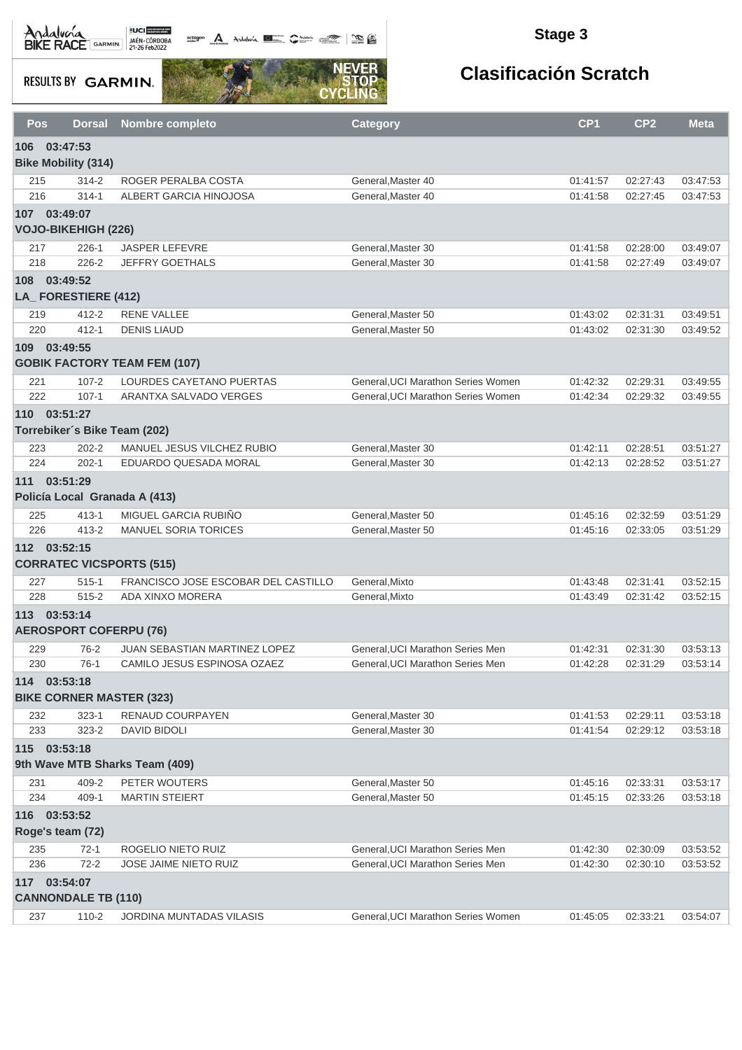Andalvona MEDICIE

octogon A Andalwia **BE CANNA TRANS** 

### **Stage 3**

**RESULTS BY GARMIN.** 



| Pos        | <b>Dorsal</b>                                   | Nombre completo                      | <b>Category</b>                          | CP <sub>1</sub>      | CP <sub>2</sub>      | <b>Meta</b>          |
|------------|-------------------------------------------------|--------------------------------------|------------------------------------------|----------------------|----------------------|----------------------|
| 106        | 03:47:53                                        |                                      |                                          |                      |                      |                      |
|            | <b>Bike Mobility (314)</b>                      |                                      |                                          |                      |                      |                      |
| 215        | $314 - 2$                                       | ROGER PERALBA COSTA                  | General, Master 40                       | 01:41:57             | 02:27:43             | 03:47:53             |
| 216        | $314 - 1$                                       | ALBERT GARCIA HINOJOSA               | General.Master 40                        | 01:41:58             | 02:27:45             | 03:47:53             |
|            | 107 03:49:07                                    |                                      |                                          |                      |                      |                      |
|            | <b>VOJO-BIKEHIGH (226)</b>                      |                                      |                                          |                      |                      |                      |
| 217        | $226 - 1$                                       | <b>JASPER LEFEVRE</b>                | General, Master 30                       | 01:41:58             | 02:28:00             | 03:49:07             |
| 218        | $226 - 2$                                       | <b>JEFFRY GOETHALS</b>               | General.Master 30                        | 01:41:58             | 02:27:49             | 03:49:07             |
| 108        | 03:49:52                                        |                                      |                                          |                      |                      |                      |
|            | LA_FORESTIERE (412)                             |                                      |                                          |                      |                      |                      |
| 219        | $412 - 2$                                       | <b>RENE VALLEE</b>                   | General, Master 50                       | 01:43:02             | 02:31:31             | 03:49:51             |
| 220        | $412 - 1$                                       | <b>DENIS LIAUD</b>                   | General, Master 50                       | 01:43:02             | 02:31:30             | 03:49:52             |
| 109        | 03:49:55                                        |                                      |                                          |                      |                      |                      |
|            |                                                 | <b>GOBIK FACTORY TEAM FEM (107)</b>  |                                          |                      |                      |                      |
| 221        | $107 - 2$                                       | LOURDES CAYETANO PUERTAS             | General, UCI Marathon Series Women       | 01:42:32             | 02:29:31             | 03:49:55             |
| 222        | $107 - 1$                                       | ARANTXA SALVADO VERGES               | General, UCI Marathon Series Women       | 01:42:34             | 02:29:32             | 03:49:55             |
|            | 110 03:51:27                                    |                                      |                                          |                      |                      |                      |
|            | Torrebiker's Bike Team (202)                    |                                      |                                          |                      |                      |                      |
| 223        | $202 - 2$                                       | MANUEL JESUS VILCHEZ RUBIO           | General, Master 30                       | 01:42:11             | 02:28:51             | 03:51:27             |
| 224        | $202 - 1$                                       | EDUARDO QUESADA MORAL                | General, Master 30                       | 01:42:13             | 02:28:52             | 03:51:27             |
| 111        | 03:51:29                                        |                                      |                                          |                      |                      |                      |
|            | Policía Local Granada A (413)                   |                                      |                                          |                      |                      |                      |
| 225        | $413 - 1$                                       | MIGUEL GARCIA RUBIÑO                 | General, Master 50                       | 01:45:16             | 02:32:59             | 03:51:29             |
| 226        | $413 - 2$                                       | <b>MANUEL SORIA TORICES</b>          | General, Master 50                       | 01:45:16             | 02:33:05             | 03:51:29             |
|            | 112 03:52:15                                    |                                      |                                          |                      |                      |                      |
|            | <b>CORRATEC VICSPORTS (515)</b>                 |                                      |                                          |                      |                      |                      |
| 227        | $515 - 1$                                       | FRANCISCO JOSE ESCOBAR DEL CASTILLO  | General, Mixto                           | 01:43:48             | 02:31:41             | 03:52:15             |
| 228        | $515 - 2$                                       | ADA XINXO MORERA                     | General, Mixto                           | 01:43:49             | 02:31:42             | 03:52:15             |
| 113        | 03:53:14                                        |                                      |                                          |                      |                      |                      |
|            | <b>AEROSPORT COFERPU (76)</b>                   |                                      |                                          |                      |                      |                      |
|            |                                                 | <b>JUAN SEBASTIAN MARTINEZ LOPEZ</b> | General, UCI Marathon Series Men         |                      |                      | 03:53:13             |
| 229<br>230 | $76-2$<br>$76-1$                                | CAMILO JESUS ESPINOSA OZAEZ          | General, UCI Marathon Series Men         | 01:42:31<br>01:42:28 | 02:31:30<br>02:31:29 | 03:53:14             |
|            |                                                 |                                      |                                          |                      |                      |                      |
|            | 114 03:53:18<br><b>BIKE CORNER MASTER (323)</b> |                                      |                                          |                      |                      |                      |
|            |                                                 |                                      |                                          |                      |                      |                      |
| 232<br>233 | $323 - 1$<br>$323 - 2$                          | RENAUD COURPAYEN<br>DAVID BIDOLI     | General, Master 30<br>General, Master 30 | 01:41:53<br>01:41:54 | 02:29:11<br>02:29:12 | 03:53:18<br>03:53:18 |
|            |                                                 |                                      |                                          |                      |                      |                      |
|            | 115 03:53:18                                    |                                      |                                          |                      |                      |                      |
|            |                                                 | 9th Wave MTB Sharks Team (409)       |                                          |                      |                      |                      |
| 231        | 409-2                                           | PETER WOUTERS                        | General, Master 50                       | 01:45:16             | 02:33:31             | 03:53:17             |
| 234        | 409-1                                           | <b>MARTIN STEIERT</b>                | General, Master 50                       | 01:45:15             | 02:33:26             | 03:53:18             |
|            | 116 03:53:52                                    |                                      |                                          |                      |                      |                      |
|            | Roge's team (72)                                |                                      |                                          |                      |                      |                      |
| 235        | $72-1$                                          | ROGELIO NIETO RUIZ                   | General, UCI Marathon Series Men         | 01:42:30             | 02:30:09             | 03:53:52             |
| 236        | $72 - 2$                                        | JOSE JAIME NIETO RUIZ                | General, UCI Marathon Series Men         | 01:42:30             | 02:30:10             | 03:53:52             |
|            | 117 03:54:07                                    |                                      |                                          |                      |                      |                      |
|            | <b>CANNONDALE TB (110)</b>                      |                                      |                                          |                      |                      |                      |
| 237        | 110-2                                           | JORDINA MUNTADAS VILASIS             | General, UCI Marathon Series Women       | 01:45:05             | 02:33:21             | 03:54:07             |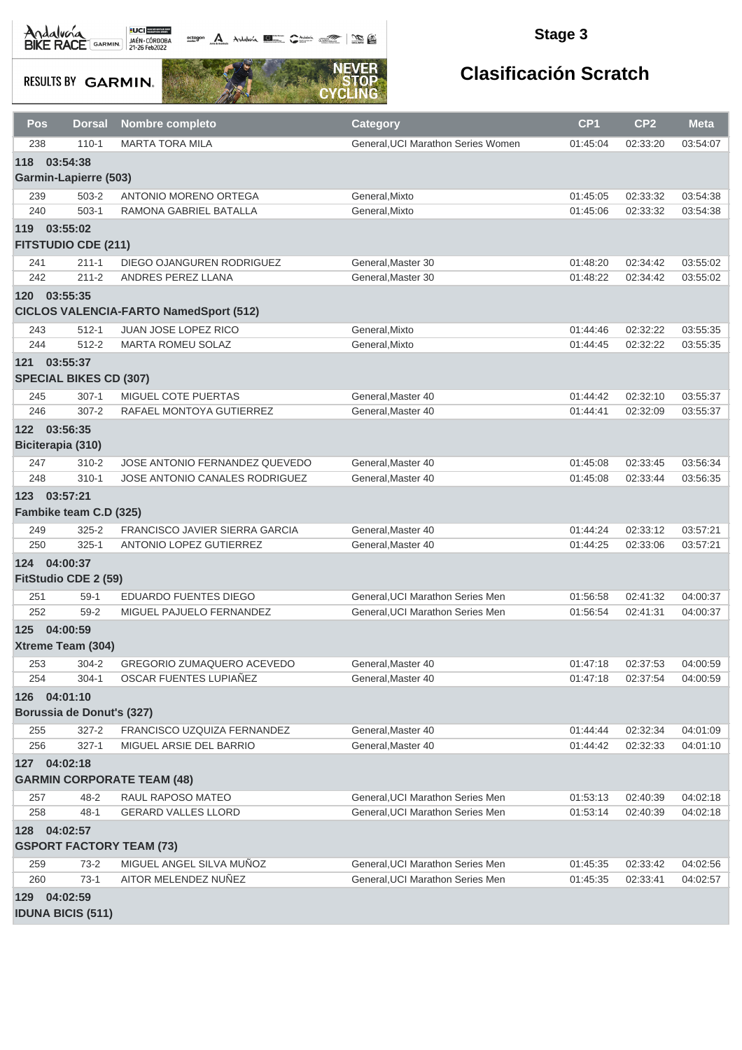octogon A Andalusía **DE C**ANALIS COMPOS COMPOS

### **Stage 3**

**RESULTS BY GARMIN.** 



| <b>Pos</b> | <b>Dorsal</b>                   | Nombre completo                               | <b>Category</b>                    | CP <sub>1</sub> | CP <sub>2</sub> | <b>Meta</b> |
|------------|---------------------------------|-----------------------------------------------|------------------------------------|-----------------|-----------------|-------------|
| 238        | $110 - 1$                       | <b>MARTA TORA MILA</b>                        | General, UCI Marathon Series Women | 01:45:04        | 02:33:20        | 03:54:07    |
| 118        | 03:54:38                        |                                               |                                    |                 |                 |             |
|            | <b>Garmin-Lapierre (503)</b>    |                                               |                                    |                 |                 |             |
| 239        | 503-2                           | ANTONIO MORENO ORTEGA                         | General, Mixto                     | 01:45:05        | 02:33:32        | 03:54:38    |
| 240        | $503-1$                         | RAMONA GABRIEL BATALLA                        | General, Mixto                     | 01:45:06        | 02:33:32        | 03:54:38    |
| 119        | 03:55:02                        |                                               |                                    |                 |                 |             |
|            | <b>FITSTUDIO CDE (211)</b>      |                                               |                                    |                 |                 |             |
| 241        | $211 - 1$                       | DIEGO OJANGUREN RODRIGUEZ                     | General, Master 30                 | 01:48:20        | 02:34:42        | 03:55:02    |
| 242        | $211 - 2$                       | ANDRES PEREZ LLANA                            | General, Master 30                 | 01:48:22        | 02:34:42        | 03:55:02    |
| 120        | 03:55:35                        | <b>CICLOS VALENCIA-FARTO NamedSport (512)</b> |                                    |                 |                 |             |
| 243        | $512 - 1$                       | JUAN JOSE LOPEZ RICO                          | General, Mixto                     | 01:44:46        | 02:32:22        | 03:55:35    |
| 244        | $512 - 2$                       | <b>MARTA ROMEU SOLAZ</b>                      | General, Mixto                     | 01:44:45        | 02:32:22        | 03:55:35    |
| 121        | 03:55:37                        |                                               |                                    |                 |                 |             |
|            | <b>SPECIAL BIKES CD (307)</b>   |                                               |                                    |                 |                 |             |
| 245        | $307 - 1$                       | MIGUEL COTE PUERTAS                           | General, Master 40                 | 01:44:42        | 02:32:10        | 03:55:37    |
| 246        | $307 - 2$                       | RAFAEL MONTOYA GUTIERREZ                      | General, Master 40                 | 01:44:41        | 02:32:09        | 03:55:37    |
|            | 122 03:56:35                    |                                               |                                    |                 |                 |             |
|            | Biciterapia (310)               |                                               |                                    |                 |                 |             |
| 247        | $310 - 2$                       | JOSE ANTONIO FERNANDEZ QUEVEDO                | General, Master 40                 | 01:45:08        | 02:33:45        | 03:56:34    |
| 248        | $310 - 1$                       | JOSE ANTONIO CANALES RODRIGUEZ                | General, Master 40                 | 01:45:08        | 02:33:44        | 03:56:35    |
|            | 123 03:57:21                    |                                               |                                    |                 |                 |             |
|            | Fambike team C.D (325)          |                                               |                                    |                 |                 |             |
| 249        | $325 - 2$                       | FRANCISCO JAVIER SIERRA GARCIA                | General, Master 40                 | 01:44:24        | 02:33:12        | 03:57:21    |
| 250        | $325 - 1$                       | <b>ANTONIO LOPEZ GUTIERREZ</b>                | General, Master 40                 | 01:44:25        | 02:33:06        | 03:57:21    |
|            | 124 04:00:37                    |                                               |                                    |                 |                 |             |
|            | FitStudio CDE 2 (59)            |                                               |                                    |                 |                 |             |
| 251        | $59-1$                          | EDUARDO FUENTES DIEGO                         | General, UCI Marathon Series Men   | 01:56:58        | 02:41:32        | 04:00:37    |
| 252        | $59 - 2$                        | MIGUEL PAJUELO FERNANDEZ                      | General, UCI Marathon Series Men   | 01:56:54        | 02:41:31        | 04:00:37    |
|            | 125 04:00:59                    |                                               |                                    |                 |                 |             |
|            | Xtreme Team (304)               |                                               |                                    |                 |                 |             |
| 253        | $304 - 2$                       | GREGORIO ZUMAQUERO ACEVEDO                    | General, Master 40                 | 01:47:18        | 02:37:53        | 04:00:59    |
| 254        | $304 - 1$                       | OSCAR FUENTES LUPIAÑEZ                        | General, Master 40                 | 01:47:18        | 02:37:54        | 04:00:59    |
|            | 126 04:01:10                    |                                               |                                    |                 |                 |             |
|            | Borussia de Donut's (327)       |                                               |                                    |                 |                 |             |
| 255        | $327 - 2$                       | FRANCISCO UZQUIZA FERNANDEZ                   | General, Master 40                 | 01:44:44        | 02:32:34        | 04:01:09    |
| 256        | $327 - 1$                       | MIGUEL ARSIE DEL BARRIO                       | General, Master 40                 | 01:44:42        | 02:32:33        | 04:01:10    |
|            | 127 04:02:18                    |                                               |                                    |                 |                 |             |
|            |                                 | <b>GARMIN CORPORATE TEAM (48)</b>             |                                    |                 |                 |             |
| 257        | $48 - 2$                        | RAUL RAPOSO MATEO                             | General, UCI Marathon Series Men   | 01:53:13        | 02:40:39        | 04:02:18    |
| 258        | $48 - 1$                        | <b>GERARD VALLES LLORD</b>                    | General, UCI Marathon Series Men   | 01:53:14        | 02:40:39        | 04:02:18    |
|            | 128 04:02:57                    |                                               |                                    |                 |                 |             |
|            | <b>GSPORT FACTORY TEAM (73)</b> |                                               |                                    |                 |                 |             |
| 259        | $73-2$                          | MIGUEL ANGEL SILVA MUÑOZ                      | General, UCI Marathon Series Men   | 01:45:35        | 02:33:42        | 04:02:56    |
| 260        | $73-1$                          | AITOR MELENDEZ NUÑEZ                          | General, UCI Marathon Series Men   | 01:45:35        | 02:33:41        | 04:02:57    |
|            | 129 04:02:59                    |                                               |                                    |                 |                 |             |
|            | <b>IDUNA BICIS (511)</b>        |                                               |                                    |                 |                 |             |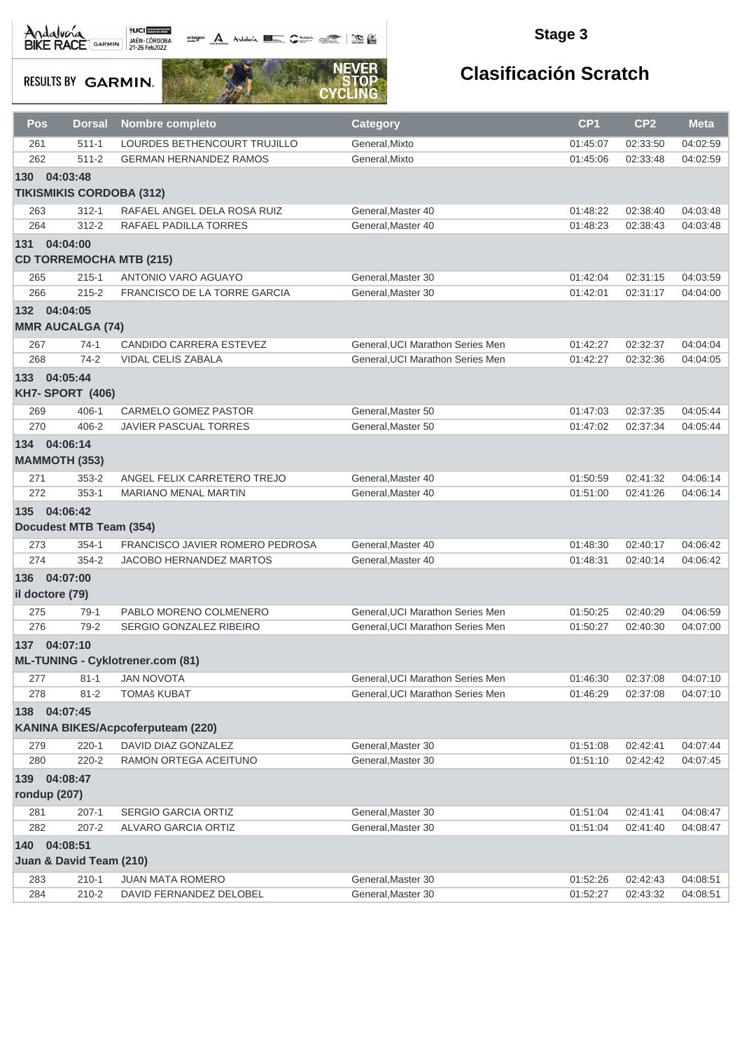octogon A Andalusía **DE C**ANALIS COMPOS COMPOS

### **Stage 3**

**RESULTS BY GARMIN.** 



| Pos                          | <b>Dorsal</b>                   | <b>Nombre completo</b>                   | <b>Category</b>                  | CP <sub>1</sub> | CP <sub>2</sub> | <b>Meta</b> |
|------------------------------|---------------------------------|------------------------------------------|----------------------------------|-----------------|-----------------|-------------|
| 261                          | $511 - 1$                       | LOURDES BETHENCOURT TRUJILLO             | General, Mixto                   | 01:45:07        | 02:33:50        | 04:02:59    |
| 262                          | $511 - 2$                       | <b>GERMAN HERNANDEZ RAMOS</b>            | General, Mixto                   | 01:45:06        | 02:33:48        | 04:02:59    |
| 130                          | 04:03:48                        |                                          |                                  |                 |                 |             |
|                              | <b>TIKISMIKIS CORDOBA (312)</b> |                                          |                                  |                 |                 |             |
| 263                          | $312 - 1$                       | RAFAEL ANGEL DELA ROSA RUIZ              | General, Master 40               | 01:48:22        | 02:38:40        | 04:03:48    |
| 264                          | $312 - 2$                       | RAFAEL PADILLA TORRES                    | General, Master 40               | 01:48:23        | 02:38:43        | 04:03:48    |
| 131 04:04:00                 |                                 |                                          |                                  |                 |                 |             |
|                              |                                 | <b>CD TORREMOCHA MTB (215)</b>           |                                  |                 |                 |             |
| 265                          | $215 - 1$                       | ANTONIO VARO AGUAYO                      | General, Master 30               | 01:42:04        | 02:31:15        | 04:03:59    |
| 266                          | $215 - 2$                       | FRANCISCO DE LA TORRE GARCIA             | General.Master 30                | 01:42:01        | 02:31:17        | 04:04:00    |
| 132                          | 04:04:05                        |                                          |                                  |                 |                 |             |
|                              | <b>MMR AUCALGA (74)</b>         |                                          |                                  |                 |                 |             |
| 267                          | $74-1$                          | <b>CANDIDO CARRERA ESTEVEZ</b>           | General, UCI Marathon Series Men | 01:42:27        | 02:32:37        | 04:04:04    |
| 268                          | $74-2$                          | VIDAL CELIS ZABALA                       | General, UCI Marathon Series Men | 01:42:27        | 02:32:36        | 04:04:05    |
| 133 04:05:44                 |                                 |                                          |                                  |                 |                 |             |
|                              | <b>KH7- SPORT (406)</b>         |                                          |                                  |                 |                 |             |
| 269                          | 406-1                           | CARMELO GOMEZ PASTOR                     | General, Master 50               | 01:47:03        | 02:37:35        | 04:05:44    |
| 270                          | 406-2                           | <b>JAVIER PASCUAL TORRES</b>             | General.Master 50                | 01:47:02        | 02:37:34        | 04:05:44    |
| 134 04:06:14                 |                                 |                                          |                                  |                 |                 |             |
|                              | <b>MAMMOTH (353)</b>            |                                          |                                  |                 |                 |             |
| 271                          | $353 - 2$                       | ANGEL FELIX CARRETERO TREJO              | General, Master 40               | 01:50:59        | 02:41:32        | 04:06:14    |
| 272                          | $353-1$                         | <b>MARIANO MENAL MARTIN</b>              | General, Master 40               | 01:51:00        | 02:41:26        | 04:06:14    |
| 135 04:06:42                 |                                 |                                          |                                  |                 |                 |             |
|                              | Docudest MTB Team (354)         |                                          |                                  |                 |                 |             |
| 273                          | $354 - 1$                       | FRANCISCO JAVIER ROMERO PEDROSA          | General, Master 40               | 01:48:30        | 02:40:17        | 04:06:42    |
| 274                          | $354 - 2$                       | <b>JACOBO HERNANDEZ MARTOS</b>           | General, Master 40               | 01:48:31        | 02:40:14        | 04:06:42    |
| 136 04:07:00                 |                                 |                                          |                                  |                 |                 |             |
| il doctore (79)              |                                 |                                          |                                  |                 |                 |             |
| 275                          | 79-1                            | PABLO MORENO COLMENERO                   | General. UCI Marathon Series Men | 01:50:25        | 02:40:29        | 04:06:59    |
| 276                          | $79-2$                          | SERGIO GONZALEZ RIBEIRO                  | General, UCI Marathon Series Men | 01:50:27        | 02:40:30        | 04:07:00    |
| 137 04:07:10                 |                                 |                                          |                                  |                 |                 |             |
|                              |                                 | <b>ML-TUNING - Cyklotrener.com (81)</b>  |                                  |                 |                 |             |
| 277                          | $81 - 1$                        | <b>JAN NOVOTA</b>                        | General, UCI Marathon Series Men | 01:46:30        | 02:37:08        | 04:07:10    |
| 278                          | $81 - 2$                        | <b>TOMAš KUBAT</b>                       | General, UCI Marathon Series Men | 01:46:29        | 02:37:08        | 04:07:10    |
| 138 04:07:45                 |                                 |                                          |                                  |                 |                 |             |
|                              |                                 | <b>KANINA BIKES/Acpcoferputeam (220)</b> |                                  |                 |                 |             |
| 279                          | $220 - 1$                       | DAVID DIAZ GONZALEZ                      | General, Master 30               | 01:51:08        | 02:42:41        | 04:07:44    |
| 280                          | $220 - 2$                       | RAMON ORTEGA ACEITUNO                    | General.Master 30                | 01:51:10        | 02:42:42        | 04:07:45    |
|                              |                                 |                                          |                                  |                 |                 |             |
| 139 04:08:47<br>rondup (207) |                                 |                                          |                                  |                 |                 |             |
| 281                          | $207-1$                         | SERGIO GARCIA ORTIZ                      | General, Master 30               | 01:51:04        | 02:41:41        | 04:08:47    |
| 282                          | $207 - 2$                       | ALVARO GARCIA ORTIZ                      | General, Master 30               | 01:51:04        | 02:41:40        | 04:08:47    |
| 140 04:08:51                 |                                 |                                          |                                  |                 |                 |             |
|                              | Juan & David Team (210)         |                                          |                                  |                 |                 |             |
| 283                          | $210 - 1$                       | <b>JUAN MATA ROMERO</b>                  | General, Master 30               | 01:52:26        | 02:42:43        | 04:08:51    |
| 284                          | $210 - 2$                       | DAVID FERNANDEZ DELOBEL                  | General, Master 30               | 01:52:27        | 02:43:32        | 04:08:51    |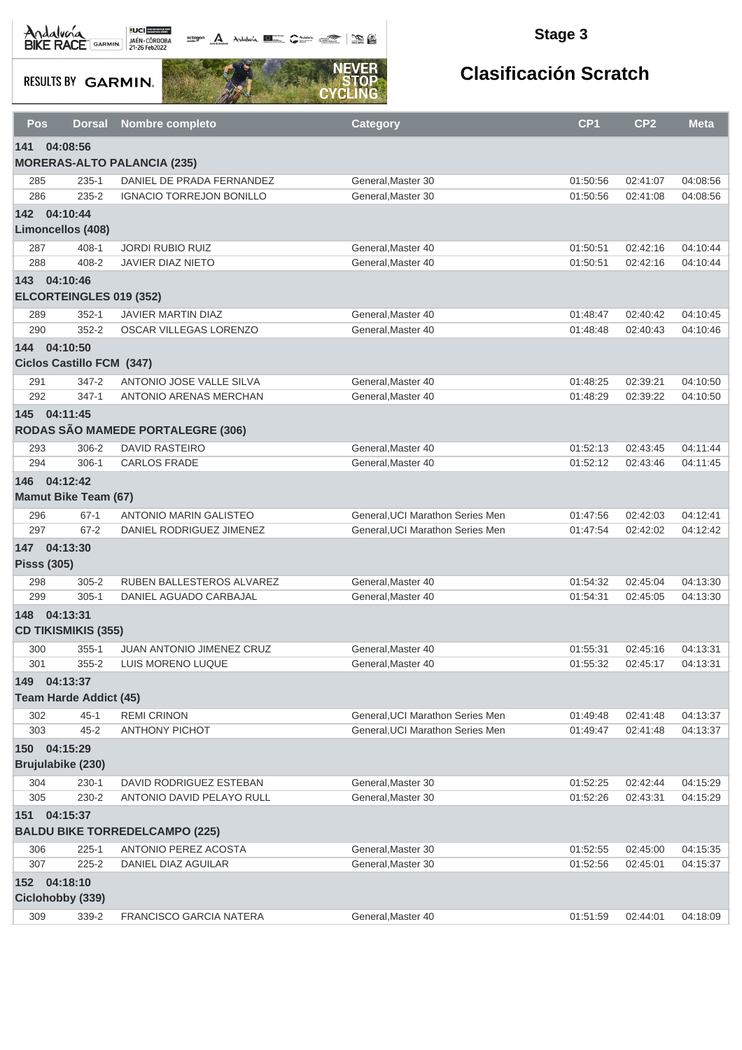# Andalvera BIKE RACE GARMIN 27-26 Feb2022

**octogon** Andalwin **DE Chatting Comment Comments** 

### **Stage 3**

**RESULTS BY GARMIN.** 



| <b>Pos</b> | <b>Dorsal</b>                  | Nombre completo                                      | <b>Category</b>                         | CP <sub>1</sub>      | CP <sub>2</sub>      | <b>Meta</b>          |
|------------|--------------------------------|------------------------------------------------------|-----------------------------------------|----------------------|----------------------|----------------------|
| 141        | 04:08:56                       |                                                      |                                         |                      |                      |                      |
|            |                                | <b>MORERAS-ALTO PALANCIA (235)</b>                   |                                         |                      |                      |                      |
| 285        | $235 - 1$                      | DANIEL DE PRADA FERNANDEZ                            | General, Master 30                      | 01:50:56             | 02:41:07             | 04:08:56             |
| 286        | $235 - 2$                      | <b>IGNACIO TORREJON BONILLO</b>                      | General.Master 30                       | 01:50:56             | 02:41:08             | 04:08:56             |
|            | 142 04:10:44                   |                                                      |                                         |                      |                      |                      |
|            | Limoncellos (408)              |                                                      |                                         |                      |                      |                      |
| 287        | $408 - 1$                      | <b>JORDI RUBIO RUIZ</b>                              | General, Master 40                      | 01:50:51             | 02:42:16             | 04:10:44             |
| 288        | 408-2                          | <b>JAVIER DIAZ NIETO</b>                             | General, Master 40                      | 01:50:51             | 02:42:16             | 04:10:44             |
|            | 143 04:10:46                   |                                                      |                                         |                      |                      |                      |
|            | <b>ELCORTEINGLES 019 (352)</b> |                                                      |                                         |                      |                      |                      |
| 289        | $352 - 1$                      | JAVIER MARTIN DIAZ                                   | General, Master 40                      | 01:48:47             | 02:40:42             | 04:10:45             |
| 290        | $352 - 2$                      | OSCAR VILLEGAS LORENZO                               | General, Master 40                      | 01:48:48             | 02:40:43             | 04:10:46             |
|            | 144 04:10:50                   |                                                      |                                         |                      |                      |                      |
|            | Ciclos Castillo FCM (347)      |                                                      |                                         |                      |                      |                      |
| 291        | 347-2                          | ANTONIO JOSE VALLE SILVA                             | General, Master 40                      | 01:48:25             | 02:39:21             | 04:10:50             |
| 292        | $347 - 1$                      | ANTONIO ARENAS MERCHAN                               | General, Master 40                      | 01:48:29             | 02:39:22             | 04:10:50             |
|            | 145 04:11:45                   |                                                      |                                         |                      |                      |                      |
|            |                                | RODAS SÃO MAMEDE PORTALEGRE (306)                    |                                         |                      |                      |                      |
| 293        | 306-2                          | <b>DAVID RASTEIRO</b>                                | General, Master 40                      | 01:52:13             | 02:43:45             | 04:11:44             |
| 294        | $306-1$                        | <b>CARLOS FRADE</b>                                  | General, Master 40                      | 01:52:12             | 02:43:46             | 04:11:45             |
|            | 146 04:12:42                   |                                                      |                                         |                      |                      |                      |
|            | <b>Mamut Bike Team (67)</b>    |                                                      |                                         |                      |                      |                      |
| 296        | $67-1$                         | <b>ANTONIO MARIN GALISTEO</b>                        | General, UCI Marathon Series Men        | 01:47:56             | 02:42:03             | 04:12:41             |
| 297        | $67 - 2$                       | DANIEL RODRIGUEZ JIMENEZ                             | General, UCI Marathon Series Men        | 01:47:54             | 02:42:02             | 04:12:42             |
|            | 147 04:13:30                   |                                                      |                                         |                      |                      |                      |
|            | <b>Pisss (305)</b>             |                                                      |                                         |                      |                      |                      |
| 298        | $305 - 2$                      | RUBEN BALLESTEROS ALVAREZ                            | General, Master 40                      | 01:54:32             | 02:45:04             | 04:13:30             |
| 299        | $305 - 1$                      | DANIEL AGUADO CARBAJAL                               | General, Master 40                      | 01:54:31             | 02:45:05             | 04:13:30             |
| 148        | 04:13:31                       |                                                      |                                         |                      |                      |                      |
|            | <b>CD TIKISMIKIS (355)</b>     |                                                      |                                         |                      |                      |                      |
| 300        | $355 - 1$                      | <b>JUAN ANTONIO JIMENEZ CRUZ</b>                     | General, Master 40                      | 01:55:31             | 02:45:16             | 04:13:31             |
| 301        | $355 - 2$                      | LUIS MORENO LUQUE                                    | General, Master 40                      | 01:55:32             | 02:45:17             | 04:13:31             |
| 149        | 04:13:37                       |                                                      |                                         |                      |                      |                      |
|            | <b>Team Harde Addict (45)</b>  |                                                      |                                         |                      |                      |                      |
| 302        | $45 - 1$<br>$45 - 2$           | <b>REMI CRINON</b>                                   | General, UCI Marathon Series Men        | 01:49:48             | 02:41:48             | 04:13:37             |
| 303        |                                | <b>ANTHONY PICHOT</b>                                | General, UCI Marathon Series Men        | 01:49:47             | 02:41:48             | 04:13:37             |
|            | 150 04:15:29                   |                                                      |                                         |                      |                      |                      |
|            | Brujulabike (230)              |                                                      |                                         |                      |                      |                      |
| 304<br>305 | $230 - 1$<br>230-2             | DAVID RODRIGUEZ ESTEBAN<br>ANTONIO DAVID PELAYO RULL | General, Master 30<br>General.Master 30 | 01:52:25<br>01:52:26 | 02:42:44<br>02:43:31 | 04:15:29<br>04:15:29 |
|            |                                |                                                      |                                         |                      |                      |                      |
| 151        | 04:15:37                       | <b>BALDU BIKE TORREDELCAMPO (225)</b>                |                                         |                      |                      |                      |
| 306        | $225 - 1$                      | ANTONIO PEREZ ACOSTA                                 | General, Master 30                      | 01:52:55             | 02:45:00             | 04:15:35             |
| 307        | $225 - 2$                      | DANIEL DIAZ AGUILAR                                  | General, Master 30                      | 01:52:56             | 02:45:01             | 04:15:37             |
|            | 152 04:18:10                   |                                                      |                                         |                      |                      |                      |
|            | Ciclohobby (339)               |                                                      |                                         |                      |                      |                      |
| 309        | 339-2                          | <b>FRANCISCO GARCIA NATERA</b>                       | General, Master 40                      | 01:51:59             | 02:44:01             | 04:18:09             |
|            |                                |                                                      |                                         |                      |                      |                      |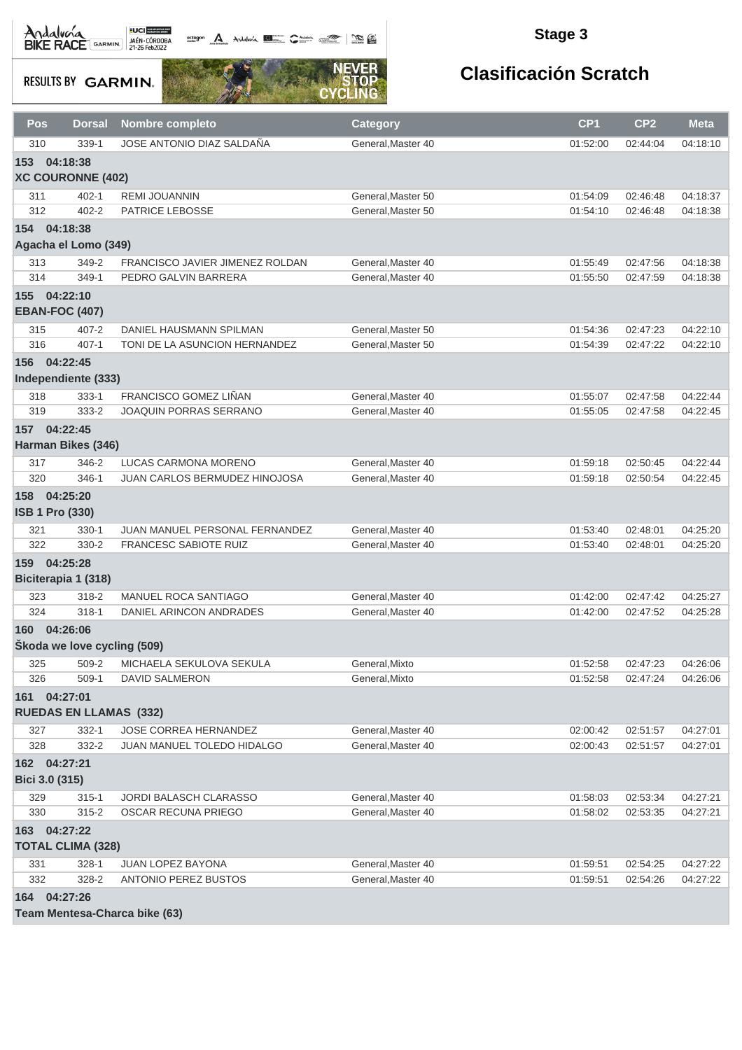octogon A Andalunia **1977** Catalog 2008 - 2008

### **Stage 3**

**RESULTS BY GARMIN.** 



| Pos                    | <b>Dorsal</b>                 | <b>Nombre completo</b>          | <b>Category</b>    | CP <sub>1</sub> | CP <sub>2</sub> | <b>Meta</b> |
|------------------------|-------------------------------|---------------------------------|--------------------|-----------------|-----------------|-------------|
| 310                    | 339-1                         | JOSE ANTONIO DIAZ SALDANA       | General, Master 40 | 01:52:00        | 02:44:04        | 04:18:10    |
| 153                    | 04:18:38                      |                                 |                    |                 |                 |             |
|                        | <b>XC COURONNE (402)</b>      |                                 |                    |                 |                 |             |
| 311                    | $402 - 1$                     | <b>REMI JOUANNIN</b>            | General, Master 50 | 01:54:09        | 02:46:48        | 04:18:37    |
| 312                    | $402 - 2$                     | PATRICE LEBOSSE                 | General, Master 50 | 01:54:10        | 02:46:48        | 04:18:38    |
| 154 04:18:38           |                               |                                 |                    |                 |                 |             |
|                        | Agacha el Lomo (349)          |                                 |                    |                 |                 |             |
| 313                    | 349-2                         | FRANCISCO JAVIER JIMENEZ ROLDAN | General, Master 40 | 01:55:49        | 02:47:56        | 04:18:38    |
| 314                    | 349-1                         | PEDRO GALVIN BARRERA            | General, Master 40 | 01:55:50        | 02:47:59        | 04:18:38    |
| 155                    | 04:22:10                      |                                 |                    |                 |                 |             |
| <b>EBAN-FOC (407)</b>  |                               |                                 |                    |                 |                 |             |
| 315                    | $407 - 2$                     | DANIEL HAUSMANN SPILMAN         | General, Master 50 | 01:54:36        | 02:47:23        | 04:22:10    |
| 316                    | $407 - 1$                     | TONI DE LA ASUNCION HERNANDEZ   | General, Master 50 | 01:54:39        | 02:47:22        | 04:22:10    |
| 156 04:22:45           |                               |                                 |                    |                 |                 |             |
|                        | Independiente (333)           |                                 |                    |                 |                 |             |
| 318                    | $333 - 1$                     | FRANCISCO GOMEZ LIÑAN           | General, Master 40 | 01:55:07        | 02:47:58        | 04:22:44    |
| 319                    | 333-2                         | JOAQUIN PORRAS SERRANO          | General, Master 40 | 01:55:05        | 02:47:58        | 04:22:45    |
| 157                    | 04:22:45                      |                                 |                    |                 |                 |             |
|                        | <b>Harman Bikes (346)</b>     |                                 |                    |                 |                 |             |
| 317                    | 346-2                         | LUCAS CARMONA MORENO            | General, Master 40 | 01:59:18        | 02:50:45        | 04:22:44    |
| 320                    | 346-1                         | JUAN CARLOS BERMUDEZ HINOJOSA   | General, Master 40 | 01:59:18        | 02:50:54        | 04:22:45    |
| 158 04:25:20           |                               |                                 |                    |                 |                 |             |
| <b>ISB 1 Pro (330)</b> |                               |                                 |                    |                 |                 |             |
| 321                    | 330-1                         | JUAN MANUEL PERSONAL FERNANDEZ  | General, Master 40 | 01:53:40        | 02:48:01        | 04:25:20    |
| 322                    | 330-2                         | <b>FRANCESC SABIOTE RUIZ</b>    | General, Master 40 | 01:53:40        | 02:48:01        | 04:25:20    |
| 159 04:25:28           |                               |                                 |                    |                 |                 |             |
|                        | Biciterapia 1 (318)           |                                 |                    |                 |                 |             |
| 323                    | 318-2                         | <b>MANUEL ROCA SANTIAGO</b>     | General, Master 40 | 01:42:00        | 02:47:42        | 04:25:27    |
| 324                    | $318 - 1$                     | DANIEL ARINCON ANDRADES         | General, Master 40 | 01:42:00        | 02:47:52        | 04:25:28    |
| 160 04:26:06           |                               |                                 |                    |                 |                 |             |
|                        | Škoda we love cycling (509)   |                                 |                    |                 |                 |             |
| 325                    | 509-2                         | MICHAELA SEKULOVA SEKULA        | General, Mixto     | 01:52:58        | 02:47:23        | 04:26:06    |
| 326                    | $509-1$                       | <b>DAVID SALMERON</b>           | General, Mixto     | 01:52:58        | 02:47:24        | 04:26:06    |
| 161 04:27:01           | <b>RUEDAS EN LLAMAS (332)</b> |                                 |                    |                 |                 |             |
| 327                    | $332 - 1$                     | JOSE CORREA HERNANDEZ           | General, Master 40 | 02:00:42        | 02:51:57        | 04:27:01    |
| 328                    | 332-2                         | JUAN MANUEL TOLEDO HIDALGO      | General, Master 40 | 02:00:43        | 02:51:57        | 04:27:01    |
| 162 04:27:21           |                               |                                 |                    |                 |                 |             |
| Bici 3.0 (315)         |                               |                                 |                    |                 |                 |             |
| 329                    | $315 - 1$                     | JORDI BALASCH CLARASSO          | General, Master 40 | 01:58:03        | 02:53:34        | 04:27:21    |
| 330                    | $315 - 2$                     | <b>OSCAR RECUNA PRIEGO</b>      | General, Master 40 | 01:58:02        | 02:53:35        | 04:27:21    |
| 163 04:27:22           |                               |                                 |                    |                 |                 |             |
|                        | <b>TOTAL CLIMA (328)</b>      |                                 |                    |                 |                 |             |
| 331                    | $328 - 1$                     | JUAN LOPEZ BAYONA               | General, Master 40 | 01:59:51        | 02:54:25        | 04:27:22    |
| 332                    | 328-2                         | ANTONIO PEREZ BUSTOS            | General, Master 40 | 01:59:51        | 02:54:26        | 04:27:22    |
| 164 04:27:26           |                               |                                 |                    |                 |                 |             |
|                        |                               | Team Mentesa-Charca bike (63)   |                    |                 |                 |             |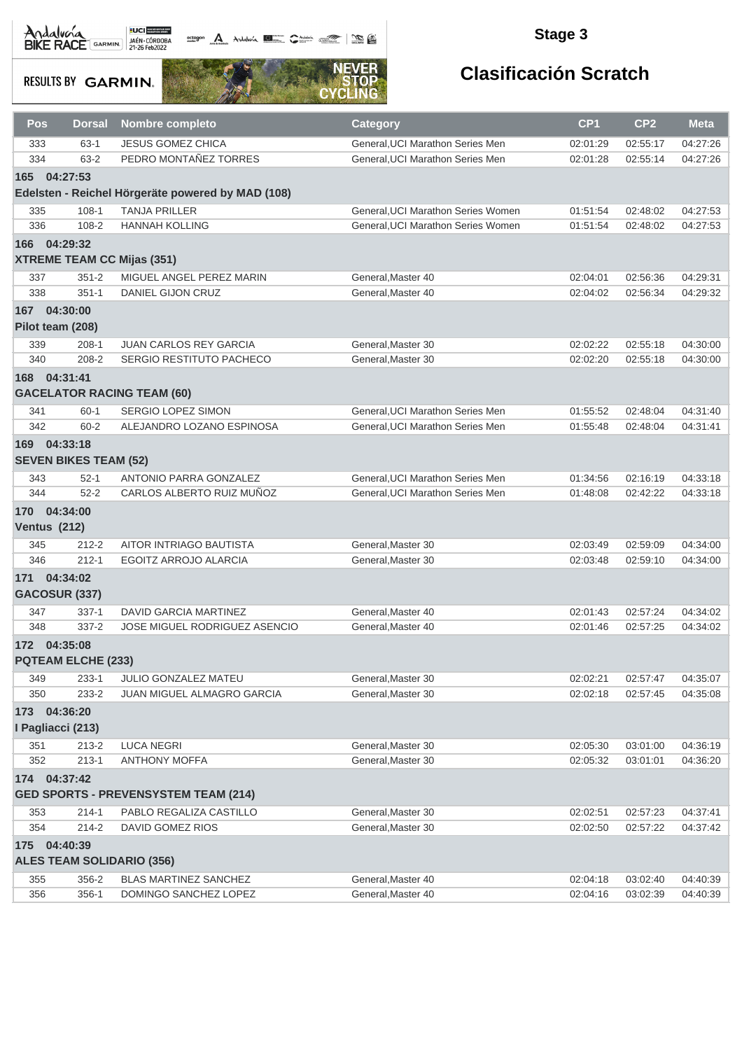# Andalvona MEDICIE

octogon A Andalusía **DE C**ANALIS COMPOS COMPOS

### **Stage 3**

**RESULTS BY GARMIN.** 



| Pos                                  | <b>Dorsal</b>                            | <b>Nombre completo</b>                            | <b>Category</b>                                                      | CP <sub>1</sub>      | CP <sub>2</sub>      | <b>Meta</b>          |
|--------------------------------------|------------------------------------------|---------------------------------------------------|----------------------------------------------------------------------|----------------------|----------------------|----------------------|
| 333                                  | $63 - 1$                                 | <b>JESUS GOMEZ CHICA</b>                          | General. UCI Marathon Series Men                                     | 02:01:29             | 02:55:17             | 04:27:26             |
| 334                                  | $63 - 2$                                 | PEDRO MONTAÑEZ TORRES                             | General, UCI Marathon Series Men                                     | 02:01:28             | 02:55:14             | 04:27:26             |
| 165                                  | 04:27:53                                 |                                                   |                                                                      |                      |                      |                      |
|                                      |                                          | Edelsten - Reichel Hörgeräte powered by MAD (108) |                                                                      |                      |                      |                      |
| 335                                  | $108 - 1$                                | <b>TANJA PRILLER</b>                              | General, UCI Marathon Series Women                                   | 01:51:54             | 02:48:02             | 04:27:53             |
| 336                                  | 108-2                                    | <b>HANNAH KOLLING</b>                             | General, UCI Marathon Series Women                                   | 01:51:54             | 02:48:02             | 04:27:53             |
| 166                                  | 04:29:32                                 |                                                   |                                                                      |                      |                      |                      |
|                                      |                                          | <b>XTREME TEAM CC Mijas (351)</b>                 |                                                                      |                      |                      |                      |
| 337                                  | $351 - 2$                                | MIGUEL ANGEL PEREZ MARIN                          | General, Master 40                                                   | 02:04:01             | 02:56:36             | 04:29:31             |
| 338                                  | $351 - 1$                                | <b>DANIEL GIJON CRUZ</b>                          | General, Master 40                                                   | 02:04:02             | 02:56:34             | 04:29:32             |
| 167                                  | 04:30:00                                 |                                                   |                                                                      |                      |                      |                      |
| Pilot team (208)                     |                                          |                                                   |                                                                      |                      |                      |                      |
| 339                                  | $208-1$                                  | <b>JUAN CARLOS REY GARCIA</b>                     | General, Master 30                                                   | 02:02:22             | 02:55:18             | 04:30:00             |
| 340                                  | 208-2                                    | SERGIO RESTITUTO PACHECO                          | General, Master 30                                                   | 02:02:20             | 02:55:18             | 04:30:00             |
| 168 04:31:41                         |                                          |                                                   |                                                                      |                      |                      |                      |
|                                      |                                          | <b>GACELATOR RACING TEAM (60)</b>                 |                                                                      |                      |                      |                      |
|                                      |                                          |                                                   |                                                                      |                      |                      |                      |
| 341<br>342                           | $60 - 1$<br>$60 - 2$                     | SERGIO LOPEZ SIMON<br>ALEJANDRO LOZANO ESPINOSA   | General, UCI Marathon Series Men<br>General, UCI Marathon Series Men | 01:55:52<br>01:55:48 | 02:48:04<br>02:48:04 | 04:31:40<br>04:31:41 |
|                                      |                                          |                                                   |                                                                      |                      |                      |                      |
| 169                                  | 04:33:18<br><b>SEVEN BIKES TEAM (52)</b> |                                                   |                                                                      |                      |                      |                      |
| 343                                  | $52-1$                                   | <b>ANTONIO PARRA GONZALEZ</b>                     | General, UCI Marathon Series Men                                     | 01:34:56             | 02:16:19             | 04:33:18             |
| 344                                  | $52 - 2$                                 | CARLOS ALBERTO RUIZ MUÑOZ                         | General, UCI Marathon Series Men                                     | 01:48:08             | 02:42:22             | 04:33:18             |
| 170 04:34:00                         |                                          |                                                   |                                                                      |                      |                      |                      |
| <b>Ventus (212)</b>                  |                                          |                                                   |                                                                      |                      |                      |                      |
| 345                                  | $212 - 2$                                | AITOR INTRIAGO BAUTISTA                           | General, Master 30                                                   | 02:03:49             | 02:59:09             | 04:34:00             |
| 346                                  | $212 - 1$                                | EGOITZ ARROJO ALARCIA                             | General, Master 30                                                   | 02:03:48             | 02:59:10             | 04:34:00             |
| 171 04:34:02<br><b>GACOSUR (337)</b> |                                          |                                                   |                                                                      |                      |                      |                      |
| 347                                  | $337-1$                                  | DAVID GARCIA MARTINEZ                             | General, Master 40                                                   | 02:01:43             | 02:57:24             | 04:34:02             |
| 348                                  | $337 - 2$                                | JOSE MIGUEL RODRIGUEZ ASENCIO                     | General, Master 40                                                   | 02:01:46             | 02:57:25             | 04:34:02             |
| 172 04:35:08                         |                                          |                                                   |                                                                      |                      |                      |                      |
|                                      | <b>PQTEAM ELCHE (233)</b>                |                                                   |                                                                      |                      |                      |                      |
| 349                                  | $233 - 1$                                | JULIO GONZALEZ MATEU                              | General, Master 30                                                   | 02:02:21             | 02:57:47             | 04:35:07             |
| 350                                  | 233-2                                    | JUAN MIGUEL ALMAGRO GARCIA                        | General, Master 30                                                   | 02:02:18             | 02:57:45             | 04:35:08             |
| 173 04:36:20                         |                                          |                                                   |                                                                      |                      |                      |                      |
| I Pagliacci (213)                    |                                          |                                                   |                                                                      |                      |                      |                      |
| 351                                  | $213 - 2$                                | <b>LUCA NEGRI</b>                                 | General, Master 30                                                   | 02:05:30             | 03:01:00             | 04:36:19             |
| 352                                  | $213 - 1$                                | <b>ANTHONY MOFFA</b>                              | General.Master 30                                                    | 02:05:32             | 03:01:01             | 04:36:20             |
| 174 04:37:42                         |                                          |                                                   |                                                                      |                      |                      |                      |
|                                      |                                          | <b>GED SPORTS - PREVENSYSTEM TEAM (214)</b>       |                                                                      |                      |                      |                      |
| 353                                  | $214 - 1$                                | PABLO REGALIZA CASTILLO                           | General, Master 30                                                   | 02:02:51             | 02:57:23             | 04:37:41             |
| 354                                  | $214 - 2$                                | DAVID GOMEZ RIOS                                  | General, Master 30                                                   | 02:02:50             | 02:57:22             | 04:37:42             |
| 175 04:40:39                         |                                          |                                                   |                                                                      |                      |                      |                      |
|                                      |                                          | <b>ALES TEAM SOLIDARIO (356)</b>                  |                                                                      |                      |                      |                      |
| 355                                  | 356-2                                    | BLAS MARTINEZ SANCHEZ                             | General, Master 40                                                   | 02:04:18             | 03:02:40             | 04:40:39             |
| 356                                  | $356-1$                                  | DOMINGO SANCHEZ LOPEZ                             | General, Master 40                                                   | 02:04:16             | 03:02:39             | 04:40:39             |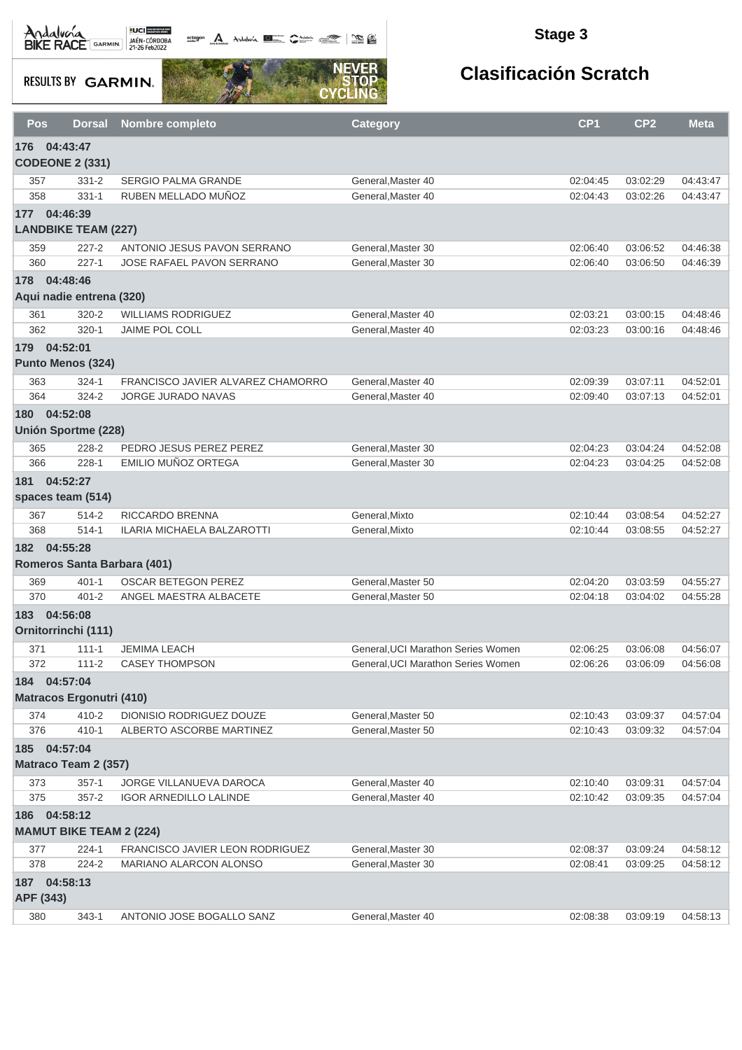Andalva BACE GARMIN AND LOCAL DEL BACK

octogon A Andalunia **1977** Catalog 2008 - 2008

### **Stage 3**

**RESULTS BY GARMIN.** 



| Pos        | <b>Dorsal</b>                              | <b>Nombre completo</b>                                    | <b>Category</b>                          | CP <sub>1</sub>      | CP <sub>2</sub>      | <b>Meta</b>          |
|------------|--------------------------------------------|-----------------------------------------------------------|------------------------------------------|----------------------|----------------------|----------------------|
| 176        | 04:43:47                                   |                                                           |                                          |                      |                      |                      |
|            | <b>CODEONE 2 (331)</b>                     |                                                           |                                          |                      |                      |                      |
| 357        | $331 - 2$                                  | <b>SERGIO PALMA GRANDE</b>                                | General, Master 40                       | 02:04:45             | 03:02:29             | 04:43:47             |
| 358        | $331 - 1$                                  | RUBEN MELLADO MUÑOZ                                       | General, Master 40                       | 02:04:43             | 03:02:26             | 04:43:47             |
|            | 177 04:46:39<br><b>LANDBIKE TEAM (227)</b> |                                                           |                                          |                      |                      |                      |
| 359        | $227 - 2$                                  | ANTONIO JESUS PAVON SERRANO                               | General, Master 30                       | 02:06:40             | 03:06:52             | 04:46:38             |
| 360        | $227 - 1$                                  | JOSE RAFAEL PAVON SERRANO                                 | General, Master 30                       | 02:06:40             | 03:06:50             | 04:46:39             |
| 178        | 04:48:46                                   |                                                           |                                          |                      |                      |                      |
|            | Aqui nadie entrena (320)                   |                                                           |                                          |                      |                      |                      |
| 361        | $320 - 2$                                  | <b>WILLIAMS RODRIGUEZ</b>                                 | General, Master 40                       | 02:03:21             | 03:00:15             | 04:48:46             |
| 362        | $320 - 1$                                  | <b>JAIME POL COLL</b>                                     | General, Master 40                       | 02:03:23             | 03:00:16             | 04:48:46             |
|            | 179 04:52:01                               |                                                           |                                          |                      |                      |                      |
|            | Punto Menos (324)                          |                                                           |                                          |                      |                      |                      |
| 363        | $324 - 1$                                  | FRANCISCO JAVIER ALVAREZ CHAMORRO                         | General, Master 40                       | 02:09:39             | 03:07:11             | 04:52:01             |
| 364        | $324 - 2$                                  | <b>JORGE JURADO NAVAS</b>                                 | General.Master 40                        | 02:09:40             | 03:07:13             | 04:52:01             |
| 180        | 04:52:08                                   |                                                           |                                          |                      |                      |                      |
|            | <b>Unión Sportme (228)</b>                 |                                                           |                                          |                      |                      |                      |
| 365<br>366 | 228-2<br>$228 - 1$                         | PEDRO JESUS PEREZ PEREZ<br>EMILIO MUÑOZ ORTEGA            | General, Master 30<br>General, Master 30 | 02:04:23<br>02:04:23 | 03:04:24<br>03:04:25 | 04:52:08<br>04:52:08 |
| 181        | 04:52:27                                   |                                                           |                                          |                      |                      |                      |
|            | spaces team (514)                          |                                                           |                                          |                      |                      |                      |
| 367        | $514 - 2$                                  | RICCARDO BRENNA                                           | General, Mixto                           | 02:10:44             | 03:08:54             | 04:52:27             |
| 368        | $514 - 1$                                  | ILARIA MICHAELA BALZAROTTI                                | General, Mixto                           | 02:10:44             | 03:08:55             | 04:52:27             |
| 182        | 04:55:28                                   |                                                           |                                          |                      |                      |                      |
|            | Romeros Santa Barbara (401)                |                                                           |                                          |                      |                      |                      |
| 369        | $401 - 1$                                  | <b>OSCAR BETEGON PEREZ</b>                                | General, Master 50                       | 02:04:20             | 03:03:59             | 04:55:27             |
| 370        | $401 - 2$                                  | ANGEL MAESTRA ALBACETE                                    | General, Master 50                       | 02:04:18             | 03:04:02             | 04:55:28             |
| 183        | 04:56:08                                   |                                                           |                                          |                      |                      |                      |
|            | Ornitorrinchi (111)                        |                                                           |                                          |                      |                      |                      |
| 371        | $111 - 1$                                  | <b>JEMIMA LEACH</b>                                       | General, UCI Marathon Series Women       | 02:06:25             | 03:06:08             | 04:56:07             |
| 372        | $111 - 2$                                  | <b>CASEY THOMPSON</b>                                     | General, UCI Marathon Series Women       | 02:06:26             | 03:06:09             | 04:56:08             |
|            | 184 04:57:04                               |                                                           |                                          |                      |                      |                      |
|            | <b>Matracos Ergonutri (410)</b>            |                                                           |                                          |                      |                      |                      |
| 374        | $410 - 2$                                  | DIONISIO RODRIGUEZ DOUZE                                  | General, Master 50                       | 02:10:43             | 03:09:37             | 04:57:04             |
| 376        | $410 - 1$                                  | ALBERTO ASCORBE MARTINEZ                                  | General, Master 50                       | 02:10:43             | 03:09:32             | 04:57:04             |
|            | 185 04:57:04                               |                                                           |                                          |                      |                      |                      |
|            | Matraco Team 2 (357)                       |                                                           |                                          |                      |                      |                      |
| 373        | $357-1$                                    | JORGE VILLANUEVA DAROCA                                   | General, Master 40                       | 02:10:40             | 03:09:31             | 04:57:04             |
| 375        | $357 - 2$                                  | <b>IGOR ARNEDILLO LALINDE</b>                             | General, Master 40                       | 02:10:42             | 03:09:35             | 04:57:04             |
| 186        | 04:58:12<br><b>MAMUT BIKE TEAM 2 (224)</b> |                                                           |                                          |                      |                      |                      |
|            |                                            |                                                           |                                          |                      |                      |                      |
| 377<br>378 | $224 - 1$<br>$224 - 2$                     | FRANCISCO JAVIER LEON RODRIGUEZ<br>MARIANO ALARCON ALONSO | General, Master 30<br>General, Master 30 | 02:08:37<br>02:08:41 | 03:09:24<br>03:09:25 | 04:58:12<br>04:58:12 |
|            | 187 04:58:13                               |                                                           |                                          |                      |                      |                      |
|            | APF (343)                                  |                                                           |                                          |                      |                      |                      |
| 380        | $343 - 1$                                  | ANTONIO JOSE BOGALLO SANZ                                 | General, Master 40                       | 02:08:38             | 03:09:19             | 04:58:13             |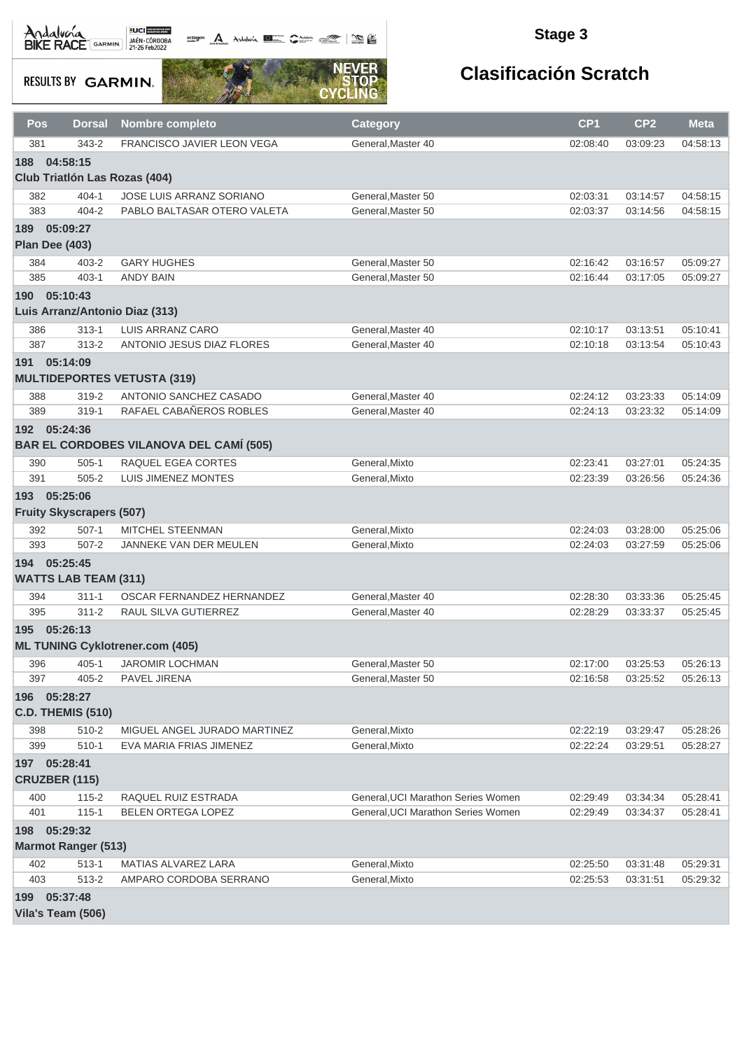**octogon A** Andalwin **ELLER** CANNAIS TO BE

### **Stage 3**

**RESULTS BY GARMIN.** 



| <b>Pos</b>     | <b>Dorsal</b>                   | Nombre completo                                | <b>Category</b>                    | CP <sub>1</sub> | CP <sub>2</sub> | <b>Meta</b> |
|----------------|---------------------------------|------------------------------------------------|------------------------------------|-----------------|-----------------|-------------|
| 381            | $343 - 2$                       | FRANCISCO JAVIER LEON VEGA                     | General, Master 40                 | 02:08:40        | 03:09:23        | 04:58:13    |
| 188            | 04:58:15                        |                                                |                                    |                 |                 |             |
|                |                                 | Club Triatión Las Rozas (404)                  |                                    |                 |                 |             |
| 382            | $404 - 1$                       | <b>JOSE LUIS ARRANZ SORIANO</b>                | General.Master 50                  | 02:03:31        | 03:14:57        | 04:58:15    |
| 383            | $404 - 2$                       | PABLO BALTASAR OTERO VALETA                    | General, Master 50                 | 02:03:37        | 03:14:56        | 04:58:15    |
| 189            | 05:09:27                        |                                                |                                    |                 |                 |             |
| Plan Dee (403) |                                 |                                                |                                    |                 |                 |             |
| 384            | $403 - 2$                       | <b>GARY HUGHES</b>                             | General.Master 50                  | 02:16:42        | 03:16:57        | 05:09:27    |
| 385            | $403 - 1$                       | <b>ANDY BAIN</b>                               | General, Master 50                 | 02:16:44        | 03:17:05        | 05:09:27    |
| 190            | 05:10:43                        |                                                |                                    |                 |                 |             |
|                |                                 | Luis Arranz/Antonio Diaz (313)                 |                                    |                 |                 |             |
| 386            | $313 - 1$                       | LUIS ARRANZ CARO                               | General, Master 40                 | 02:10:17        | 03:13:51        | 05:10:41    |
| 387            | $313 - 2$                       | ANTONIO JESUS DIAZ FLORES                      | General, Master 40                 | 02:10:18        | 03:13:54        | 05:10:43    |
| 191 05:14:09   |                                 |                                                |                                    |                 |                 |             |
|                |                                 | <b>MULTIDEPORTES VETUSTA (319)</b>             |                                    |                 |                 |             |
| 388            | $319 - 2$                       | ANTONIO SANCHEZ CASADO                         | General, Master 40                 | 02:24:12        | 03:23:33        | 05:14:09    |
| 389            | $319 - 1$                       | RAFAEL CABAÑEROS ROBLES                        | General, Master 40                 | 02:24:13        | 03:23:32        | 05:14:09    |
| 192 05:24:36   |                                 |                                                |                                    |                 |                 |             |
|                |                                 | <b>BAR EL CORDOBES VILANOVA DEL CAMÍ (505)</b> |                                    |                 |                 |             |
| 390            | $505-1$                         | RAQUEL EGEA CORTES                             | General, Mixto                     | 02:23:41        | 03:27:01        | 05:24:35    |
| 391            | $505 - 2$                       | LUIS JIMENEZ MONTES                            | General, Mixto                     | 02:23:39        | 03:26:56        | 05:24:36    |
| 193 05:25:06   |                                 |                                                |                                    |                 |                 |             |
|                | <b>Fruity Skyscrapers (507)</b> |                                                |                                    |                 |                 |             |
| 392            | $507-1$                         | MITCHEL STEENMAN                               | General, Mixto                     | 02:24:03        | 03:28:00        | 05:25:06    |
| 393            | $507 - 2$                       | JANNEKE VAN DER MEULEN                         | General, Mixto                     | 02:24:03        | 03:27:59        | 05:25:06    |
| 194 05:25:45   |                                 |                                                |                                    |                 |                 |             |
|                | <b>WATTS LAB TEAM (311)</b>     |                                                |                                    |                 |                 |             |
| 394            | $311 - 1$                       | OSCAR FERNANDEZ HERNANDEZ                      | General, Master 40                 | 02:28:30        | 03:33:36        | 05:25:45    |
| 395            | $311 - 2$                       | RAUL SILVA GUTIERREZ                           | General, Master 40                 | 02:28:29        | 03:33:37        | 05:25:45    |
| 195 05:26:13   |                                 |                                                |                                    |                 |                 |             |
|                |                                 | <b>ML TUNING Cyklotrener.com (405)</b>         |                                    |                 |                 |             |
| 396            | $405 - 1$                       | <b>JAROMIR LOCHMAN</b>                         | General, Master 50                 | 02:17:00        | 03:25:53        | 05:26:13    |
| 397            | $405 - 2$                       | PAVEL JIRENA                                   | General, Master 50                 | 02:16:58        | 03:25:52        | 05:26:13    |
| 196 05:28:27   |                                 |                                                |                                    |                 |                 |             |
|                | <b>C.D. THEMIS (510)</b>        |                                                |                                    |                 |                 |             |
| 398            | 510-2                           | MIGUEL ANGEL JURADO MARTINEZ                   | General, Mixto                     | 02:22:19        | 03:29:47        | 05:28:26    |
| 399            | $510-1$                         | EVA MARIA FRIAS JIMENEZ                        | General, Mixto                     | 02:22:24        | 03:29:51        | 05:28:27    |
| 197 05:28:41   |                                 |                                                |                                    |                 |                 |             |
|                | <b>CRUZBER (115)</b>            |                                                |                                    |                 |                 |             |
| 400            | $115 - 2$                       | RAQUEL RUIZ ESTRADA                            | General, UCI Marathon Series Women | 02:29:49        | 03:34:34        | 05:28:41    |
| 401            | $115 - 1$                       | BELEN ORTEGA LOPEZ                             | General, UCI Marathon Series Women | 02:29:49        | 03:34:37        | 05:28:41    |
| 198 05:29:32   |                                 |                                                |                                    |                 |                 |             |
|                | <b>Marmot Ranger (513)</b>      |                                                |                                    |                 |                 |             |
| 402            | $513 - 1$                       | MATIAS ALVAREZ LARA                            | General, Mixto                     | 02:25:50        | 03:31:48        | 05:29:31    |
| 403            | 513-2                           | AMPARO CORDOBA SERRANO                         | General, Mixto                     | 02:25:53        | 03:31:51        | 05:29:32    |
| 199 05:37:48   |                                 |                                                |                                    |                 |                 |             |
|                | Vila's Team (506)               |                                                |                                    |                 |                 |             |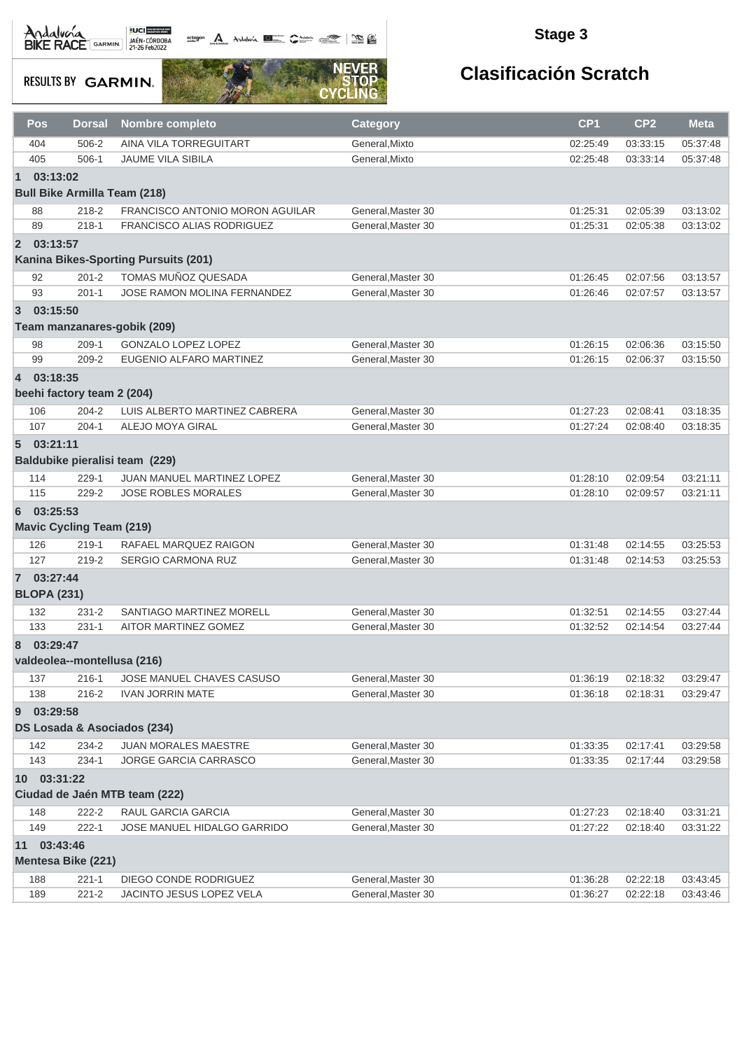Andalvona MEDICIE

actagon A Andaluna **1977** Contains a compositor and compositor

### **Stage 3**

**RESULTS BY GARMIN.** 



|                | Pos                                         | <b>Dorsal</b>                   | <b>Nombre completo</b>                                   | <b>Category</b>                          | CP <sub>1</sub> | CP <sub>2</sub> | <b>Meta</b> |  |  |  |
|----------------|---------------------------------------------|---------------------------------|----------------------------------------------------------|------------------------------------------|-----------------|-----------------|-------------|--|--|--|
|                | 404                                         | 506-2                           | AINA VILA TORREGUITART                                   | General, Mixto                           | 02:25:49        | 03:33:15        | 05:37:48    |  |  |  |
|                | 405                                         | $506-1$                         | JAUME VILA SIBILA                                        | General, Mixto                           | 02:25:48        | 03:33:14        | 05:37:48    |  |  |  |
| $\blacksquare$ | 03:13:02                                    |                                 |                                                          |                                          |                 |                 |             |  |  |  |
|                | <b>Bull Bike Armilla Team (218)</b>         |                                 |                                                          |                                          |                 |                 |             |  |  |  |
|                | 88                                          | 218-2                           | FRANCISCO ANTONIO MORON AGUILAR                          | General, Master 30                       | 01:25:31        | 02:05:39        | 03:13:02    |  |  |  |
|                | 89                                          | $218 - 1$                       | FRANCISCO ALIAS RODRIGUEZ                                | General, Master 30                       | 01:25:31        | 02:05:38        | 03:13:02    |  |  |  |
|                | 2 03:13:57                                  |                                 |                                                          |                                          |                 |                 |             |  |  |  |
|                |                                             |                                 | Kanina Bikes-Sporting Pursuits (201)                     |                                          |                 |                 |             |  |  |  |
|                | 92                                          | $201 - 2$                       | TOMAS MUÑOZ QUESADA                                      | General.Master 30                        | 01:26:45        | 02:07:56        | 03:13:57    |  |  |  |
|                | 93                                          | $201 - 1$                       | JOSE RAMON MOLINA FERNANDEZ                              | General, Master 30                       | 01:26:46        | 02:07:57        | 03:13:57    |  |  |  |
| $\overline{3}$ | 03:15:50                                    |                                 |                                                          |                                          |                 |                 |             |  |  |  |
|                |                                             |                                 | Team manzanares-gobik (209)                              |                                          |                 |                 |             |  |  |  |
|                | 98                                          | $209-1$                         | <b>GONZALO LOPEZ LOPEZ</b>                               | General, Master 30                       | 01:26:15        | 02:06:36        | 03:15:50    |  |  |  |
|                | 99                                          | $209 - 2$                       | EUGENIO ALFARO MARTINEZ                                  | General, Master 30                       | 01:26:15        | 02:06:37        | 03:15:50    |  |  |  |
| $\overline{4}$ | 03:18:35                                    |                                 |                                                          |                                          |                 |                 |             |  |  |  |
|                |                                             | beehi factory team 2 (204)      |                                                          |                                          |                 |                 |             |  |  |  |
|                | 106                                         | $204 - 2$                       | LUIS ALBERTO MARTINEZ CABRERA                            | General, Master 30                       | 01:27:23        | 02:08:41        | 03:18:35    |  |  |  |
|                | 107                                         | $204 - 1$                       | ALEJO MOYA GIRAL                                         | General.Master 30                        | 01:27:24        | 02:08:40        | 03:18:35    |  |  |  |
|                |                                             |                                 |                                                          |                                          |                 |                 |             |  |  |  |
|                | 503:21:11<br>Baldubike pieralisi team (229) |                                 |                                                          |                                          |                 |                 |             |  |  |  |
|                |                                             |                                 |                                                          |                                          |                 |                 |             |  |  |  |
|                | 114<br>115                                  | $229-1$<br>229-2                | JUAN MANUEL MARTINEZ LOPEZ<br><b>JOSE ROBLES MORALES</b> | General, Master 30<br>General, Master 30 | 01:28:10        | 02:09:54        | 03:21:11    |  |  |  |
|                |                                             |                                 |                                                          |                                          | 01:28:10        | 02:09:57        | 03:21:11    |  |  |  |
| 6              | 03:25:53                                    |                                 |                                                          |                                          |                 |                 |             |  |  |  |
|                |                                             | <b>Mavic Cycling Team (219)</b> |                                                          |                                          |                 |                 |             |  |  |  |
|                | 126                                         | $219 - 1$                       | RAFAEL MARQUEZ RAIGON                                    | General, Master 30                       | 01:31:48        | 02:14:55        | 03:25:53    |  |  |  |
|                | 127                                         | 219-2                           | SERGIO CARMONA RUZ                                       | General, Master 30                       | 01:31:48        | 02:14:53        | 03:25:53    |  |  |  |
|                | 7 03:27:44                                  |                                 |                                                          |                                          |                 |                 |             |  |  |  |
|                | <b>BLOPA (231)</b>                          |                                 |                                                          |                                          |                 |                 |             |  |  |  |
|                | 132                                         | $231 - 2$                       | SANTIAGO MARTINEZ MORELL                                 | General, Master 30                       | 01:32:51        | 02:14:55        | 03:27:44    |  |  |  |
|                | 133                                         | $231 - 1$                       | AITOR MARTINEZ GOMEZ                                     | General.Master 30                        | 01:32:52        | 02:14:54        | 03:27:44    |  |  |  |
| 8              | 03:29:47                                    |                                 |                                                          |                                          |                 |                 |             |  |  |  |
|                |                                             |                                 | valdeolea--montellusa (216)                              |                                          |                 |                 |             |  |  |  |
|                | 137                                         | $216 - 1$                       | JOSE MANUEL CHAVES CASUSO                                | General, Master 30                       | 01:36:19        | 02:18:32        | 03:29:47    |  |  |  |
|                | 138                                         | $216 - 2$                       | <b>IVAN JORRIN MATE</b>                                  | General, Master 30                       | 01:36:18        | 02:18:31        | 03:29:47    |  |  |  |
| 9              | 03:29:58                                    |                                 |                                                          |                                          |                 |                 |             |  |  |  |
|                |                                             |                                 | DS Losada & Asociados (234)                              |                                          |                 |                 |             |  |  |  |
|                | 142                                         | 234-2                           | JUAN MORALES MAESTRE                                     | General, Master 30                       | 01:33:35        | 02:17:41        | 03:29:58    |  |  |  |
|                | 143                                         | $234-1$                         | <b>JORGE GARCIA CARRASCO</b>                             | General, Master 30                       | 01:33:35        | 02:17:44        | 03:29:58    |  |  |  |
|                | 10 03:31:22                                 |                                 |                                                          |                                          |                 |                 |             |  |  |  |
|                |                                             |                                 | Ciudad de Jaén MTB team (222)                            |                                          |                 |                 |             |  |  |  |
|                | 148                                         | 222-2                           | RAUL GARCIA GARCIA                                       | General, Master 30                       | 01:27:23        | 02:18:40        | 03:31:21    |  |  |  |
|                | 149                                         | $222 - 1$                       | JOSE MANUEL HIDALGO GARRIDO                              | General, Master 30                       | 01:27:22        | 02:18:40        | 03:31:22    |  |  |  |
| 11             | 03:43:46                                    |                                 |                                                          |                                          |                 |                 |             |  |  |  |
|                |                                             | <b>Mentesa Bike (221)</b>       |                                                          |                                          |                 |                 |             |  |  |  |
|                | 188                                         | $221 - 1$                       | DIEGO CONDE RODRIGUEZ                                    | General, Master 30                       | 01:36:28        | 02:22:18        | 03:43:45    |  |  |  |
|                | 189                                         | $221 - 2$                       | JACINTO JESUS LOPEZ VELA                                 | General, Master 30                       | 01:36:27        | 02:22:18        | 03:43:46    |  |  |  |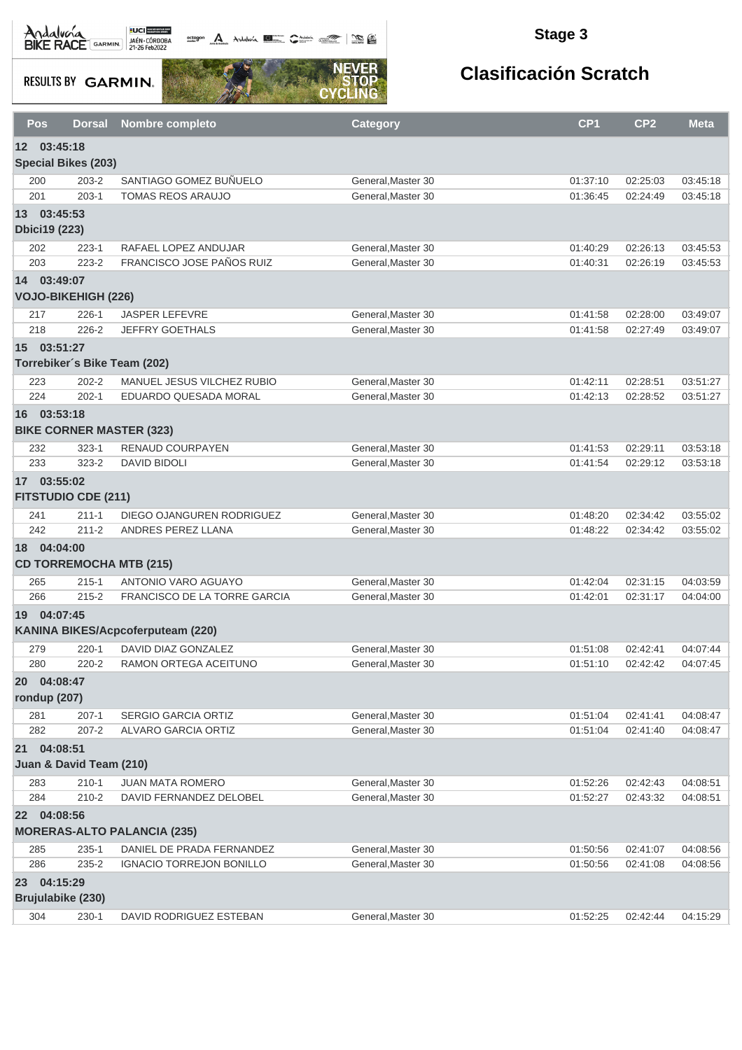Andalva BACE GARMIN AND LOCAL DEL BACK

octogon A Andalunia **1977** Catalog 2008 - 2008

### **Stage 3**

**RESULTS BY GARMIN.** 



|           | Pos<br><b>Dorsal</b>                           | <b>Nombre completo</b>              | <b>Category</b>    | CP <sub>1</sub> | CP <sub>2</sub> | Meta     |  |  |  |  |
|-----------|------------------------------------------------|-------------------------------------|--------------------|-----------------|-----------------|----------|--|--|--|--|
|           | 12 03:45:18<br><b>Special Bikes (203)</b>      |                                     |                    |                 |                 |          |  |  |  |  |
|           | $203 - 2$<br>200                               | SANTIAGO GOMEZ BUÑUELO              | General, Master 30 | 01:37:10        | 02:25:03        | 03:45:18 |  |  |  |  |
|           | 201<br>$203-1$                                 | <b>TOMAS REOS ARAUJO</b>            | General, Master 30 | 01:36:45        | 02:24:49        | 03:45:18 |  |  |  |  |
|           | 13 03:45:53<br><b>Dbici19 (223)</b>            |                                     |                    |                 |                 |          |  |  |  |  |
|           | 202<br>223-1                                   | RAFAEL LOPEZ ANDUJAR                | General, Master 30 | 01:40:29        | 02:26:13        | 03:45:53 |  |  |  |  |
|           | 223-2<br>203                                   | FRANCISCO JOSE PAÑOS RUIZ           | General, Master 30 | 01:40:31        | 02:26:19        | 03:45:53 |  |  |  |  |
|           | 14 03:49:07<br><b>VOJO-BIKEHIGH (226)</b>      |                                     |                    |                 |                 |          |  |  |  |  |
|           | $226-1$<br>217                                 | <b>JASPER LEFEVRE</b>               | General, Master 30 | 01:41:58        | 02:28:00        | 03:49:07 |  |  |  |  |
|           | $226 - 2$<br>218                               | <b>JEFFRY GOETHALS</b>              | General, Master 30 | 01:41:58        | 02:27:49        | 03:49:07 |  |  |  |  |
|           | 15 03:51:27<br>Torrebiker's Bike Team (202)    |                                     |                    |                 |                 |          |  |  |  |  |
|           | $202 - 2$<br>223                               | MANUEL JESUS VILCHEZ RUBIO          | General, Master 30 | 01:42:11        | 02:28:51        | 03:51:27 |  |  |  |  |
|           | 224<br>$202 - 1$                               | EDUARDO QUESADA MORAL               | General, Master 30 | 01:42:13        | 02:28:52        | 03:51:27 |  |  |  |  |
|           | 16 03:53:18<br><b>BIKE CORNER MASTER (323)</b> |                                     |                    |                 |                 |          |  |  |  |  |
|           | 232<br>$323 - 1$                               | RENAUD COURPAYEN                    | General, Master 30 | 01:41:53        | 02:29:11        | 03:53:18 |  |  |  |  |
|           | 233<br>$323 - 2$                               | <b>DAVID BIDOLI</b>                 | General, Master 30 | 01:41:54        | 02:29:12        | 03:53:18 |  |  |  |  |
|           | 17 03:55:02<br><b>FITSTUDIO CDE (211)</b>      |                                     |                    |                 |                 |          |  |  |  |  |
|           | $211 - 1$<br>241                               | DIEGO OJANGUREN RODRIGUEZ           | General, Master 30 | 01:48:20        | 02:34:42        | 03:55:02 |  |  |  |  |
|           | 242<br>$211 - 2$                               | ANDRES PEREZ LLANA                  | General, Master 30 | 01:48:22        | 02:34:42        | 03:55:02 |  |  |  |  |
|           | 18 04:04:00<br><b>CD TORREMOCHA MTB (215)</b>  |                                     |                    |                 |                 |          |  |  |  |  |
|           | 265<br>$215 - 1$                               | ANTONIO VARO AGUAYO                 | General, Master 30 | 01:42:04        | 02:31:15        | 04:03:59 |  |  |  |  |
|           | 266<br>$215 - 2$                               | <b>FRANCISCO DE LA TORRE GARCIA</b> | General, Master 30 | 01:42:01        | 02:31:17        | 04:04:00 |  |  |  |  |
|           | 19 04:07:45                                    | KANINA BIKES/Acpcoferputeam (220)   |                    |                 |                 |          |  |  |  |  |
|           | 279<br>$220 - 1$                               | DAVID DIAZ GONZALEZ                 | General.Master 30  | 01:51:08        | 02:42:41        | 04:07:44 |  |  |  |  |
|           | 280<br>$220 - 2$                               | RAMON ORTEGA ACEITUNO               | General.Master 30  | 01:51:10        | 02:42:42        | 04:07:45 |  |  |  |  |
| <b>20</b> | 04:08:47<br>rondup (207)                       |                                     |                    |                 |                 |          |  |  |  |  |
|           | 281<br>$207 - 1$                               | <b>SERGIO GARCIA ORTIZ</b>          | General, Master 30 | 01:51:04        | 02:41:41        | 04:08:47 |  |  |  |  |
|           | 282<br>$207 - 2$                               | ALVARO GARCIA ORTIZ                 | General, Master 30 | 01:51:04        | 02:41:40        | 04:08:47 |  |  |  |  |
|           | 21 04:08:51<br>Juan & David Team (210)         |                                     |                    |                 |                 |          |  |  |  |  |
|           | $210 - 1$<br>283                               | <b>JUAN MATA ROMERO</b>             | General, Master 30 | 01:52:26        | 02:42:43        | 04:08:51 |  |  |  |  |
|           | 284<br>210-2                                   | DAVID FERNANDEZ DELOBEL             | General, Master 30 | 01:52:27        | 02:43:32        | 04:08:51 |  |  |  |  |
|           | 22 04:08:56                                    |                                     |                    |                 |                 |          |  |  |  |  |
|           |                                                | <b>MORERAS-ALTO PALANCIA (235)</b>  |                    |                 |                 |          |  |  |  |  |
|           | 285<br>$235 - 1$                               | DANIEL DE PRADA FERNANDEZ           | General, Master 30 | 01:50:56        | 02:41:07        | 04:08:56 |  |  |  |  |
|           | 286<br>235-2                                   | <b>IGNACIO TORREJON BONILLO</b>     | General, Master 30 | 01:50:56        | 02:41:08        | 04:08:56 |  |  |  |  |
|           | 23 04:15:29                                    |                                     |                    |                 |                 |          |  |  |  |  |
|           | Brujulabike (230)                              |                                     |                    |                 |                 |          |  |  |  |  |
|           | 304<br>$230-1$                                 | DAVID RODRIGUEZ ESTEBAN             | General, Master 30 | 01:52:25        | 02:42:44        | 04:15:29 |  |  |  |  |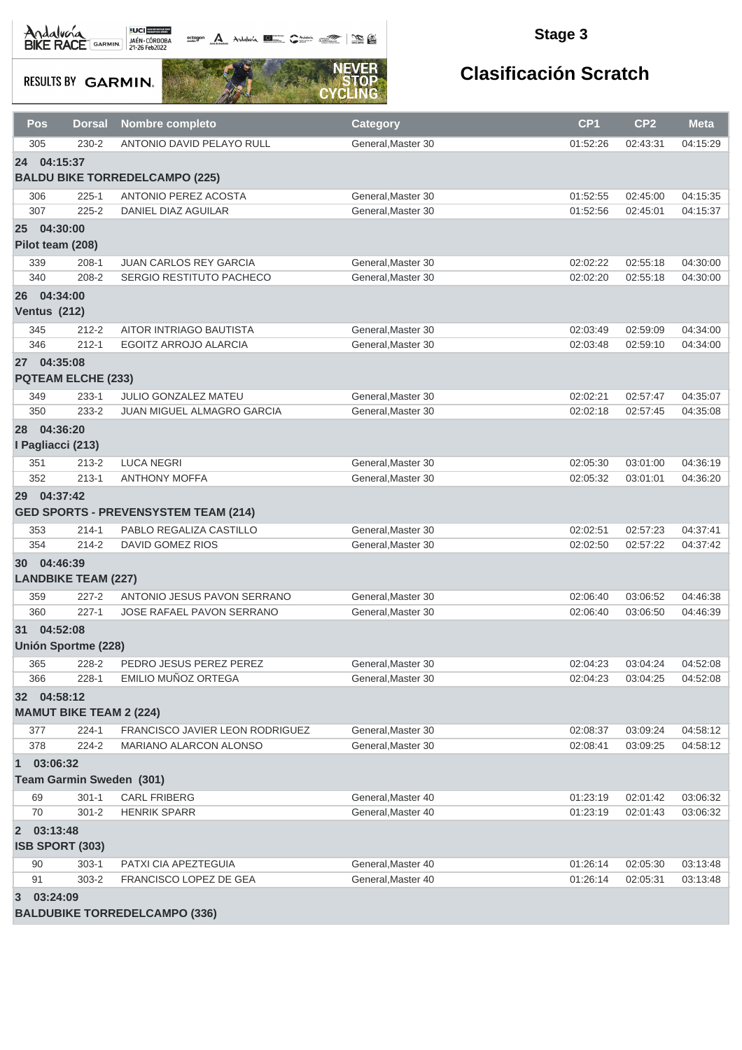octogon A Andalusía **DE C**ANALIS COMPOS COMPOS

#### **Stage 3**

**RESULTS BY GARMIN.** 



| Pos                        | <b>Dorsal</b>                   | <b>Nombre completo</b>                      | <b>Category</b>    | CP <sub>1</sub> | CP <sub>2</sub> | <b>Meta</b> |
|----------------------------|---------------------------------|---------------------------------------------|--------------------|-----------------|-----------------|-------------|
| 305                        | $230 - 2$                       | ANTONIO DAVID PELAYO RULL                   | General, Master 30 | 01:52:26        | 02:43:31        | 04:15:29    |
| 24 04:15:37                |                                 |                                             |                    |                 |                 |             |
|                            |                                 | <b>BALDU BIKE TORREDELCAMPO (225)</b>       |                    |                 |                 |             |
| 306                        | $225 - 1$                       | ANTONIO PEREZ ACOSTA                        | General.Master 30  | 01:52:55        | 02:45:00        | 04:15:35    |
| 307                        | $225 - 2$                       | <b>DANIEL DIAZ AGUILAR</b>                  | General.Master 30  | 01:52:56        | 02:45:01        | 04:15:37    |
| 25 04:30:00                |                                 |                                             |                    |                 |                 |             |
|                            | Pilot team (208)                |                                             |                    |                 |                 |             |
| 339                        | $208-1$                         | <b>JUAN CARLOS REY GARCIA</b>               | General, Master 30 | 02:02:22        | 02:55:18        | 04:30:00    |
| 340                        | 208-2                           | SERGIO RESTITUTO PACHECO                    | General, Master 30 | 02:02:20        | 02:55:18        | 04:30:00    |
| 26                         | 04:34:00                        |                                             |                    |                 |                 |             |
| <b>Ventus (212)</b>        |                                 |                                             |                    |                 |                 |             |
| 345                        | $212 - 2$                       | AITOR INTRIAGO BAUTISTA                     | General, Master 30 | 02:03:49        | 02:59:09        | 04:34:00    |
| 346                        | $212 - 1$                       | <b>EGOITZ ARROJO ALARCIA</b>                | General, Master 30 | 02:03:48        | 02:59:10        | 04:34:00    |
| 27 04:35:08                |                                 |                                             |                    |                 |                 |             |
|                            | <b>PQTEAM ELCHE (233)</b>       |                                             |                    |                 |                 |             |
| 349                        | $233 - 1$                       | JULIO GONZALEZ MATEU                        | General.Master 30  | 02:02:21        | 02:57:47        | 04:35:07    |
| 350                        | 233-2                           | JUAN MIGUEL ALMAGRO GARCIA                  | General, Master 30 | 02:02:18        | 02:57:45        | 04:35:08    |
| 28                         | 04:36:20                        |                                             |                    |                 |                 |             |
|                            | I Pagliacci (213)               |                                             |                    |                 |                 |             |
| 351                        | $213 - 2$                       | <b>LUCA NEGRI</b>                           | General, Master 30 | 02:05:30        | 03:01:00        | 04:36:19    |
| 352                        | $213 - 1$                       | <b>ANTHONY MOFFA</b>                        | General, Master 30 | 02:05:32        | 03:01:01        | 04:36:20    |
| 29                         | 04:37:42                        |                                             |                    |                 |                 |             |
|                            |                                 | <b>GED SPORTS - PREVENSYSTEM TEAM (214)</b> |                    |                 |                 |             |
| 353                        | $214 - 1$                       | PABLO REGALIZA CASTILLO                     | General, Master 30 | 02:02:51        | 02:57:23        | 04:37:41    |
| 354                        | $214 - 2$                       | DAVID GOMEZ RIOS                            | General, Master 30 | 02:02:50        | 02:57:22        | 04:37:42    |
| 30 04:46:39                |                                 |                                             |                    |                 |                 |             |
|                            | <b>LANDBIKE TEAM (227)</b>      |                                             |                    |                 |                 |             |
| 359                        | $227 - 2$                       | ANTONIO JESUS PAVON SERRANO                 | General, Master 30 | 02:06:40        | 03:06:52        | 04:46:38    |
| 360                        | $227 - 1$                       | JOSE RAFAEL PAVON SERRANO                   | General.Master 30  | 02:06:40        | 03:06:50        | 04:46:39    |
| 31 04:52:08                |                                 |                                             |                    |                 |                 |             |
|                            | <b>Unión Sportme (228)</b>      |                                             |                    |                 |                 |             |
| 365                        | 228-2                           | PEDRO JESUS PEREZ PEREZ                     | General, Master 30 | 02:04:23        | 03:04:24        | 04:52:08    |
| 366                        | $228 - 1$                       | EMILIO MUÑOZ ORTEGA                         | General, Master 30 | 02:04:23        | 03:04:25        | 04:52:08    |
| 32 04:58:12                |                                 |                                             |                    |                 |                 |             |
|                            | <b>MAMUT BIKE TEAM 2 (224)</b>  |                                             |                    |                 |                 |             |
| 377                        | $224 - 1$                       | <b>FRANCISCO JAVIER LEON RODRIGUEZ</b>      | General, Master 30 | 02:08:37        | 03:09:24        | 04:58:12    |
| 378                        | 224-2                           | <b>MARIANO ALARCON ALONSO</b>               | General.Master 30  | 02:08:41        | 03:09:25        | 04:58:12    |
| $\mathbf{1}$               | 03:06:32                        |                                             |                    |                 |                 |             |
|                            | <b>Team Garmin Sweden (301)</b> |                                             |                    |                 |                 |             |
| 69                         | $301 - 1$                       | <b>CARL FRIBERG</b>                         | General, Master 40 | 01:23:19        | 02:01:42        | 03:06:32    |
| 70                         | $301 - 2$                       | <b>HENRIK SPARR</b>                         | General, Master 40 | 01:23:19        | 02:01:43        | 03:06:32    |
| 03:13:48<br>$\overline{2}$ |                                 |                                             |                    |                 |                 |             |
|                            | ISB SPORT (303)                 |                                             |                    |                 |                 |             |
| 90                         | $303-1$                         | PATXI CIA APEZTEGUIA                        | General, Master 40 | 01:26:14        | 02:05:30        | 03:13:48    |
| 91                         | 303-2                           | FRANCISCO LOPEZ DE GEA                      | General, Master 40 | 01:26:14        | 02:05:31        | 03:13:48    |
| 03:24:09<br>3              |                                 |                                             |                    |                 |                 |             |
|                            |                                 | <b>BALDUBIKE TORREDELCAMPO (336)</b>        |                    |                 |                 |             |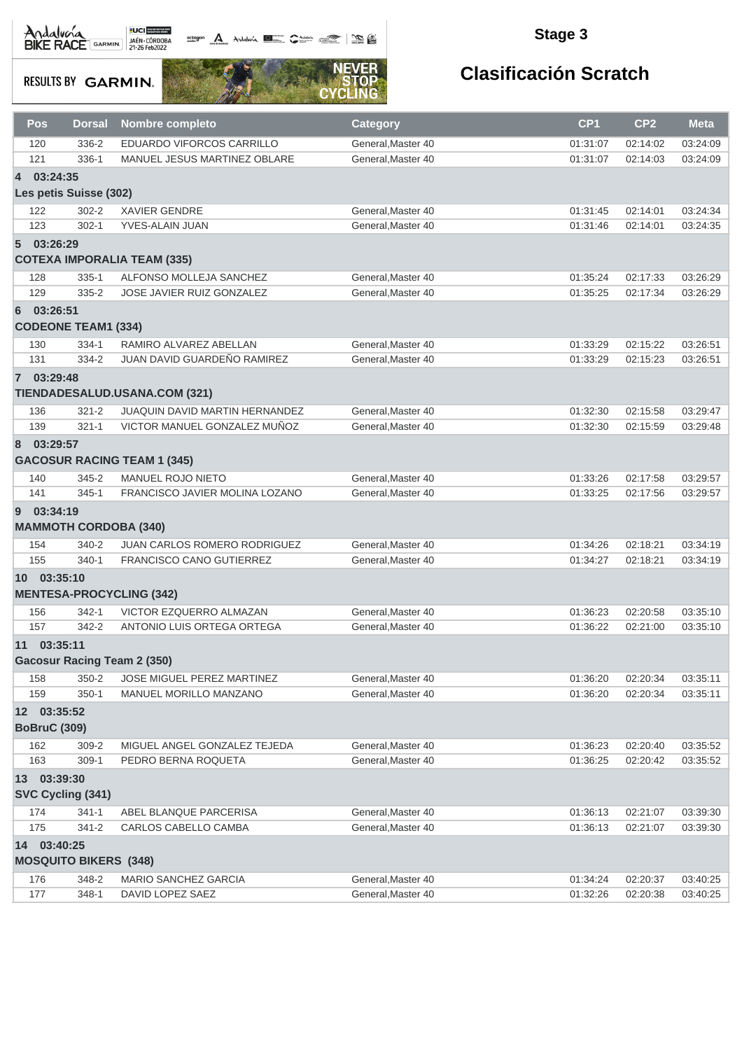# Andalvona MEDICIE

actagon A Andaluna **1977** Contain 1988

### **Stage 3**

**RESULTS BY GARMIN.** 



| Pos   | <b>Dorsal</b>                      | <b>Nombre completo</b>              | <b>Category</b>    | CP <sub>1</sub> | CP <sub>2</sub> | <b>Meta</b> |  |  |  |  |
|-------|------------------------------------|-------------------------------------|--------------------|-----------------|-----------------|-------------|--|--|--|--|
| 120   | 336-2                              | EDUARDO VIFORCOS CARRILLO           | General, Master 40 | 01:31:07        | 02:14:02        | 03:24:09    |  |  |  |  |
| 121   | 336-1                              | MANUEL JESUS MARTINEZ OBLARE        | General.Master 40  | 01:31:07        | 02:14:03        | 03:24:09    |  |  |  |  |
| 4     | 03:24:35                           |                                     |                    |                 |                 |             |  |  |  |  |
|       | Les petis Suisse (302)             |                                     |                    |                 |                 |             |  |  |  |  |
| 122   | $302 - 2$                          | <b>XAVIER GENDRE</b>                | General, Master 40 | 01:31:45        | 02:14:01        | 03:24:34    |  |  |  |  |
| 123   | $302 - 1$                          | YVES-ALAIN JUAN                     | General, Master 40 | 01:31:46        | 02:14:01        | 03:24:35    |  |  |  |  |
| 5     | 03:26:29                           |                                     |                    |                 |                 |             |  |  |  |  |
|       |                                    | <b>COTEXA IMPORALIA TEAM (335)</b>  |                    |                 |                 |             |  |  |  |  |
| 128   | $335 - 1$                          | ALFONSO MOLLEJA SANCHEZ             | General, Master 40 | 01:35:24        | 02:17:33        | 03:26:29    |  |  |  |  |
| 129   | $335 - 2$                          | <b>JOSE JAVIER RUIZ GONZALEZ</b>    | General.Master 40  | 01:35:25        | 02:17:34        | 03:26:29    |  |  |  |  |
|       | 6 03:26:51                         |                                     |                    |                 |                 |             |  |  |  |  |
|       | <b>CODEONE TEAM1 (334)</b>         |                                     |                    |                 |                 |             |  |  |  |  |
| 130   | $334-1$                            | RAMIRO ALVAREZ ABELLAN              | General, Master 40 | 01:33:29        | 02:15:22        | 03:26:51    |  |  |  |  |
| 131   | 334-2                              | JUAN DAVID GUARDEÑO RAMIREZ         | General, Master 40 | 01:33:29        | 02:15:23        | 03:26:51    |  |  |  |  |
|       | 7 03:29:48                         |                                     |                    |                 |                 |             |  |  |  |  |
|       |                                    | TIENDADESALUD.USANA.COM (321)       |                    |                 |                 |             |  |  |  |  |
| 136   | $321 - 2$                          | JUAQUIN DAVID MARTIN HERNANDEZ      | General, Master 40 | 01:32:30        | 02:15:58        | 03:29:47    |  |  |  |  |
| 139   | $321 - 1$                          | VICTOR MANUEL GONZALEZ MUÑOZ        | General.Master 40  | 01:32:30        | 02:15:59        | 03:29:48    |  |  |  |  |
| 8     | 03:29:57                           |                                     |                    |                 |                 |             |  |  |  |  |
|       |                                    | <b>GACOSUR RACING TEAM 1 (345)</b>  |                    |                 |                 |             |  |  |  |  |
| 140   | $345 - 2$                          | <b>MANUEL ROJO NIETO</b>            | General, Master 40 | 01:33:26        | 02:17:58        | 03:29:57    |  |  |  |  |
| 141   | $345 - 1$                          | FRANCISCO JAVIER MOLINA LOZANO      | General, Master 40 | 01:33:25        | 02:17:56        | 03:29:57    |  |  |  |  |
| 9     | 03:34:19                           |                                     |                    |                 |                 |             |  |  |  |  |
|       | <b>MAMMOTH CORDOBA (340)</b>       |                                     |                    |                 |                 |             |  |  |  |  |
| 154   | 340-2                              | <b>JUAN CARLOS ROMERO RODRIGUEZ</b> | General, Master 40 | 01:34:26        | 02:18:21        | 03:34:19    |  |  |  |  |
| 155   | $340 - 1$                          | <b>FRANCISCO CANO GUTIERREZ</b>     | General, Master 40 | 01:34:27        | 02:18:21        | 03:34:19    |  |  |  |  |
|       | 10 03:35:10                        |                                     |                    |                 |                 |             |  |  |  |  |
|       |                                    | <b>MENTESA-PROCYCLING (342)</b>     |                    |                 |                 |             |  |  |  |  |
| 156   | $342 - 1$                          | VICTOR EZQUERRO ALMAZAN             | General, Master 40 | 01:36:23        | 02:20:58        | 03:35:10    |  |  |  |  |
| 157   | 342-2                              | ANTONIO LUIS ORTEGA ORTEGA          | General, Master 40 | 01:36:22        | 02:21:00        | 03:35:10    |  |  |  |  |
| 11    | 03:35:11                           |                                     |                    |                 |                 |             |  |  |  |  |
|       | <b>Gacosur Racing Team 2 (350)</b> |                                     |                    |                 |                 |             |  |  |  |  |
| 158   | $350 - 2$                          | JOSE MIGUEL PEREZ MARTINEZ          | General, Master 40 | 01:36:20        | 02:20:34        | 03:35:11    |  |  |  |  |
| 159   | $350-1$                            | MANUEL MORILLO MANZANO              | General.Master 40  | 01:36:20        | 02:20:34        | 03:35:11    |  |  |  |  |
|       | 12 03:35:52                        |                                     |                    |                 |                 |             |  |  |  |  |
|       | <b>BoBruC (309)</b>                |                                     |                    |                 |                 |             |  |  |  |  |
| 162   | 309-2                              | MIGUEL ANGEL GONZALEZ TEJEDA        | General, Master 40 | 01:36:23        | 02:20:40        | 03:35:52    |  |  |  |  |
| 163   | 309-1                              | PEDRO BERNA ROQUETA                 | General.Master 40  | 01:36:25        | 02:20:42        | 03:35:52    |  |  |  |  |
|       | 13 03:39:30                        |                                     |                    |                 |                 |             |  |  |  |  |
|       | SVC Cycling (341)                  |                                     |                    |                 |                 |             |  |  |  |  |
| 174   | $341 - 1$                          | ABEL BLANQUE PARCERISA              | General, Master 40 | 01:36:13        | 02:21:07        | 03:39:30    |  |  |  |  |
| 175   | 341-2                              | CARLOS CABELLO CAMBA                | General, Master 40 | 01:36:13        | 02:21:07        | 03:39:30    |  |  |  |  |
| 14    | 03:40:25                           |                                     |                    |                 |                 |             |  |  |  |  |
|       | <b>MOSQUITO BIKERS (348)</b>       |                                     |                    |                 |                 |             |  |  |  |  |
| 176   | 348-2                              | <b>MARIO SANCHEZ GARCIA</b>         | General, Master 40 | 01:34:24        | 02:20:37        | 03:40:25    |  |  |  |  |
| $177$ | $348 - 1$                          | DAVID LOPEZ SAEZ                    | General, Master 40 | 01:32:26        | 02:20:38        | 03:40:25    |  |  |  |  |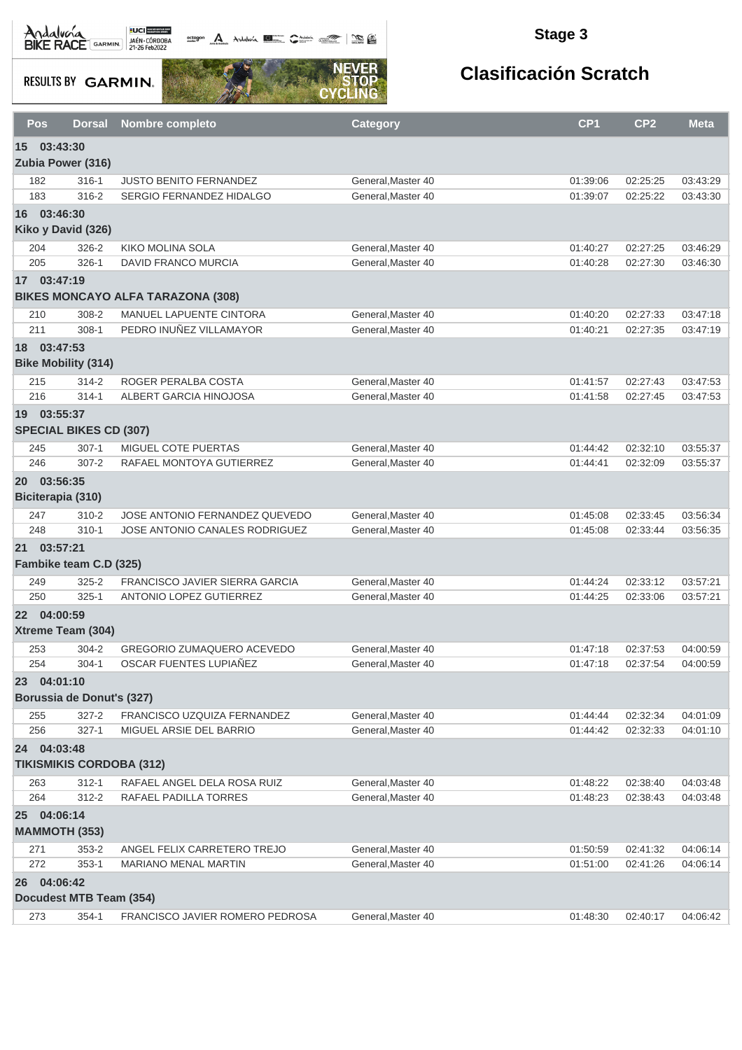octogon Andalusia **1944** 

### **Stage 3**

**RESULTS BY GARMIN.** 



|                 | Pos<br><b>Dorsal</b>                 | <b>Nombre completo</b>                                     | <b>Category</b>                          | CP <sub>1</sub>      | CP <sub>2</sub>      | <b>Meta</b>          |
|-----------------|--------------------------------------|------------------------------------------------------------|------------------------------------------|----------------------|----------------------|----------------------|
|                 | 15 03:43:30                          |                                                            |                                          |                      |                      |                      |
|                 | Zubia Power (316)                    |                                                            |                                          |                      |                      |                      |
|                 | $316 - 1$<br>182                     | <b>JUSTO BENITO FERNANDEZ</b>                              | General, Master 40                       | 01:39:06             | 02:25:25             | 03:43:29             |
|                 | 316-2<br>183                         | <b>SERGIO FERNANDEZ HIDALGO</b>                            | General, Master 40                       | 01:39:07             | 02:25:22             | 03:43:30             |
|                 | 16 03:46:30                          |                                                            |                                          |                      |                      |                      |
|                 | Kiko y David (326)                   |                                                            |                                          |                      |                      |                      |
|                 | 204<br>326-2                         | <b>KIKO MOLINA SOLA</b>                                    | General, Master 40                       | 01:40:27             | 02:27:25             | 03:46:29             |
|                 | 205<br>$326 - 1$                     | <b>DAVID FRANCO MURCIA</b>                                 | General, Master 40                       | 01:40:28             | 02:27:30             | 03:46:30             |
|                 | 17 03:47:19                          |                                                            |                                          |                      |                      |                      |
|                 |                                      | <b>BIKES MONCAYO ALFA TARAZONA (308)</b>                   |                                          |                      |                      |                      |
|                 | 210<br>308-2                         | MANUEL LAPUENTE CINTORA                                    | General, Master 40                       | 01:40:20             | 02:27:33             | 03:47:18             |
|                 | $308 - 1$<br>211                     | PEDRO INUÑEZ VILLAMAYOR                                    | General, Master 40                       | 01:40:21             | 02:27:35             | 03:47:19             |
| 18              | 03:47:53                             |                                                            |                                          |                      |                      |                      |
|                 | <b>Bike Mobility (314)</b>           |                                                            |                                          |                      |                      |                      |
|                 |                                      |                                                            |                                          |                      |                      |                      |
|                 | $314 - 2$<br>215<br>216<br>$314 - 1$ | ROGER PERALBA COSTA<br>ALBERT GARCIA HINOJOSA              | General, Master 40<br>General.Master 40  | 01:41:57             | 02:27:43             | 03:47:53             |
|                 |                                      |                                                            |                                          | 01:41:58             | 02:27:45             | 03:47:53             |
|                 | 19 03:55:37                          |                                                            |                                          |                      |                      |                      |
|                 | <b>SPECIAL BIKES CD (307)</b>        |                                                            |                                          |                      |                      |                      |
|                 | $307 - 1$<br>245                     | MIGUEL COTE PUERTAS                                        | General.Master 40                        | 01:44:42             | 02:32:10             | 03:55:37             |
|                 | 246<br>$307 - 2$                     | RAFAEL MONTOYA GUTIERREZ                                   | General, Master 40                       | 01:44:41             | 02:32:09             | 03:55:37             |
| <b>20</b>       | 03:56:35                             |                                                            |                                          |                      |                      |                      |
|                 | Biciterapia (310)                    |                                                            |                                          |                      |                      |                      |
|                 | $310 - 2$<br>247                     | JOSE ANTONIO FERNANDEZ QUEVEDO                             | General, Master 40                       | 01:45:08             | 02:33:45             | 03:56:34             |
|                 | 248<br>$310 - 1$                     | JOSE ANTONIO CANALES RODRIGUEZ                             | General, Master 40                       | 01:45:08             | 02:33:44             | 03:56:35             |
| 21              | 03:57:21                             |                                                            |                                          |                      |                      |                      |
|                 | Fambike team C.D (325)               |                                                            |                                          |                      |                      |                      |
|                 | $325 - 2$<br>249                     | FRANCISCO JAVIER SIERRA GARCIA                             | General, Master 40                       | 01:44:24             | 02:33:12             | 03:57:21             |
|                 | 250<br>$325 - 1$                     | ANTONIO LOPEZ GUTIERREZ                                    | General, Master 40                       | 01:44:25             | 02:33:06             | 03:57:21             |
| 22 <sup>2</sup> | 04:00:59                             |                                                            |                                          |                      |                      |                      |
|                 | Xtreme Team (304)                    |                                                            |                                          |                      |                      |                      |
|                 | 253<br>$304 - 2$                     | GREGORIO ZUMAQUERO ACEVEDO                                 | General, Master 40                       | 01:47:18             | 02:37:53             | 04:00:59             |
|                 | 254<br>$304 - 1$                     | OSCAR FUENTES LUPIAÑEZ                                     | General, Master 40                       | 01:47:18             | 02:37:54             | 04:00:59             |
|                 | 23 04:01:10                          |                                                            |                                          |                      |                      |                      |
|                 | Borussia de Donut's (327)            |                                                            |                                          |                      |                      |                      |
|                 | 255<br>$327 - 2$                     | FRANCISCO UZQUIZA FERNANDEZ                                | General, Master 40                       | 01:44:44             | 02:32:34             | 04:01:09             |
|                 | 256<br>$327-1$                       | MIGUEL ARSIE DEL BARRIO                                    | General, Master 40                       | 01:44:42             | 02:32:33             | 04:01:10             |
|                 | 24 04:03:48                          |                                                            |                                          |                      |                      |                      |
|                 | <b>TIKISMIKIS CORDOBA (312)</b>      |                                                            |                                          |                      |                      |                      |
|                 | $312 - 1$<br>263                     | RAFAEL ANGEL DELA ROSA RUIZ                                | General, Master 40                       | 01:48:22             | 02:38:40             | 04:03:48             |
|                 | 264<br>$312 - 2$                     | RAFAEL PADILLA TORRES                                      | General.Master 40                        | 01:48:23             | 02:38:43             | 04:03:48             |
|                 | 25 04:06:14                          |                                                            |                                          |                      |                      |                      |
|                 | <b>MAMMOTH (353)</b>                 |                                                            |                                          |                      |                      |                      |
|                 |                                      |                                                            |                                          |                      |                      |                      |
|                 | 271<br>$353 - 2$<br>272<br>$353 - 1$ | ANGEL FELIX CARRETERO TREJO<br><b>MARIANO MENAL MARTIN</b> | General, Master 40<br>General, Master 40 | 01:50:59<br>01:51:00 | 02:41:32<br>02:41:26 | 04:06:14<br>04:06:14 |
|                 |                                      |                                                            |                                          |                      |                      |                      |
|                 | 26 04:06:42                          |                                                            |                                          |                      |                      |                      |
|                 | Docudest MTB Team (354)              |                                                            |                                          |                      |                      |                      |
|                 | 273<br>$354-1$                       | FRANCISCO JAVIER ROMERO PEDROSA                            | General, Master 40                       | 01:48:30             | 02:40:17             | 04:06:42             |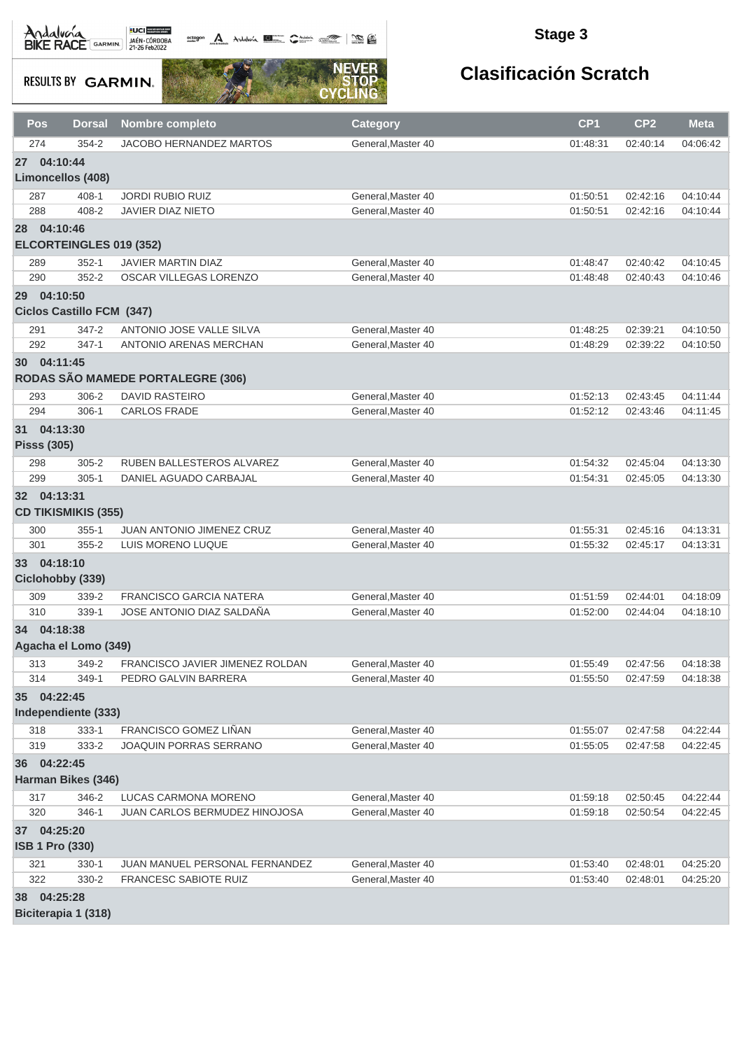octogon A Andalusía **DE C**ANALIS COMPOS COMPOS

#### **Stage 3**

**RESULTS BY GARMIN.** 



# **Clasificación Scratch**

| Pos                               | <b>Dorsal</b>                                | <b>Nombre completo</b>            | <b>Category</b>    | CP <sub>1</sub> | CP <sub>2</sub> | <b>Meta</b> |
|-----------------------------------|----------------------------------------------|-----------------------------------|--------------------|-----------------|-----------------|-------------|
| 274                               | $354 - 2$                                    | <b>JACOBO HERNANDEZ MARTOS</b>    | General, Master 40 | 01:48:31        | 02:40:14        | 04:06:42    |
| 27 04:10:44                       |                                              |                                   |                    |                 |                 |             |
|                                   | <b>Limoncellos (408)</b>                     |                                   |                    |                 |                 |             |
| 287                               | $408 - 1$                                    | <b>JORDI RUBIO RUIZ</b>           | General.Master 40  | 01:50:51        | 02:42:16        | 04:10:44    |
| 288                               | 408-2                                        | <b>JAVIER DIAZ NIETO</b>          | General, Master 40 | 01:50:51        | 02:42:16        | 04:10:44    |
| 28 04:10:46                       | ELCORTEINGLES 019 (352)                      |                                   |                    |                 |                 |             |
| 289                               | $352 - 1$                                    | <b>JAVIER MARTIN DIAZ</b>         | General, Master 40 | 01:48:47        | 02:40:42        | 04:10:45    |
| 290                               | $352 - 2$                                    | OSCAR VILLEGAS LORENZO            | General, Master 40 | 01:48:48        | 02:40:43        | 04:10:46    |
| <b>29</b>                         | 04:10:50<br><b>Ciclos Castillo FCM (347)</b> |                                   |                    |                 |                 |             |
| 291                               | $347 - 2$                                    | ANTONIO JOSE VALLE SILVA          | General, Master 40 | 01:48:25        | 02:39:21        | 04:10:50    |
| 292                               | $347 - 1$                                    | ANTONIO ARENAS MERCHAN            | General, Master 40 | 01:48:29        | 02:39:22        | 04:10:50    |
| 30 04:11:45                       |                                              | RODAS SÃO MAMEDE PORTALEGRE (306) |                    |                 |                 |             |
| 293                               | $306 - 2$                                    | <b>DAVID RASTEIRO</b>             | General, Master 40 | 01:52:13        | 02:43:45        | 04:11:44    |
| 294                               | $306-1$                                      | <b>CARLOS FRADE</b>               | General, Master 40 | 01:52:12        | 02:43:46        | 04:11:45    |
| 31 04:13:30<br><b>Pisss (305)</b> |                                              |                                   |                    |                 |                 |             |
| 298                               | $305 - 2$                                    | RUBEN BALLESTEROS ALVAREZ         | General, Master 40 | 01:54:32        | 02:45:04        | 04:13:30    |
| 299                               | $305 - 1$                                    | DANIEL AGUADO CARBAJAL            | General, Master 40 | 01:54:31        | 02:45:05        | 04:13:30    |
| 32 04:13:31                       | <b>CD TIKISMIKIS (355)</b>                   |                                   |                    |                 |                 |             |
| 300                               | $355 - 1$                                    | JUAN ANTONIO JIMENEZ CRUZ         | General, Master 40 | 01:55:31        | 02:45:16        | 04:13:31    |
| 301                               | 355-2                                        | LUIS MORENO LUQUE                 | General, Master 40 | 01:55:32        | 02:45:17        | 04:13:31    |
| 33 04:18:10                       | Ciclohobby (339)                             |                                   |                    |                 |                 |             |
| 309                               | 339-2                                        | <b>FRANCISCO GARCIA NATERA</b>    | General.Master 40  | 01:51:59        | 02:44:01        | 04:18:09    |
| 310                               | $339-1$                                      | JOSE ANTONIO DIAZ SALDAÑA         | General, Master 40 | 01:52:00        | 02:44:04        | 04:18:10    |
| 34 04:18:38                       | Agacha el Lomo (349)                         |                                   |                    |                 |                 |             |
| 313                               | 349-2                                        | FRANCISCO JAVIER JIMENEZ ROLDAN   | General, Master 40 | 01:55:49        | 02:47:56        | 04:18:38    |
| 314                               | 349-1                                        | PEDRO GALVIN BARRERA              | General, Master 40 | 01:55:50        | 02:47:59        | 04:18:38    |
| 35 04:22:45                       | Independiente (333)                          |                                   |                    |                 |                 |             |
| 318                               | $333 - 1$                                    | FRANCISCO GOMEZ LIÑAN             | General, Master 40 | 01:55:07        | 02:47:58        | 04:22:44    |
| 319                               | 333-2                                        | JOAQUIN PORRAS SERRANO            | General, Master 40 | 01:55:05        | 02:47:58        | 04:22:45    |
| 36 04:22:45                       | Harman Bikes (346)                           |                                   |                    |                 |                 |             |
| 317                               | 346-2                                        | LUCAS CARMONA MORENO              | General, Master 40 | 01:59:18        | 02:50:45        | 04:22:44    |
| 320                               | 346-1                                        | JUAN CARLOS BERMUDEZ HINOJOSA     | General.Master 40  | 01:59:18        | 02:50:54        | 04:22:45    |
| 37<br><b>ISB 1 Pro (330)</b>      | 04:25:20                                     |                                   |                    |                 |                 |             |
| 321                               | $330-1$                                      | JUAN MANUEL PERSONAL FERNANDEZ    | General, Master 40 | 01:53:40        | 02:48:01        | 04:25:20    |
| 322                               | 330-2                                        | FRANCESC SABIOTE RUIZ             | General, Master 40 | 01:53:40        | 02:48:01        | 04:25:20    |
| 38 04:25:28                       |                                              |                                   |                    |                 |                 |             |

**Biciterapia 1 (318)**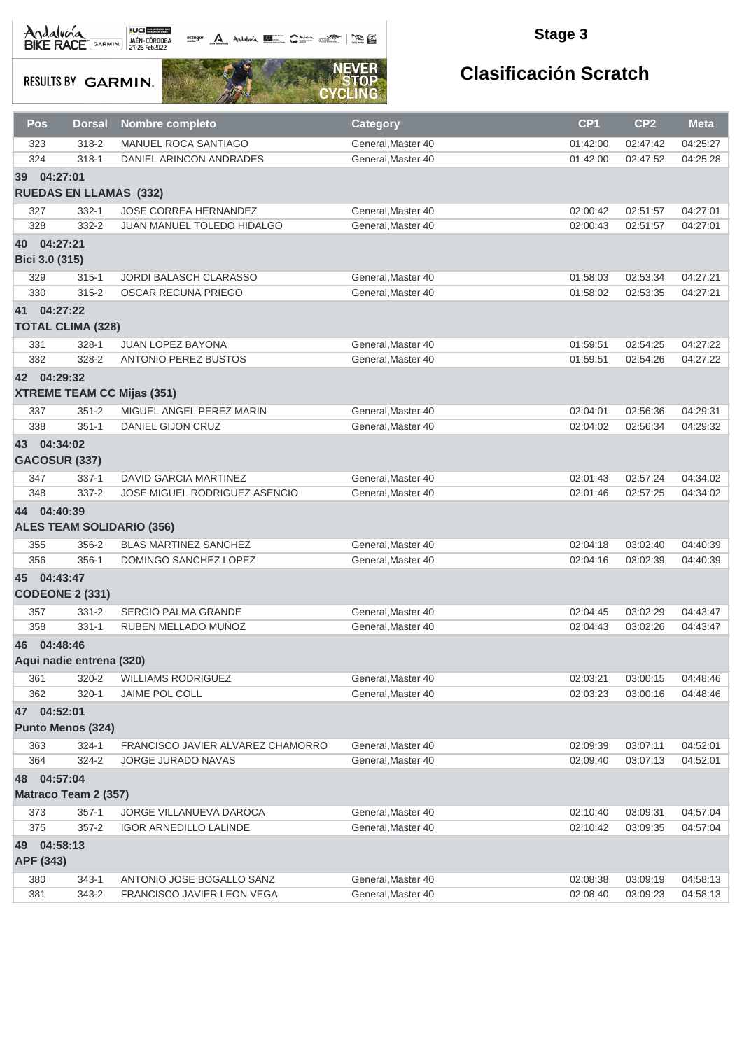Andalvara BIKE RACE GARMIN 21-26 Feb2022

octogon A Andalunia **1977** Catalog 2008 - 2008

### **Stage 3**

**RESULTS BY GARMIN.** 



| Pos                           | Dorsal                   | Nombre completo                                                | <b>Category</b>                          | CP1                  | CP <sub>2</sub>      | <b>Meta</b>          |  |  |  |
|-------------------------------|--------------------------|----------------------------------------------------------------|------------------------------------------|----------------------|----------------------|----------------------|--|--|--|
| 323                           | $318 - 2$                | <b>MANUEL ROCA SANTIAGO</b>                                    | General, Master 40                       | 01:42:00             | 02:47:42             | 04:25:27             |  |  |  |
| 324                           | $318 - 1$                | DANIEL ARINCON ANDRADES                                        | General, Master 40                       | 01:42:00             | 02:47:52             | 04:25:28             |  |  |  |
| 39 04:27:01                   |                          |                                                                |                                          |                      |                      |                      |  |  |  |
| <b>RUEDAS EN LLAMAS (332)</b> |                          |                                                                |                                          |                      |                      |                      |  |  |  |
| 327                           | $332 - 1$                | JOSE CORREA HERNANDEZ                                          | General, Master 40                       | 02:00:42             | 02:51:57             | 04:27:01             |  |  |  |
| 328                           | 332-2                    | JUAN MANUEL TOLEDO HIDALGO                                     | General, Master 40                       | 02:00:43             | 02:51:57             | 04:27:01             |  |  |  |
| 40 04:27:21                   |                          |                                                                |                                          |                      |                      |                      |  |  |  |
| Bici 3.0 (315)                |                          |                                                                |                                          |                      |                      |                      |  |  |  |
|                               |                          |                                                                |                                          |                      |                      |                      |  |  |  |
| 329<br>330                    | $315 - 1$<br>$315 - 2$   | JORDI BALASCH CLARASSO<br><b>OSCAR RECUNA PRIEGO</b>           | General, Master 40<br>General, Master 40 | 01:58:03<br>01:58:02 | 02:53:34<br>02:53:35 | 04:27:21<br>04:27:21 |  |  |  |
|                               |                          |                                                                |                                          |                      |                      |                      |  |  |  |
| 41 04:27:22                   |                          |                                                                |                                          |                      |                      |                      |  |  |  |
|                               | <b>TOTAL CLIMA (328)</b> |                                                                |                                          |                      |                      |                      |  |  |  |
| 331                           | $328 - 1$                | JUAN LOPEZ BAYONA                                              | General, Master 40                       | 01:59:51             | 02:54:25             | 04:27:22             |  |  |  |
| 332                           | 328-2                    | <b>ANTONIO PEREZ BUSTOS</b>                                    | General, Master 40                       | 01:59:51             | 02:54:26             | 04:27:22             |  |  |  |
| 42 04:29:32                   |                          |                                                                |                                          |                      |                      |                      |  |  |  |
|                               |                          | <b>XTREME TEAM CC Mijas (351)</b>                              |                                          |                      |                      |                      |  |  |  |
| 337                           | $351 - 2$                | MIGUEL ANGEL PEREZ MARIN                                       | General.Master 40                        | 02:04:01             | 02:56:36             | 04:29:31             |  |  |  |
| 338                           | $351 - 1$                | DANIEL GIJON CRUZ                                              | General, Master 40                       | 02:04:02             | 02:56:34             | 04:29:32             |  |  |  |
| 43 04:34:02                   |                          |                                                                |                                          |                      |                      |                      |  |  |  |
|                               | GACOSUR (337)            |                                                                |                                          |                      |                      |                      |  |  |  |
| 347                           | $337-1$                  | DAVID GARCIA MARTINEZ                                          | General, Master 40                       | 02:01:43             | 02:57:24             | 04:34:02             |  |  |  |
| 348                           | 337-2                    | JOSE MIGUEL RODRIGUEZ ASENCIO                                  | General, Master 40                       | 02:01:46             | 02:57:25             | 04:34:02             |  |  |  |
| 44 04:40:39                   |                          |                                                                |                                          |                      |                      |                      |  |  |  |
|                               |                          |                                                                |                                          |                      |                      |                      |  |  |  |
|                               |                          | <b>ALES TEAM SOLIDARIO (356)</b>                               |                                          |                      |                      |                      |  |  |  |
| 355                           | 356-2                    | <b>BLAS MARTINEZ SANCHEZ</b>                                   | General, Master 40                       | 02:04:18             | 03:02:40             | 04:40:39             |  |  |  |
| 356                           | 356-1                    | DOMINGO SANCHEZ LOPEZ                                          | General, Master 40                       | 02:04:16             | 03:02:39             | 04:40:39             |  |  |  |
| 45 04:43:47                   |                          |                                                                |                                          |                      |                      |                      |  |  |  |
|                               | <b>CODEONE 2 (331)</b>   |                                                                |                                          |                      |                      |                      |  |  |  |
| 357                           | $331 - 2$                | <b>SERGIO PALMA GRANDE</b>                                     | General, Master 40                       | 02:04:45             | 03:02:29             | 04:43:47             |  |  |  |
| 358                           | $331 - 1$                | RUBEN MELLADO MUÑOZ                                            | General.Master 40                        | 02:04:43             | 03:02:26             | 04:43:47             |  |  |  |
| 46 04:48:46                   |                          |                                                                |                                          |                      |                      |                      |  |  |  |
|                               | Aqui nadie entrena (320) |                                                                |                                          |                      |                      |                      |  |  |  |
| 361                           | $320 - 2$                | <b>WILLIAMS RODRIGUEZ</b>                                      | General, Master 40                       | 02:03:21             | 03:00:15             | 04:48:46             |  |  |  |
| 362                           | $320 - 1$                | JAIME POL COLL                                                 | General.Master 40                        | 02:03:23             | 03:00:16             | 04:48:46             |  |  |  |
| 47 04:52:01                   |                          |                                                                |                                          |                      |                      |                      |  |  |  |
|                               | Punto Menos (324)        |                                                                |                                          |                      |                      |                      |  |  |  |
|                               |                          |                                                                |                                          |                      |                      |                      |  |  |  |
| 363<br>364                    | $324 - 1$                | FRANCISCO JAVIER ALVAREZ CHAMORRO<br><b>JORGE JURADO NAVAS</b> | General, Master 40<br>General, Master 40 | 02:09:39             | 03:07:11             | 04:52:01             |  |  |  |
|                               | 324-2                    |                                                                |                                          | 02:09:40             | 03:07:13             | 04:52:01             |  |  |  |
| 48 04:57:04                   |                          |                                                                |                                          |                      |                      |                      |  |  |  |
|                               | Matraco Team 2 (357)     |                                                                |                                          |                      |                      |                      |  |  |  |
| 373                           | $357 - 1$                | JORGE VILLANUEVA DAROCA                                        | General, Master 40                       | 02:10:40             | 03:09:31             | 04:57:04             |  |  |  |
| 375                           | $357 - 2$                | <b>IGOR ARNEDILLO LALINDE</b>                                  | General, Master 40                       | 02:10:42             | 03:09:35             | 04:57:04             |  |  |  |
| 49                            | 04:58:13                 |                                                                |                                          |                      |                      |                      |  |  |  |
| APF (343)                     |                          |                                                                |                                          |                      |                      |                      |  |  |  |
| 380                           | $343 - 1$                | ANTONIO JOSE BOGALLO SANZ                                      | General, Master 40                       | 02:08:38             | 03:09:19             | 04:58:13             |  |  |  |
| 381                           | 343-2                    | FRANCISCO JAVIER LEON VEGA                                     | General, Master 40                       | 02:08:40             | 03:09:23             | 04:58:13             |  |  |  |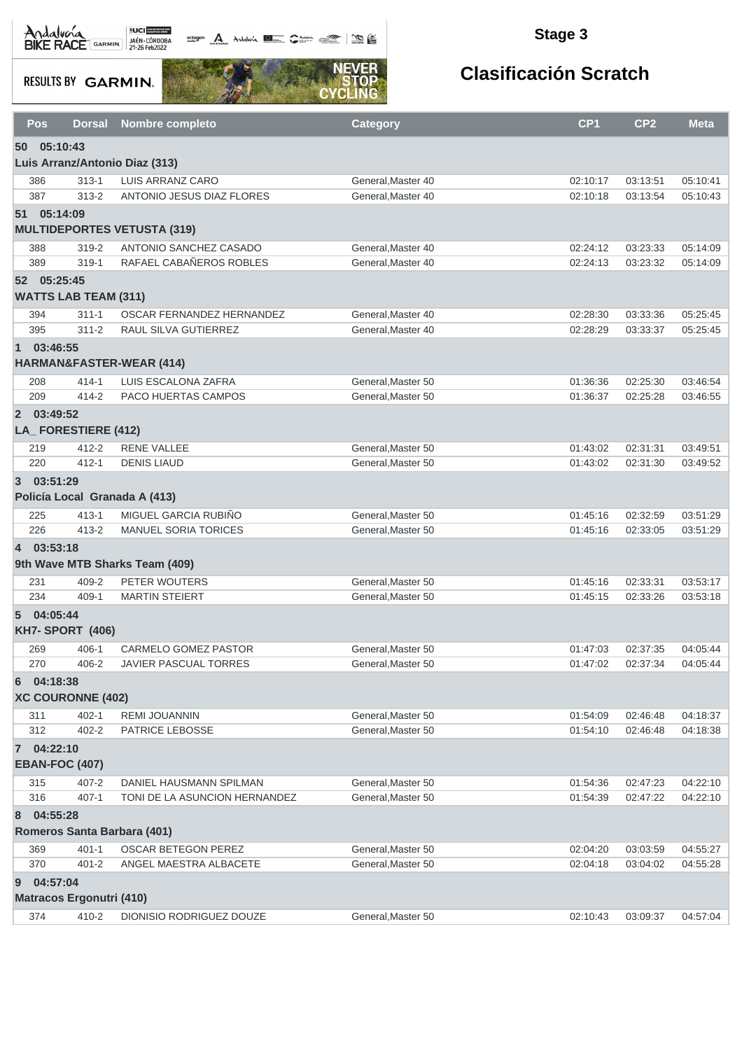**octogon A** Andalwin **ELLER** CANNAIS TO BE

### **Stage 3**

**RESULTS BY GARMIN.** 



| Pos            | <b>Dorsal</b>                        | Nombre completo                     | <b>Category</b>    | CP <sub>1</sub> | CP <sub>2</sub> | <b>Meta</b> |
|----------------|--------------------------------------|-------------------------------------|--------------------|-----------------|-----------------|-------------|
|                | 50 05:10:43                          |                                     |                    |                 |                 |             |
|                |                                      | Luis Arranz/Antonio Diaz (313)      |                    |                 |                 |             |
| 386            | $313 - 1$                            | LUIS ARRANZ CARO                    | General, Master 40 | 02:10:17        | 03:13:51        | 05:10:41    |
| 387            | $313 - 2$                            | ANTONIO JESUS DIAZ FLORES           | General, Master 40 | 02:10:18        | 03:13:54        | 05:10:43    |
|                | 51 05:14:09                          | <b>MULTIDEPORTES VETUSTA (319)</b>  |                    |                 |                 |             |
| 388            | $319 - 2$                            | ANTONIO SANCHEZ CASADO              | General, Master 40 | 02:24:12        | 03:23:33        | 05:14:09    |
| 389            | $319 - 1$                            | RAFAEL CABAÑEROS ROBLES             | General, Master 40 | 02:24:13        | 03:23:32        | 05:14:09    |
|                | 52 05:25:45                          |                                     |                    |                 |                 |             |
|                | <b>WATTS LAB TEAM (311)</b>          |                                     |                    |                 |                 |             |
| 394            | $311 - 1$                            | OSCAR FERNANDEZ HERNANDEZ           | General, Master 40 | 02:28:30        | 03:33:36        | 05:25:45    |
| 395            | $311 - 2$                            | RAUL SILVA GUTIERREZ                | General, Master 40 | 02:28:29        | 03:33:37        | 05:25:45    |
| 1 03:46:55     |                                      | <b>HARMAN&amp;FASTER-WEAR (414)</b> |                    |                 |                 |             |
| 208            | $414 - 1$                            | LUIS ESCALONA ZAFRA                 | General.Master 50  | 01:36:36        | 02:25:30        | 03:46:54    |
| 209            | $414 - 2$                            | PACO HUERTAS CAMPOS                 | General, Master 50 | 01:36:37        | 02:25:28        | 03:46:55    |
| 2 03:49:52     | LA_FORESTIERE (412)                  |                                     |                    |                 |                 |             |
| 219            | 412-2                                | <b>RENE VALLEE</b>                  | General, Master 50 | 01:43:02        | 02:31:31        | 03:49:51    |
| 220            | $412 - 1$                            | <b>DENIS LIAUD</b>                  | General, Master 50 | 01:43:02        | 02:31:30        | 03:49:52    |
| 3 03:51:29     |                                      |                                     |                    |                 |                 |             |
|                | Policía Local Granada A (413)        |                                     |                    |                 |                 |             |
| 225            | $413 - 1$                            | MIGUEL GARCIA RUBIÑO                | General, Master 50 | 01:45:16        | 02:32:59        | 03:51:29    |
| 226            | $413 - 2$                            | <b>MANUEL SORIA TORICES</b>         | General, Master 50 | 01:45:16        | 02:33:05        | 03:51:29    |
| $\overline{4}$ | 03:53:18                             |                                     |                    |                 |                 |             |
|                |                                      | 9th Wave MTB Sharks Team (409)      |                    |                 |                 |             |
| 231            | 409-2                                | PETER WOUTERS                       | General, Master 50 | 01:45:16        | 02:33:31        | 03:53:17    |
| 234            | $409 - 1$                            | <b>MARTIN STEIERT</b>               | General.Master 50  | 01:45:15        | 02:33:26        | 03:53:18    |
| $5^{\circ}$    | 04:05:44<br><b>KH7- SPORT (406)</b>  |                                     |                    |                 |                 |             |
| 269            | 406-1                                | CARMELO GOMEZ PASTOR                | General.Master 50  | 01:47:03        | 02:37:35        | 04:05:44    |
| 270            | 406-2                                | JAVIER PASCUAL TORRES               | General.Master 50  | 01:47:02        | 02:37:34        | 04:05:44    |
| 6              | 04:18:38<br><b>XC COURONNE (402)</b> |                                     |                    |                 |                 |             |
| 311            | $402 - 1$                            | REMI JOUANNIN                       | General, Master 50 | 01:54:09        | 02:46:48        | 04:18:37    |
| 312            | 402-2                                | PATRICE LEBOSSE                     | General, Master 50 | 01:54:10        | 02:46:48        | 04:18:38    |
| 7 04:22:10     |                                      |                                     |                    |                 |                 |             |
|                | <b>EBAN-FOC (407)</b>                |                                     |                    |                 |                 |             |
| 315            | 407-2                                | DANIEL HAUSMANN SPILMAN             | General, Master 50 | 01:54:36        | 02:47:23        | 04:22:10    |
| 316            | $407 - 1$                            | TONI DE LA ASUNCION HERNANDEZ       | General, Master 50 | 01:54:39        | 02:47:22        | 04:22:10    |
| 8              | 04:55:28                             |                                     |                    |                 |                 |             |
|                | Romeros Santa Barbara (401)          |                                     |                    |                 |                 |             |
| 369            | $401 - 1$                            | <b>OSCAR BETEGON PEREZ</b>          | General, Master 50 | 02:04:20        | 03:03:59        | 04:55:27    |
| 370            | $401 - 2$                            | ANGEL MAESTRA ALBACETE              | General, Master 50 | 02:04:18        | 03:04:02        | 04:55:28    |
| 9              | 04:57:04                             |                                     |                    |                 |                 |             |
|                | <b>Matracos Ergonutri (410)</b>      |                                     |                    |                 |                 |             |
| 374            | 410-2                                | DIONISIO RODRIGUEZ DOUZE            | General, Master 50 | 02:10:43        | 03:09:37        | 04:57:04    |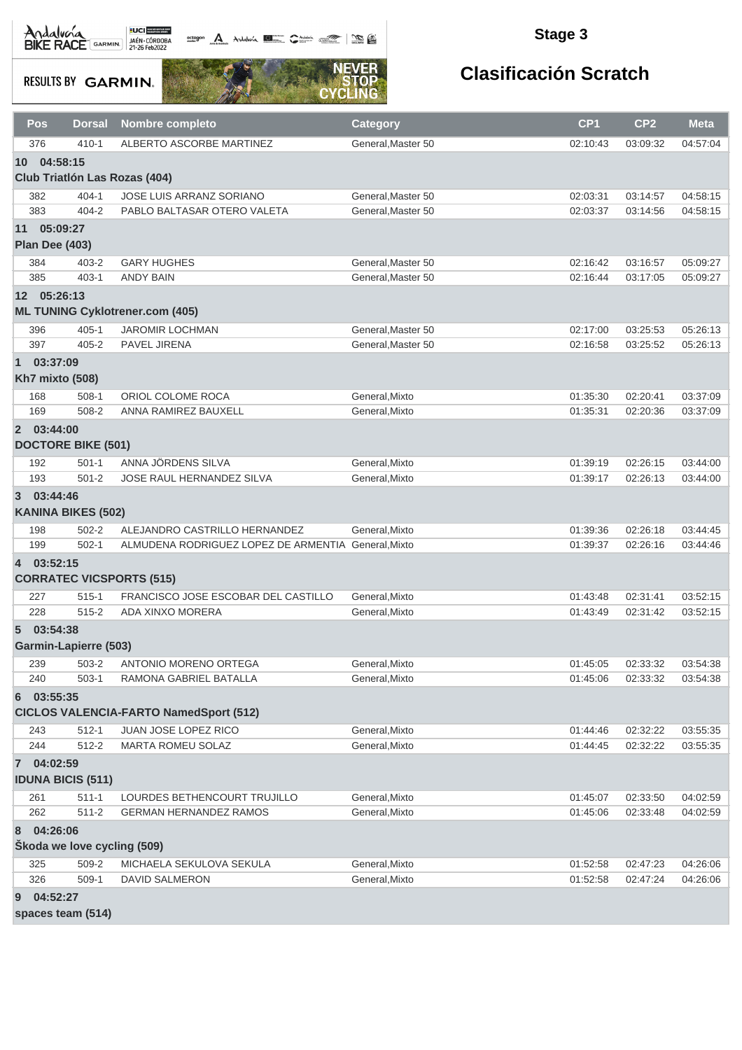octogon A Andalunia **1977** Catalog 2008 - 2008

### **Stage 3**

**RESULTS BY GARMIN.** 



## **Clasificación Scratch**

| <b>Pos</b>                                         | <b>Dorsal</b>                | <b>Nombre completo</b>                              | <b>Category</b>    | CP <sub>1</sub> | CP <sub>2</sub> | <b>Meta</b> |
|----------------------------------------------------|------------------------------|-----------------------------------------------------|--------------------|-----------------|-----------------|-------------|
| 376                                                | $410 - 1$                    | ALBERTO ASCORBE MARTINEZ                            | General, Master 50 | 02:10:43        | 03:09:32        | 04:57:04    |
| 04:58:15<br>10                                     |                              |                                                     |                    |                 |                 |             |
|                                                    |                              | Club Triatlón Las Rozas (404)                       |                    |                 |                 |             |
| 382                                                | $404 - 1$                    | JOSE LUIS ARRANZ SORIANO                            | General, Master 50 | 02:03:31        | 03:14:57        | 04:58:15    |
| 383                                                | $404 - 2$                    | PABLO BALTASAR OTERO VALETA                         | General, Master 50 | 02:03:37        | 03:14:56        | 04:58:15    |
| 11 05:09:27<br>Plan Dee (403)                      |                              |                                                     |                    |                 |                 |             |
| 384                                                | $403 - 2$                    | <b>GARY HUGHES</b>                                  | General, Master 50 | 02:16:42        | 03:16:57        | 05:09:27    |
| 385                                                | $403 - 1$                    | <b>ANDY BAIN</b>                                    | General, Master 50 | 02:16:44        | 03:17:05        | 05:09:27    |
| 12 05:26:13                                        |                              | <b>ML TUNING Cyklotrener.com (405)</b>              |                    |                 |                 |             |
| 396                                                | $405 - 1$                    | <b>JAROMIR LOCHMAN</b>                              | General, Master 50 | 02:17:00        | 03:25:53        | 05:26:13    |
| 397                                                | $405 - 2$                    | PAVEL JIRENA                                        | General, Master 50 | 02:16:58        | 03:25:52        | 05:26:13    |
| 03:37:09<br>$\mathbf{1}$<br><b>Kh7 mixto (508)</b> |                              |                                                     |                    |                 |                 |             |
| 168                                                | $508-1$                      | ORIOL COLOME ROCA                                   | General, Mixto     | 01:35:30        | 02:20:41        | 03:37:09    |
| 169                                                | 508-2                        | ANNA RAMIREZ BAUXELL                                | General.Mixto      | 01:35:31        | 02:20:36        | 03:37:09    |
| 2 03:44:00                                         | <b>DOCTORE BIKE (501)</b>    |                                                     |                    |                 |                 |             |
| 192                                                | $501 - 1$                    | ANNA JÖRDENS SILVA                                  | General, Mixto     | 01:39:19        | 02:26:15        | 03:44:00    |
| 193                                                | $501 - 2$                    | JOSE RAUL HERNANDEZ SILVA                           | General, Mixto     | 01:39:17        | 02:26:13        | 03:44:00    |
| 03:44:46<br>3                                      | <b>KANINA BIKES (502)</b>    |                                                     |                    |                 |                 |             |
| 198                                                | $502 - 2$                    | ALEJANDRO CASTRILLO HERNANDEZ                       | General, Mixto     | 01:39:36        | 02:26:18        | 03:44:45    |
| 199                                                | $502 - 1$                    | ALMUDENA RODRIGUEZ LOPEZ DE ARMENTIA General, Mixto |                    | 01:39:37        | 02:26:16        | 03:44:46    |
| 4 03:52:15                                         |                              | <b>CORRATEC VICSPORTS (515)</b>                     |                    |                 |                 |             |
| 227                                                | $515 - 1$                    | FRANCISCO JOSE ESCOBAR DEL CASTILLO                 | General.Mixto      | 01:43:48        | 02:31:41        | 03:52:15    |
| 228                                                | $515 - 2$                    | ADA XINXO MORERA                                    | General, Mixto     | 01:43:49        | 02:31:42        | 03:52:15    |
| 03:54:38<br>5                                      | <b>Garmin-Lapierre (503)</b> |                                                     |                    |                 |                 |             |
| 239                                                | 503-2                        | ANTONIO MORENO ORTEGA                               | General, Mixto     | 01:45:05        | 02:33:32        | 03:54:38    |
| 240                                                | $503-1$                      | RAMONA GABRIEL BATALLA                              | General, Mixto     | 01:45:06        | 02:33:32        | 03:54:38    |
| 03:55:35<br>6                                      |                              | <b>CICLOS VALENCIA-FARTO NamedSport (512)</b>       |                    |                 |                 |             |
| 243                                                | $512 - 1$                    | JUAN JOSE LOPEZ RICO                                | General, Mixto     | 01:44:46        | 02:32:22        | 03:55:35    |
| 244                                                | 512-2                        | MARTA ROMEU SOLAZ                                   | General, Mixto     | 01:44:45        | 02:32:22        | 03:55:35    |
| 7 04:02:59                                         | <b>IDUNA BICIS (511)</b>     |                                                     |                    |                 |                 |             |
| 261                                                | $511 - 1$                    | LOURDES BETHENCOURT TRUJILLO                        | General, Mixto     | 01:45:07        | 02:33:50        | 04:02:59    |
| 262                                                | $511 - 2$                    | <b>GERMAN HERNANDEZ RAMOS</b>                       | General, Mixto     | 01:45:06        | 02:33:48        | 04:02:59    |
| 04:26:06<br>8                                      | Škoda we love cycling (509)  |                                                     |                    |                 |                 |             |
| 325                                                | 509-2                        | MICHAELA SEKULOVA SEKULA                            | General, Mixto     | 01:52:58        | 02:47:23        | 04:26:06    |
| 326                                                | $509-1$                      | DAVID SALMERON                                      | General, Mixto     | 01:52:58        | 02:47:24        | 04:26:06    |
| 04:52:27<br>9                                      |                              |                                                     |                    |                 |                 |             |

**spaces team (514)**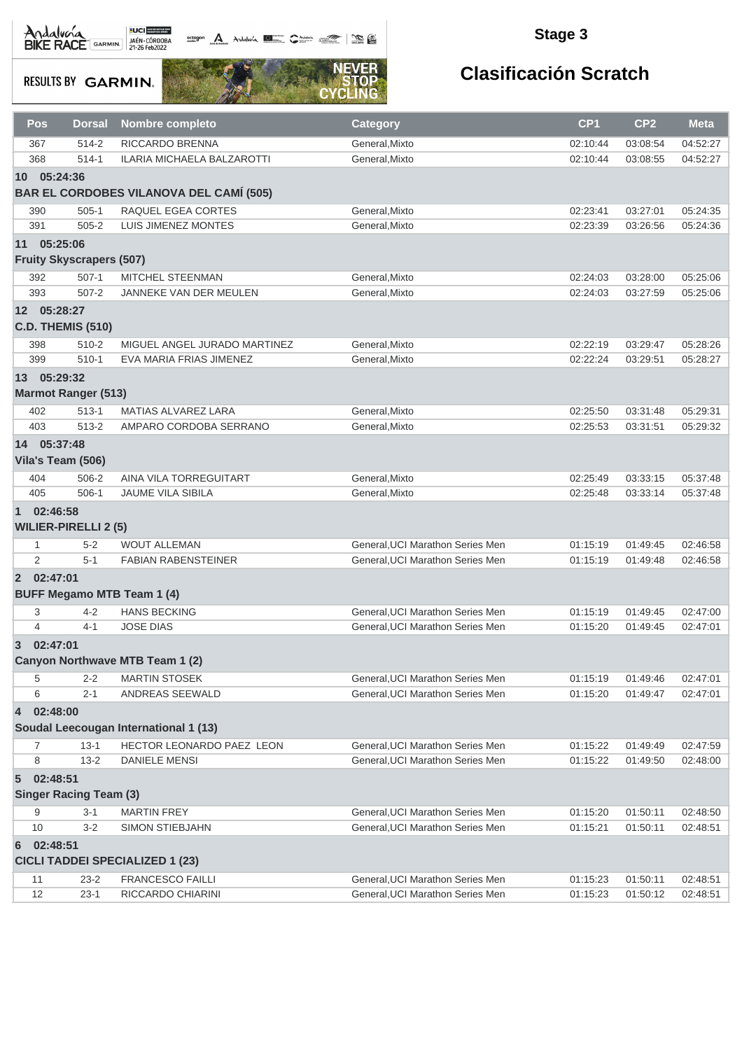

### **Stage 3**

**RESULTS BY GARMIN.** 



| Pos              | <b>Dorsal</b>                   | Nombre completo                                | <b>Category</b>                  | CP <sub>1</sub> | CP <sub>2</sub>      | <b>Meta</b> |
|------------------|---------------------------------|------------------------------------------------|----------------------------------|-----------------|----------------------|-------------|
| 367              | 514-2                           | RICCARDO BRENNA                                | General, Mixto                   | 02:10:44        | 03:08:54             | 04:52:27    |
| 368              | $514-1$                         | ILARIA MICHAELA BALZAROTTI                     | General, Mixto                   | 02:10:44        | 03:08:55             | 04:52:27    |
| 10 <sup>1</sup>  | 05:24:36                        |                                                |                                  |                 |                      |             |
|                  |                                 | <b>BAR EL CORDOBES VILANOVA DEL CAMÍ (505)</b> |                                  |                 |                      |             |
| 390              | $505-1$                         | RAQUEL EGEA CORTES                             | General, Mixto                   | 02:23:41        | 03:27:01             | 05:24:35    |
| 391              | $505 - 2$                       | LUIS JIMENEZ MONTES                            | General, Mixto                   | 02:23:39        | 03:26:56             | 05:24:36    |
|                  |                                 |                                                |                                  |                 |                      |             |
| 11 05:25:06      |                                 |                                                |                                  |                 |                      |             |
|                  | <b>Fruity Skyscrapers (507)</b> |                                                |                                  |                 |                      |             |
| 392              | $507-1$                         | MITCHEL STEENMAN                               | General, Mixto                   | 02:24:03        | 03:28:00             | 05:25:06    |
| 393              | $507 - 2$                       | JANNEKE VAN DER MEULEN                         | General, Mixto                   | 02:24:03        | 03:27:59             | 05:25:06    |
| 12 <sup>12</sup> | 05:28:27                        |                                                |                                  |                 |                      |             |
|                  | <b>C.D. THEMIS (510)</b>        |                                                |                                  |                 |                      |             |
| 398              | $510 - 2$                       | MIGUEL ANGEL JURADO MARTINEZ                   | General, Mixto                   | 02:22:19        | 03:29:47             | 05:28:26    |
| 399              | $510-1$                         | EVA MARIA FRIAS JIMENEZ                        | General, Mixto                   | 02:22:24        | 03:29:51             | 05:28:27    |
| 13 05:29:32      |                                 |                                                |                                  |                 |                      |             |
|                  |                                 |                                                |                                  |                 |                      |             |
|                  | <b>Marmot Ranger (513)</b>      |                                                |                                  |                 |                      |             |
| 402              | $513 - 1$                       | <b>MATIAS ALVAREZ LARA</b>                     | General, Mixto                   | 02:25:50        | 03:31:48             | 05:29:31    |
| 403              | 513-2                           | AMPARO CORDOBA SERRANO                         | General.Mixto                    | 02:25:53        | 03:31:51             | 05:29:32    |
| 14 05:37:48      |                                 |                                                |                                  |                 |                      |             |
|                  | Vila's Team (506)               |                                                |                                  |                 |                      |             |
| 404              | 506-2                           | AINA VILA TORREGUITART                         | General, Mixto                   | 02:25:49        | 03:33:15             | 05:37:48    |
| 405              | $506-1$                         | JAUME VILA SIBILA                              | General, Mixto                   | 02:25:48        | 03:33:14             | 05:37:48    |
| $\mathbf{1}$     | 02:46:58                        |                                                |                                  |                 |                      |             |
|                  | <b>WILIER-PIRELLI 2 (5)</b>     |                                                |                                  |                 |                      |             |
|                  |                                 |                                                |                                  |                 |                      |             |
| $\mathbf{1}$     | $5 - 2$                         | <b>WOUT ALLEMAN</b>                            | General, UCI Marathon Series Men | 01:15:19        | 01:49:45             | 02:46:58    |
| 2                | $5 - 1$                         | <b>FABIAN RABENSTEINER</b>                     | General, UCI Marathon Series Men | 01:15:19        | 01:49:48             | 02:46:58    |
| 2 02:47:01       |                                 |                                                |                                  |                 |                      |             |
|                  |                                 | <b>BUFF Megamo MTB Team 1 (4)</b>              |                                  |                 |                      |             |
| 3                | $4 - 2$                         | <b>HANS BECKING</b>                            | General, UCI Marathon Series Men | 01:15:19        | 01:49:45             | 02:47:00    |
| $\overline{4}$   | $4 - 1$                         | <b>JOSE DIAS</b>                               | General, UCI Marathon Series Men | 01:15:20        | 01:49:45             | 02:47:01    |
| $\overline{3}$   | 02:47:01                        |                                                |                                  |                 |                      |             |
|                  |                                 | Canyon Northwave MTB Team 1 (2)                |                                  |                 |                      |             |
|                  |                                 |                                                |                                  |                 |                      |             |
| 5                | $2 - 2$                         | <b>MARTIN STOSEK</b>                           | General, UCI Marathon Series Men | 01:15:19        | 01:49:46             | 02:47:01    |
| 6                | $2 - 1$                         | ANDREAS SEEWALD                                | General, UCI Marathon Series Men | 01:15:20        | 01:49:47             | 02:47:01    |
| 4                | 02:48:00                        |                                                |                                  |                 |                      |             |
|                  |                                 | Soudal Leecougan International 1 (13)          |                                  |                 |                      |             |
| $\overline{7}$   | $13 - 1$                        | HECTOR LEONARDO PAEZ LEON                      | General, UCI Marathon Series Men | 01:15:22        | 01:49:49             | 02:47:59    |
| 8                | $13 - 2$                        | <b>DANIELE MENSI</b>                           | General, UCI Marathon Series Men | 01:15:22        | 01:49:50             | 02:48:00    |
| $\sqrt{5}$       | 02:48:51                        |                                                |                                  |                 |                      |             |
|                  | <b>Singer Racing Team (3)</b>   |                                                |                                  |                 |                      |             |
| 9                | 3-1                             | <b>MARTIN FREY</b>                             | General, UCI Marathon Series Men | 01:15:20        |                      | 02:48:50    |
| 10               | $3 - 2$                         | SIMON STIEBJAHN                                | General, UCI Marathon Series Men | 01:15:21        | 01:50:11<br>01:50:11 | 02:48:51    |
|                  |                                 |                                                |                                  |                 |                      |             |
| 6                | 02:48:51                        |                                                |                                  |                 |                      |             |
|                  |                                 | <b>CICLI TADDEI SPECIALIZED 1 (23)</b>         |                                  |                 |                      |             |
| 11               | $23 - 2$                        | <b>FRANCESCO FAILLI</b>                        | General, UCI Marathon Series Men | 01:15:23        | 01:50:11             | 02:48:51    |
| 12               | $23-1$                          | RICCARDO CHIARINI                              | General, UCI Marathon Series Men | 01:15:23        | 01:50:12             | 02:48:51    |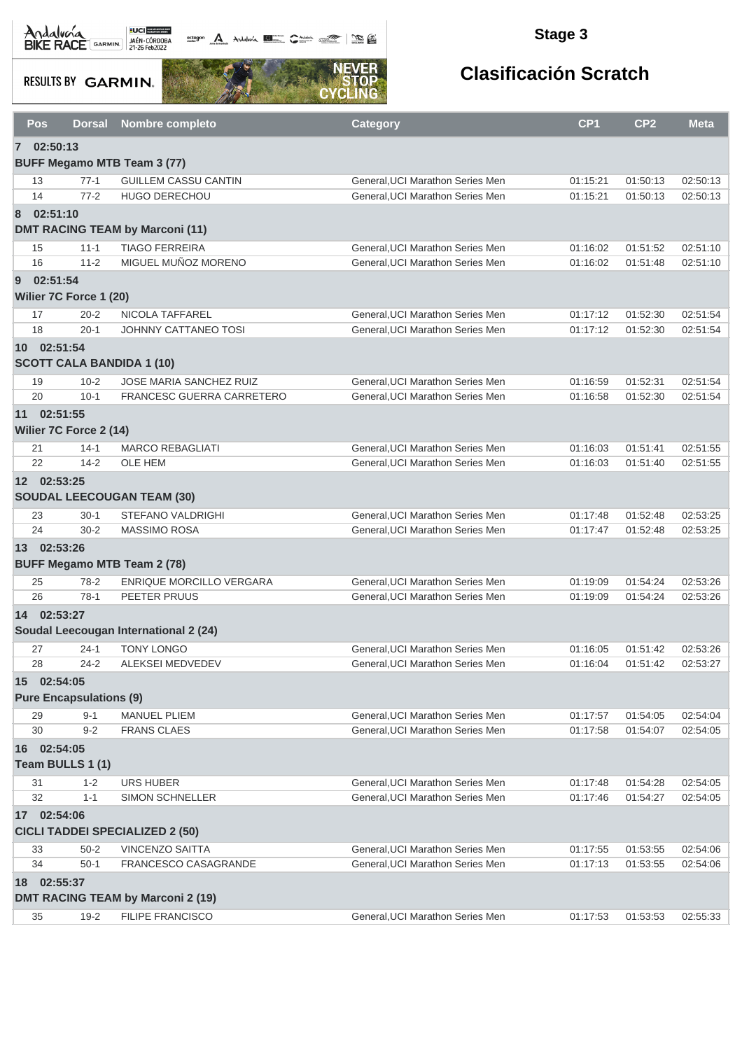**octogon** Andalwin **DE Chatting Comment Comments** 

### **Stage 3**

**RESULTS BY GARMIN.** 



| 7 02:50:13<br><b>BUFF Megamo MTB Team 3 (77)</b><br><b>GUILLEM CASSU CANTIN</b><br>General, UCI Marathon Series Men<br>01:15:21<br>01:50:13<br>02:50:13<br>13<br>$77-1$<br>14<br>$77-2$<br><b>HUGO DERECHOU</b><br>General, UCI Marathon Series Men<br>01:15:21<br>01:50:13<br>02:50:13<br>02:51:10<br>8<br><b>DMT RACING TEAM by Marconi (11)</b><br>$11 - 1$<br><b>TIAGO FERREIRA</b><br>General, UCI Marathon Series Men<br>01:51:52<br>02:51:10<br>15<br>01:16:02<br>MIGUEL MUÑOZ MORENO<br>16<br>$11 - 2$<br>General.UCI Marathon Series Men<br>01:51:48<br>01:16:02<br>02:51:10<br>02:51:54<br>$\overline{9}$<br>Wilier 7C Force 1 (20)<br>$20 - 2$<br>NICOLA TAFFAREL<br>General, UCI Marathon Series Men<br>01:52:30<br>02:51:54<br>17<br>01:17:12<br>18<br>$20 - 1$<br><b>JOHNNY CATTANEO TOSI</b><br>General, UCI Marathon Series Men<br>01:17:12<br>01:52:30<br>02:51:54<br>10 02:51:54<br><b>SCOTT CALA BANDIDA 1 (10)</b><br><b>JOSE MARIA SANCHEZ RUIZ</b><br>General, UCI Marathon Series Men<br>$10 - 2$<br>01:16:59<br>01:52:31<br>02:51:54<br>19<br>20<br>$10-1$<br>FRANCESC GUERRA CARRETERO<br>General, UCI Marathon Series Men<br>01:16:58<br>01:52:30<br>02:51:54<br>11 02:51:55<br>Wilier 7C Force 2 (14)<br><b>MARCO REBAGLIATI</b><br>General, UCI Marathon Series Men<br>01:51:41<br>02:51:55<br>21<br>$14 - 1$<br>01:16:03<br>22<br>$14 - 2$<br>OLE HEM<br>General, UCI Marathon Series Men<br>01:51:40<br>01:16:03<br>02:51:55<br>12 02:53:25<br><b>SOUDAL LEECOUGAN TEAM (30)</b><br><b>STEFANO VALDRIGHI</b><br>General, UCI Marathon Series Men<br>01:52:48<br>02:53:25<br>23<br>$30-1$<br>01:17:48<br>24<br>$30 - 2$<br><b>MASSIMO ROSA</b><br>General, UCI Marathon Series Men<br>02:53:25<br>01:17:47<br>01:52:48<br>13 02:53:26<br><b>BUFF Megamo MTB Team 2 (78)</b><br>ENRIQUE MORCILLO VERGARA<br>General, UCI Marathon Series Men<br>01:54:24<br>02:53:26<br>25<br>$78-2$<br>01:19:09<br>26<br>$78-1$<br>PEETER PRUUS<br>General, UCI Marathon Series Men<br>01:54:24<br>01:19:09<br>02:53:26<br>02:53:27<br>14<br>Soudal Leecougan International 2 (24)<br><b>TONY LONGO</b><br>$24 - 1$<br>General, UCI Marathon Series Men<br>01:51:42<br>02:53:26<br>27<br>01:16:05<br>$24 - 2$<br><b>ALEKSEI MEDVEDEV</b><br>General, UCI Marathon Series Men<br>01:51:42<br>28<br>01:16:04<br>02:53:27<br>02:54:05<br>15<br><b>Pure Encapsulations (9)</b><br><b>MANUEL PLIEM</b><br>$9 - 1$<br>General, UCI Marathon Series Men<br>02:54:04<br>29<br>01:17:57<br>01:54:05<br>30<br>$9 - 2$<br><b>FRANS CLAES</b><br>General, UCI Marathon Series Men<br>01:17:58<br>01:54:07<br>02:54:05<br>16 02:54:05<br>Team BULLS 1 (1)<br>31<br>URS HUBER<br>General, UCI Marathon Series Men<br>02:54:05<br>$1 - 2$<br>01:17:48<br>01:54:28<br>32<br>$1 - 1$<br>SIMON SCHNELLER<br>General, UCI Marathon Series Men<br>01:17:46<br>01:54:27<br>02:54:05<br>02:54:06<br>17 <sup>7</sup><br><b>CICLI TADDEI SPECIALIZED 2 (50)</b><br>33<br>$50 - 2$<br><b>VINCENZO SAITTA</b><br>01:17:55<br>01:53:55<br>02:54:06<br>General, UCI Marathon Series Men<br>34<br>$50-1$<br>General, UCI Marathon Series Men<br>FRANCESCO CASAGRANDE<br>01:17:13<br>01:53:55<br>02:54:06<br>18 02:55:37<br><b>DMT RACING TEAM by Marconi 2 (19)</b> | Pos | <b>Dorsal</b> | <b>Nombre completo</b>  | <b>Category</b>                  | CP <sub>1</sub> | CP <sub>2</sub> | <b>Meta</b> |
|-----------------------------------------------------------------------------------------------------------------------------------------------------------------------------------------------------------------------------------------------------------------------------------------------------------------------------------------------------------------------------------------------------------------------------------------------------------------------------------------------------------------------------------------------------------------------------------------------------------------------------------------------------------------------------------------------------------------------------------------------------------------------------------------------------------------------------------------------------------------------------------------------------------------------------------------------------------------------------------------------------------------------------------------------------------------------------------------------------------------------------------------------------------------------------------------------------------------------------------------------------------------------------------------------------------------------------------------------------------------------------------------------------------------------------------------------------------------------------------------------------------------------------------------------------------------------------------------------------------------------------------------------------------------------------------------------------------------------------------------------------------------------------------------------------------------------------------------------------------------------------------------------------------------------------------------------------------------------------------------------------------------------------------------------------------------------------------------------------------------------------------------------------------------------------------------------------------------------------------------------------------------------------------------------------------------------------------------------------------------------------------------------------------------------------------------------------------------------------------------------------------------------------------------------------------------------------------------------------------------------------------------------------------------------------------------------------------------------------------------------------------------------------------------------------------------------------------------------------------------------------------------------------------------------------------------------------------------------------------------------------------------------------------------------------------------------------------------------------------------------------------------------------------------------------------------------------------------------------------------------------|-----|---------------|-------------------------|----------------------------------|-----------------|-----------------|-------------|
|                                                                                                                                                                                                                                                                                                                                                                                                                                                                                                                                                                                                                                                                                                                                                                                                                                                                                                                                                                                                                                                                                                                                                                                                                                                                                                                                                                                                                                                                                                                                                                                                                                                                                                                                                                                                                                                                                                                                                                                                                                                                                                                                                                                                                                                                                                                                                                                                                                                                                                                                                                                                                                                                                                                                                                                                                                                                                                                                                                                                                                                                                                                                                                                                                                                     |     |               |                         |                                  |                 |                 |             |
|                                                                                                                                                                                                                                                                                                                                                                                                                                                                                                                                                                                                                                                                                                                                                                                                                                                                                                                                                                                                                                                                                                                                                                                                                                                                                                                                                                                                                                                                                                                                                                                                                                                                                                                                                                                                                                                                                                                                                                                                                                                                                                                                                                                                                                                                                                                                                                                                                                                                                                                                                                                                                                                                                                                                                                                                                                                                                                                                                                                                                                                                                                                                                                                                                                                     |     |               |                         |                                  |                 |                 |             |
|                                                                                                                                                                                                                                                                                                                                                                                                                                                                                                                                                                                                                                                                                                                                                                                                                                                                                                                                                                                                                                                                                                                                                                                                                                                                                                                                                                                                                                                                                                                                                                                                                                                                                                                                                                                                                                                                                                                                                                                                                                                                                                                                                                                                                                                                                                                                                                                                                                                                                                                                                                                                                                                                                                                                                                                                                                                                                                                                                                                                                                                                                                                                                                                                                                                     |     |               |                         |                                  |                 |                 |             |
|                                                                                                                                                                                                                                                                                                                                                                                                                                                                                                                                                                                                                                                                                                                                                                                                                                                                                                                                                                                                                                                                                                                                                                                                                                                                                                                                                                                                                                                                                                                                                                                                                                                                                                                                                                                                                                                                                                                                                                                                                                                                                                                                                                                                                                                                                                                                                                                                                                                                                                                                                                                                                                                                                                                                                                                                                                                                                                                                                                                                                                                                                                                                                                                                                                                     |     |               |                         |                                  |                 |                 |             |
|                                                                                                                                                                                                                                                                                                                                                                                                                                                                                                                                                                                                                                                                                                                                                                                                                                                                                                                                                                                                                                                                                                                                                                                                                                                                                                                                                                                                                                                                                                                                                                                                                                                                                                                                                                                                                                                                                                                                                                                                                                                                                                                                                                                                                                                                                                                                                                                                                                                                                                                                                                                                                                                                                                                                                                                                                                                                                                                                                                                                                                                                                                                                                                                                                                                     |     |               |                         |                                  |                 |                 |             |
|                                                                                                                                                                                                                                                                                                                                                                                                                                                                                                                                                                                                                                                                                                                                                                                                                                                                                                                                                                                                                                                                                                                                                                                                                                                                                                                                                                                                                                                                                                                                                                                                                                                                                                                                                                                                                                                                                                                                                                                                                                                                                                                                                                                                                                                                                                                                                                                                                                                                                                                                                                                                                                                                                                                                                                                                                                                                                                                                                                                                                                                                                                                                                                                                                                                     |     |               |                         |                                  |                 |                 |             |
|                                                                                                                                                                                                                                                                                                                                                                                                                                                                                                                                                                                                                                                                                                                                                                                                                                                                                                                                                                                                                                                                                                                                                                                                                                                                                                                                                                                                                                                                                                                                                                                                                                                                                                                                                                                                                                                                                                                                                                                                                                                                                                                                                                                                                                                                                                                                                                                                                                                                                                                                                                                                                                                                                                                                                                                                                                                                                                                                                                                                                                                                                                                                                                                                                                                     |     |               |                         |                                  |                 |                 |             |
|                                                                                                                                                                                                                                                                                                                                                                                                                                                                                                                                                                                                                                                                                                                                                                                                                                                                                                                                                                                                                                                                                                                                                                                                                                                                                                                                                                                                                                                                                                                                                                                                                                                                                                                                                                                                                                                                                                                                                                                                                                                                                                                                                                                                                                                                                                                                                                                                                                                                                                                                                                                                                                                                                                                                                                                                                                                                                                                                                                                                                                                                                                                                                                                                                                                     |     |               |                         |                                  |                 |                 |             |
|                                                                                                                                                                                                                                                                                                                                                                                                                                                                                                                                                                                                                                                                                                                                                                                                                                                                                                                                                                                                                                                                                                                                                                                                                                                                                                                                                                                                                                                                                                                                                                                                                                                                                                                                                                                                                                                                                                                                                                                                                                                                                                                                                                                                                                                                                                                                                                                                                                                                                                                                                                                                                                                                                                                                                                                                                                                                                                                                                                                                                                                                                                                                                                                                                                                     |     |               |                         |                                  |                 |                 |             |
|                                                                                                                                                                                                                                                                                                                                                                                                                                                                                                                                                                                                                                                                                                                                                                                                                                                                                                                                                                                                                                                                                                                                                                                                                                                                                                                                                                                                                                                                                                                                                                                                                                                                                                                                                                                                                                                                                                                                                                                                                                                                                                                                                                                                                                                                                                                                                                                                                                                                                                                                                                                                                                                                                                                                                                                                                                                                                                                                                                                                                                                                                                                                                                                                                                                     |     |               |                         |                                  |                 |                 |             |
|                                                                                                                                                                                                                                                                                                                                                                                                                                                                                                                                                                                                                                                                                                                                                                                                                                                                                                                                                                                                                                                                                                                                                                                                                                                                                                                                                                                                                                                                                                                                                                                                                                                                                                                                                                                                                                                                                                                                                                                                                                                                                                                                                                                                                                                                                                                                                                                                                                                                                                                                                                                                                                                                                                                                                                                                                                                                                                                                                                                                                                                                                                                                                                                                                                                     |     |               |                         |                                  |                 |                 |             |
|                                                                                                                                                                                                                                                                                                                                                                                                                                                                                                                                                                                                                                                                                                                                                                                                                                                                                                                                                                                                                                                                                                                                                                                                                                                                                                                                                                                                                                                                                                                                                                                                                                                                                                                                                                                                                                                                                                                                                                                                                                                                                                                                                                                                                                                                                                                                                                                                                                                                                                                                                                                                                                                                                                                                                                                                                                                                                                                                                                                                                                                                                                                                                                                                                                                     |     |               |                         |                                  |                 |                 |             |
|                                                                                                                                                                                                                                                                                                                                                                                                                                                                                                                                                                                                                                                                                                                                                                                                                                                                                                                                                                                                                                                                                                                                                                                                                                                                                                                                                                                                                                                                                                                                                                                                                                                                                                                                                                                                                                                                                                                                                                                                                                                                                                                                                                                                                                                                                                                                                                                                                                                                                                                                                                                                                                                                                                                                                                                                                                                                                                                                                                                                                                                                                                                                                                                                                                                     |     |               |                         |                                  |                 |                 |             |
|                                                                                                                                                                                                                                                                                                                                                                                                                                                                                                                                                                                                                                                                                                                                                                                                                                                                                                                                                                                                                                                                                                                                                                                                                                                                                                                                                                                                                                                                                                                                                                                                                                                                                                                                                                                                                                                                                                                                                                                                                                                                                                                                                                                                                                                                                                                                                                                                                                                                                                                                                                                                                                                                                                                                                                                                                                                                                                                                                                                                                                                                                                                                                                                                                                                     |     |               |                         |                                  |                 |                 |             |
|                                                                                                                                                                                                                                                                                                                                                                                                                                                                                                                                                                                                                                                                                                                                                                                                                                                                                                                                                                                                                                                                                                                                                                                                                                                                                                                                                                                                                                                                                                                                                                                                                                                                                                                                                                                                                                                                                                                                                                                                                                                                                                                                                                                                                                                                                                                                                                                                                                                                                                                                                                                                                                                                                                                                                                                                                                                                                                                                                                                                                                                                                                                                                                                                                                                     |     |               |                         |                                  |                 |                 |             |
|                                                                                                                                                                                                                                                                                                                                                                                                                                                                                                                                                                                                                                                                                                                                                                                                                                                                                                                                                                                                                                                                                                                                                                                                                                                                                                                                                                                                                                                                                                                                                                                                                                                                                                                                                                                                                                                                                                                                                                                                                                                                                                                                                                                                                                                                                                                                                                                                                                                                                                                                                                                                                                                                                                                                                                                                                                                                                                                                                                                                                                                                                                                                                                                                                                                     |     |               |                         |                                  |                 |                 |             |
|                                                                                                                                                                                                                                                                                                                                                                                                                                                                                                                                                                                                                                                                                                                                                                                                                                                                                                                                                                                                                                                                                                                                                                                                                                                                                                                                                                                                                                                                                                                                                                                                                                                                                                                                                                                                                                                                                                                                                                                                                                                                                                                                                                                                                                                                                                                                                                                                                                                                                                                                                                                                                                                                                                                                                                                                                                                                                                                                                                                                                                                                                                                                                                                                                                                     |     |               |                         |                                  |                 |                 |             |
|                                                                                                                                                                                                                                                                                                                                                                                                                                                                                                                                                                                                                                                                                                                                                                                                                                                                                                                                                                                                                                                                                                                                                                                                                                                                                                                                                                                                                                                                                                                                                                                                                                                                                                                                                                                                                                                                                                                                                                                                                                                                                                                                                                                                                                                                                                                                                                                                                                                                                                                                                                                                                                                                                                                                                                                                                                                                                                                                                                                                                                                                                                                                                                                                                                                     |     |               |                         |                                  |                 |                 |             |
|                                                                                                                                                                                                                                                                                                                                                                                                                                                                                                                                                                                                                                                                                                                                                                                                                                                                                                                                                                                                                                                                                                                                                                                                                                                                                                                                                                                                                                                                                                                                                                                                                                                                                                                                                                                                                                                                                                                                                                                                                                                                                                                                                                                                                                                                                                                                                                                                                                                                                                                                                                                                                                                                                                                                                                                                                                                                                                                                                                                                                                                                                                                                                                                                                                                     |     |               |                         |                                  |                 |                 |             |
|                                                                                                                                                                                                                                                                                                                                                                                                                                                                                                                                                                                                                                                                                                                                                                                                                                                                                                                                                                                                                                                                                                                                                                                                                                                                                                                                                                                                                                                                                                                                                                                                                                                                                                                                                                                                                                                                                                                                                                                                                                                                                                                                                                                                                                                                                                                                                                                                                                                                                                                                                                                                                                                                                                                                                                                                                                                                                                                                                                                                                                                                                                                                                                                                                                                     |     |               |                         |                                  |                 |                 |             |
|                                                                                                                                                                                                                                                                                                                                                                                                                                                                                                                                                                                                                                                                                                                                                                                                                                                                                                                                                                                                                                                                                                                                                                                                                                                                                                                                                                                                                                                                                                                                                                                                                                                                                                                                                                                                                                                                                                                                                                                                                                                                                                                                                                                                                                                                                                                                                                                                                                                                                                                                                                                                                                                                                                                                                                                                                                                                                                                                                                                                                                                                                                                                                                                                                                                     |     |               |                         |                                  |                 |                 |             |
|                                                                                                                                                                                                                                                                                                                                                                                                                                                                                                                                                                                                                                                                                                                                                                                                                                                                                                                                                                                                                                                                                                                                                                                                                                                                                                                                                                                                                                                                                                                                                                                                                                                                                                                                                                                                                                                                                                                                                                                                                                                                                                                                                                                                                                                                                                                                                                                                                                                                                                                                                                                                                                                                                                                                                                                                                                                                                                                                                                                                                                                                                                                                                                                                                                                     |     |               |                         |                                  |                 |                 |             |
|                                                                                                                                                                                                                                                                                                                                                                                                                                                                                                                                                                                                                                                                                                                                                                                                                                                                                                                                                                                                                                                                                                                                                                                                                                                                                                                                                                                                                                                                                                                                                                                                                                                                                                                                                                                                                                                                                                                                                                                                                                                                                                                                                                                                                                                                                                                                                                                                                                                                                                                                                                                                                                                                                                                                                                                                                                                                                                                                                                                                                                                                                                                                                                                                                                                     |     |               |                         |                                  |                 |                 |             |
|                                                                                                                                                                                                                                                                                                                                                                                                                                                                                                                                                                                                                                                                                                                                                                                                                                                                                                                                                                                                                                                                                                                                                                                                                                                                                                                                                                                                                                                                                                                                                                                                                                                                                                                                                                                                                                                                                                                                                                                                                                                                                                                                                                                                                                                                                                                                                                                                                                                                                                                                                                                                                                                                                                                                                                                                                                                                                                                                                                                                                                                                                                                                                                                                                                                     |     |               |                         |                                  |                 |                 |             |
|                                                                                                                                                                                                                                                                                                                                                                                                                                                                                                                                                                                                                                                                                                                                                                                                                                                                                                                                                                                                                                                                                                                                                                                                                                                                                                                                                                                                                                                                                                                                                                                                                                                                                                                                                                                                                                                                                                                                                                                                                                                                                                                                                                                                                                                                                                                                                                                                                                                                                                                                                                                                                                                                                                                                                                                                                                                                                                                                                                                                                                                                                                                                                                                                                                                     |     |               |                         |                                  |                 |                 |             |
|                                                                                                                                                                                                                                                                                                                                                                                                                                                                                                                                                                                                                                                                                                                                                                                                                                                                                                                                                                                                                                                                                                                                                                                                                                                                                                                                                                                                                                                                                                                                                                                                                                                                                                                                                                                                                                                                                                                                                                                                                                                                                                                                                                                                                                                                                                                                                                                                                                                                                                                                                                                                                                                                                                                                                                                                                                                                                                                                                                                                                                                                                                                                                                                                                                                     |     |               |                         |                                  |                 |                 |             |
|                                                                                                                                                                                                                                                                                                                                                                                                                                                                                                                                                                                                                                                                                                                                                                                                                                                                                                                                                                                                                                                                                                                                                                                                                                                                                                                                                                                                                                                                                                                                                                                                                                                                                                                                                                                                                                                                                                                                                                                                                                                                                                                                                                                                                                                                                                                                                                                                                                                                                                                                                                                                                                                                                                                                                                                                                                                                                                                                                                                                                                                                                                                                                                                                                                                     |     |               |                         |                                  |                 |                 |             |
|                                                                                                                                                                                                                                                                                                                                                                                                                                                                                                                                                                                                                                                                                                                                                                                                                                                                                                                                                                                                                                                                                                                                                                                                                                                                                                                                                                                                                                                                                                                                                                                                                                                                                                                                                                                                                                                                                                                                                                                                                                                                                                                                                                                                                                                                                                                                                                                                                                                                                                                                                                                                                                                                                                                                                                                                                                                                                                                                                                                                                                                                                                                                                                                                                                                     |     |               |                         |                                  |                 |                 |             |
|                                                                                                                                                                                                                                                                                                                                                                                                                                                                                                                                                                                                                                                                                                                                                                                                                                                                                                                                                                                                                                                                                                                                                                                                                                                                                                                                                                                                                                                                                                                                                                                                                                                                                                                                                                                                                                                                                                                                                                                                                                                                                                                                                                                                                                                                                                                                                                                                                                                                                                                                                                                                                                                                                                                                                                                                                                                                                                                                                                                                                                                                                                                                                                                                                                                     |     |               |                         |                                  |                 |                 |             |
|                                                                                                                                                                                                                                                                                                                                                                                                                                                                                                                                                                                                                                                                                                                                                                                                                                                                                                                                                                                                                                                                                                                                                                                                                                                                                                                                                                                                                                                                                                                                                                                                                                                                                                                                                                                                                                                                                                                                                                                                                                                                                                                                                                                                                                                                                                                                                                                                                                                                                                                                                                                                                                                                                                                                                                                                                                                                                                                                                                                                                                                                                                                                                                                                                                                     |     |               |                         |                                  |                 |                 |             |
|                                                                                                                                                                                                                                                                                                                                                                                                                                                                                                                                                                                                                                                                                                                                                                                                                                                                                                                                                                                                                                                                                                                                                                                                                                                                                                                                                                                                                                                                                                                                                                                                                                                                                                                                                                                                                                                                                                                                                                                                                                                                                                                                                                                                                                                                                                                                                                                                                                                                                                                                                                                                                                                                                                                                                                                                                                                                                                                                                                                                                                                                                                                                                                                                                                                     |     |               |                         |                                  |                 |                 |             |
|                                                                                                                                                                                                                                                                                                                                                                                                                                                                                                                                                                                                                                                                                                                                                                                                                                                                                                                                                                                                                                                                                                                                                                                                                                                                                                                                                                                                                                                                                                                                                                                                                                                                                                                                                                                                                                                                                                                                                                                                                                                                                                                                                                                                                                                                                                                                                                                                                                                                                                                                                                                                                                                                                                                                                                                                                                                                                                                                                                                                                                                                                                                                                                                                                                                     |     |               |                         |                                  |                 |                 |             |
|                                                                                                                                                                                                                                                                                                                                                                                                                                                                                                                                                                                                                                                                                                                                                                                                                                                                                                                                                                                                                                                                                                                                                                                                                                                                                                                                                                                                                                                                                                                                                                                                                                                                                                                                                                                                                                                                                                                                                                                                                                                                                                                                                                                                                                                                                                                                                                                                                                                                                                                                                                                                                                                                                                                                                                                                                                                                                                                                                                                                                                                                                                                                                                                                                                                     |     |               |                         |                                  |                 |                 |             |
|                                                                                                                                                                                                                                                                                                                                                                                                                                                                                                                                                                                                                                                                                                                                                                                                                                                                                                                                                                                                                                                                                                                                                                                                                                                                                                                                                                                                                                                                                                                                                                                                                                                                                                                                                                                                                                                                                                                                                                                                                                                                                                                                                                                                                                                                                                                                                                                                                                                                                                                                                                                                                                                                                                                                                                                                                                                                                                                                                                                                                                                                                                                                                                                                                                                     |     |               |                         |                                  |                 |                 |             |
|                                                                                                                                                                                                                                                                                                                                                                                                                                                                                                                                                                                                                                                                                                                                                                                                                                                                                                                                                                                                                                                                                                                                                                                                                                                                                                                                                                                                                                                                                                                                                                                                                                                                                                                                                                                                                                                                                                                                                                                                                                                                                                                                                                                                                                                                                                                                                                                                                                                                                                                                                                                                                                                                                                                                                                                                                                                                                                                                                                                                                                                                                                                                                                                                                                                     |     |               |                         |                                  |                 |                 |             |
|                                                                                                                                                                                                                                                                                                                                                                                                                                                                                                                                                                                                                                                                                                                                                                                                                                                                                                                                                                                                                                                                                                                                                                                                                                                                                                                                                                                                                                                                                                                                                                                                                                                                                                                                                                                                                                                                                                                                                                                                                                                                                                                                                                                                                                                                                                                                                                                                                                                                                                                                                                                                                                                                                                                                                                                                                                                                                                                                                                                                                                                                                                                                                                                                                                                     |     |               |                         |                                  |                 |                 |             |
|                                                                                                                                                                                                                                                                                                                                                                                                                                                                                                                                                                                                                                                                                                                                                                                                                                                                                                                                                                                                                                                                                                                                                                                                                                                                                                                                                                                                                                                                                                                                                                                                                                                                                                                                                                                                                                                                                                                                                                                                                                                                                                                                                                                                                                                                                                                                                                                                                                                                                                                                                                                                                                                                                                                                                                                                                                                                                                                                                                                                                                                                                                                                                                                                                                                     |     |               |                         |                                  |                 |                 |             |
|                                                                                                                                                                                                                                                                                                                                                                                                                                                                                                                                                                                                                                                                                                                                                                                                                                                                                                                                                                                                                                                                                                                                                                                                                                                                                                                                                                                                                                                                                                                                                                                                                                                                                                                                                                                                                                                                                                                                                                                                                                                                                                                                                                                                                                                                                                                                                                                                                                                                                                                                                                                                                                                                                                                                                                                                                                                                                                                                                                                                                                                                                                                                                                                                                                                     |     |               |                         |                                  |                 |                 |             |
|                                                                                                                                                                                                                                                                                                                                                                                                                                                                                                                                                                                                                                                                                                                                                                                                                                                                                                                                                                                                                                                                                                                                                                                                                                                                                                                                                                                                                                                                                                                                                                                                                                                                                                                                                                                                                                                                                                                                                                                                                                                                                                                                                                                                                                                                                                                                                                                                                                                                                                                                                                                                                                                                                                                                                                                                                                                                                                                                                                                                                                                                                                                                                                                                                                                     |     |               |                         |                                  |                 |                 |             |
|                                                                                                                                                                                                                                                                                                                                                                                                                                                                                                                                                                                                                                                                                                                                                                                                                                                                                                                                                                                                                                                                                                                                                                                                                                                                                                                                                                                                                                                                                                                                                                                                                                                                                                                                                                                                                                                                                                                                                                                                                                                                                                                                                                                                                                                                                                                                                                                                                                                                                                                                                                                                                                                                                                                                                                                                                                                                                                                                                                                                                                                                                                                                                                                                                                                     |     |               |                         |                                  |                 |                 |             |
|                                                                                                                                                                                                                                                                                                                                                                                                                                                                                                                                                                                                                                                                                                                                                                                                                                                                                                                                                                                                                                                                                                                                                                                                                                                                                                                                                                                                                                                                                                                                                                                                                                                                                                                                                                                                                                                                                                                                                                                                                                                                                                                                                                                                                                                                                                                                                                                                                                                                                                                                                                                                                                                                                                                                                                                                                                                                                                                                                                                                                                                                                                                                                                                                                                                     |     |               |                         |                                  |                 |                 |             |
|                                                                                                                                                                                                                                                                                                                                                                                                                                                                                                                                                                                                                                                                                                                                                                                                                                                                                                                                                                                                                                                                                                                                                                                                                                                                                                                                                                                                                                                                                                                                                                                                                                                                                                                                                                                                                                                                                                                                                                                                                                                                                                                                                                                                                                                                                                                                                                                                                                                                                                                                                                                                                                                                                                                                                                                                                                                                                                                                                                                                                                                                                                                                                                                                                                                     |     |               |                         |                                  |                 |                 |             |
|                                                                                                                                                                                                                                                                                                                                                                                                                                                                                                                                                                                                                                                                                                                                                                                                                                                                                                                                                                                                                                                                                                                                                                                                                                                                                                                                                                                                                                                                                                                                                                                                                                                                                                                                                                                                                                                                                                                                                                                                                                                                                                                                                                                                                                                                                                                                                                                                                                                                                                                                                                                                                                                                                                                                                                                                                                                                                                                                                                                                                                                                                                                                                                                                                                                     |     |               |                         |                                  |                 |                 |             |
|                                                                                                                                                                                                                                                                                                                                                                                                                                                                                                                                                                                                                                                                                                                                                                                                                                                                                                                                                                                                                                                                                                                                                                                                                                                                                                                                                                                                                                                                                                                                                                                                                                                                                                                                                                                                                                                                                                                                                                                                                                                                                                                                                                                                                                                                                                                                                                                                                                                                                                                                                                                                                                                                                                                                                                                                                                                                                                                                                                                                                                                                                                                                                                                                                                                     |     |               |                         |                                  |                 |                 |             |
|                                                                                                                                                                                                                                                                                                                                                                                                                                                                                                                                                                                                                                                                                                                                                                                                                                                                                                                                                                                                                                                                                                                                                                                                                                                                                                                                                                                                                                                                                                                                                                                                                                                                                                                                                                                                                                                                                                                                                                                                                                                                                                                                                                                                                                                                                                                                                                                                                                                                                                                                                                                                                                                                                                                                                                                                                                                                                                                                                                                                                                                                                                                                                                                                                                                     | 35  | $19 - 2$      | <b>FILIPE FRANCISCO</b> | General, UCI Marathon Series Men | 01:17:53        | 01:53:53        | 02:55:33    |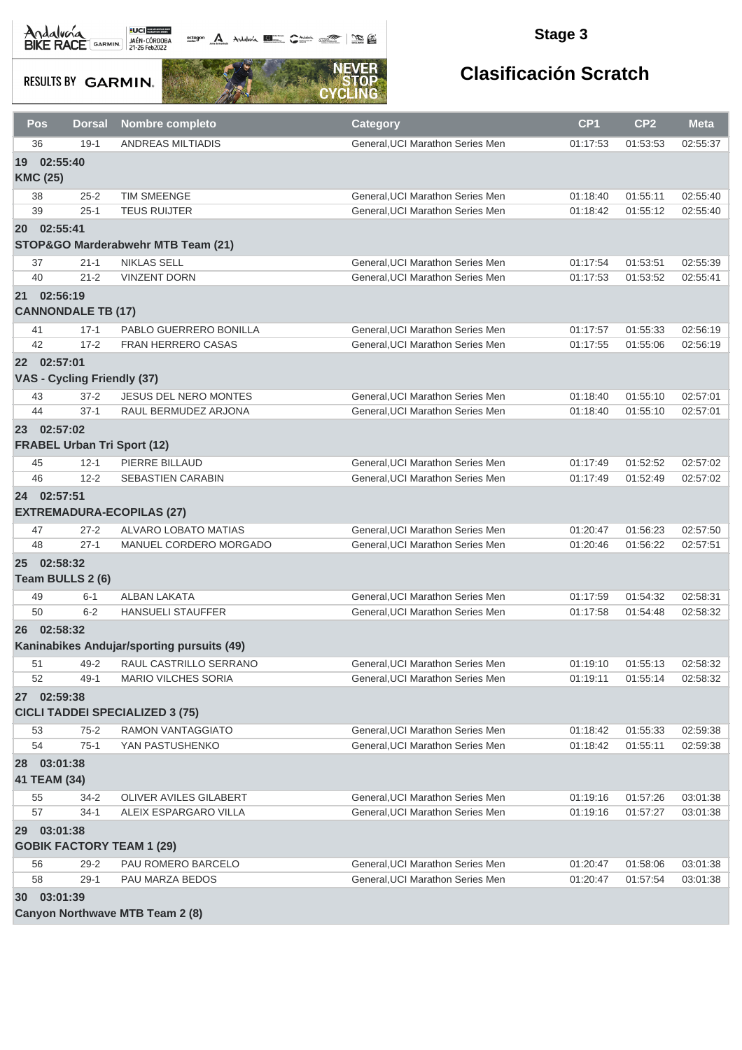**octogon A** Andalwin **ELLER** CANNAIS TO BE

### **Stage 3**

**RESULTS BY GARMIN.** 



| Pos             | <b>Dorsal</b>                                     | Nombre completo                            | <b>Category</b>                  | CP <sub>1</sub> | CP <sub>2</sub> | <b>Meta</b> |
|-----------------|---------------------------------------------------|--------------------------------------------|----------------------------------|-----------------|-----------------|-------------|
| 36              | $19-1$                                            | <b>ANDREAS MILTIADIS</b>                   | General, UCI Marathon Series Men | 01:17:53        | 01:53:53        | 02:55:37    |
| <b>KMC (25)</b> | 19 02:55:40                                       |                                            |                                  |                 |                 |             |
| 38              | $25 - 2$                                          | <b>TIM SMEENGE</b>                         | General, UCI Marathon Series Men | 01:18:40        | 01:55:11        | 02:55:40    |
| 39              | $25 - 1$                                          | <b>TEUS RUIJTER</b>                        | General, UCI Marathon Series Men | 01:18:42        | 01:55:12        | 02:55:40    |
|                 | 20 02:55:41                                       | STOP&GO Marderabwehr MTB Team (21)         |                                  |                 |                 |             |
| 37              | $21 - 1$                                          | <b>NIKLAS SELL</b>                         | General, UCI Marathon Series Men | 01:17:54        | 01:53:51        | 02:55:39    |
| 40              | $21 - 2$                                          | <b>VINZENT DORN</b>                        | General, UCI Marathon Series Men | 01:17:53        | 01:53:52        | 02:55:41    |
|                 | 21 02:56:19<br><b>CANNONDALE TB (17)</b>          |                                            |                                  |                 |                 |             |
| 41              | $17 - 1$                                          | PABLO GUERRERO BONILLA                     | General, UCI Marathon Series Men | 01:17:57        | 01:55:33        | 02:56:19    |
| 42              | $17 - 2$                                          | FRAN HERRERO CASAS                         | General, UCI Marathon Series Men | 01:17:55        | 01:55:06        | 02:56:19    |
|                 | 22 02:57:01<br>VAS - Cycling Friendly (37)        |                                            |                                  |                 |                 |             |
| 43              | $37 - 2$                                          | <b>JESUS DEL NERO MONTES</b>               | General, UCI Marathon Series Men | 01:18:40        | 01:55:10        | 02:57:01    |
| 44              | $37-1$                                            | RAUL BERMUDEZ ARJONA                       | General, UCI Marathon Series Men | 01:18:40        | 01:55:10        | 02:57:01    |
|                 | 23 02:57:02<br><b>FRABEL Urban Tri Sport (12)</b> |                                            |                                  |                 |                 |             |
| 45              | $12 - 1$                                          | PIERRE BILLAUD                             | General, UCI Marathon Series Men | 01:17:49        | 01:52:52        | 02:57:02    |
| 46              | $12 - 2$                                          | <b>SEBASTIEN CARABIN</b>                   | General, UCI Marathon Series Men | 01:17:49        | 01:52:49        | 02:57:02    |
|                 | 24 02:57:51                                       | <b>EXTREMADURA-ECOPILAS (27)</b>           |                                  |                 |                 |             |
| 47              | $27 - 2$                                          | ALVARO LOBATO MATIAS                       | General, UCI Marathon Series Men | 01:20:47        | 01:56:23        | 02:57:50    |
| 48              | $27 - 1$                                          | MANUEL CORDERO MORGADO                     | General, UCI Marathon Series Men | 01:20:46        | 01:56:22        | 02:57:51    |
| 25 <sub>2</sub> | 02:58:32<br>Team BULLS 2 (6)                      |                                            |                                  |                 |                 |             |
| 49              | $6 - 1$                                           | <b>ALBAN LAKATA</b>                        | General, UCI Marathon Series Men | 01:17:59        | 01:54:32        | 02:58:31    |
| 50              | $6 - 2$                                           | <b>HANSUELI STAUFFER</b>                   | General, UCI Marathon Series Men | 01:17:58        | 01:54:48        | 02:58:32    |
|                 | 26 02:58:32                                       | Kaninabikes Andujar/sporting pursuits (49) |                                  |                 |                 |             |
| 51              | 49-2                                              | RAUL CASTRILLO SERRANO                     | General, UCI Marathon Series Men | 01:19:10        | 01:55:13        | 02:58:32    |
| 52              | 49-1                                              | <b>MARIO VILCHES SORIA</b>                 | General, UCI Marathon Series Men | 01:19:11        | 01:55:14        | 02:58:32    |
|                 | 27 02:59:38                                       | <b>CICLI TADDEI SPECIALIZED 3 (75)</b>     |                                  |                 |                 |             |
| 53              | $75 - 2$                                          | RAMON VANTAGGIATO                          | General, UCI Marathon Series Men | 01:18:42        | 01:55:33        | 02:59:38    |
| 54              | $75-1$                                            | YAN PASTUSHENKO                            | General, UCI Marathon Series Men | 01:18:42        | 01:55:11        | 02:59:38    |
|                 | 28 03:01:38<br>41 TEAM (34)                       |                                            |                                  |                 |                 |             |
| 55              | 34-2                                              | OLIVER AVILES GILABERT                     | General, UCI Marathon Series Men | 01:19:16        | 01:57:26        | 03:01:38    |
| 57              | $34-1$                                            | ALEIX ESPARGARO VILLA                      | General, UCI Marathon Series Men | 01:19:16        | 01:57:27        | 03:01:38    |
| 29              | 03:01:38<br><b>GOBIK FACTORY TEAM 1 (29)</b>      |                                            |                                  |                 |                 |             |
| 56              | $29 - 2$                                          | PAU ROMERO BARCELO                         | General, UCI Marathon Series Men | 01:20:47        | 01:58:06        | 03:01:38    |
| 58              | $29-1$                                            | PAU MARZA BEDOS                            | General, UCI Marathon Series Men | 01:20:47        | 01:57:54        | 03:01:38    |
|                 | 30 03:01:39                                       |                                            |                                  |                 |                 |             |
|                 |                                                   | Canyon Northwave MTB Team 2 (8)            |                                  |                 |                 |             |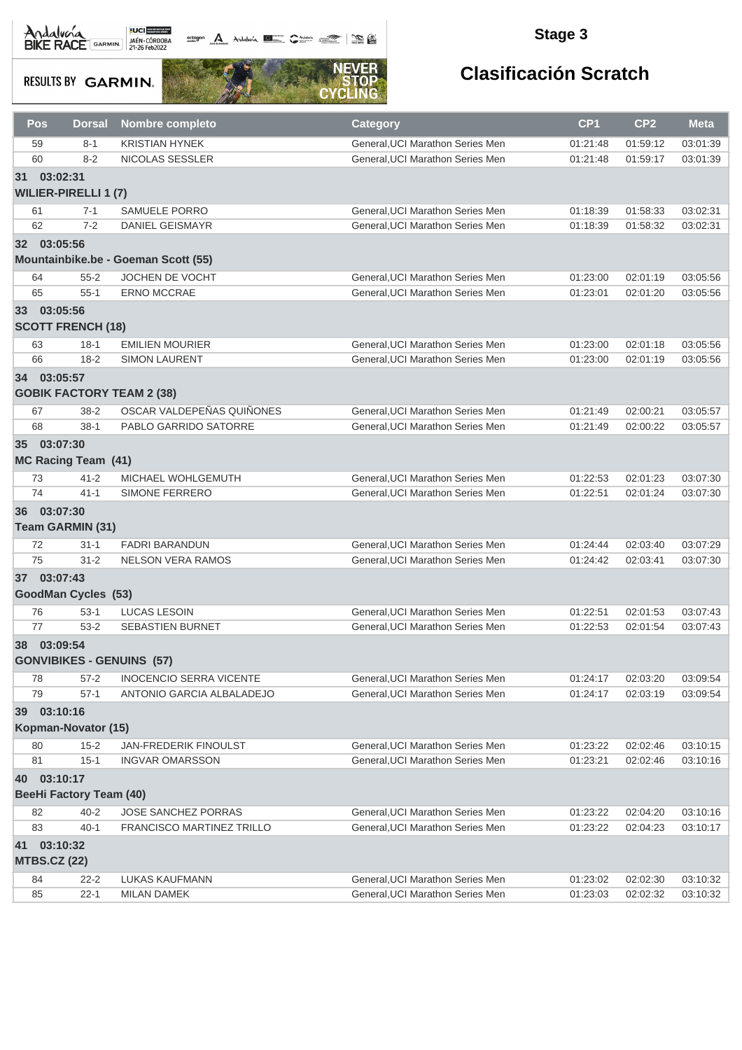Andalvera BIKE RACE GARMIN 27-26 Feb2022

octogon A Andalunia **1977** Catalog 2008 - 2008

### **Stage 3**

**RESULTS BY GARMIN.** 



| Pos                       | <b>Dorsal</b>                           | <b>Nombre completo</b>              | <b>Category</b>                  | CP <sub>1</sub> | CP <sub>2</sub> | <b>Meta</b> |
|---------------------------|-----------------------------------------|-------------------------------------|----------------------------------|-----------------|-----------------|-------------|
| 59                        | $8 - 1$                                 | <b>KRISTIAN HYNEK</b>               | General, UCI Marathon Series Men | 01:21:48        | 01:59:12        | 03:01:39    |
| 60                        | $8 - 2$                                 | NICOLAS SESSLER                     | General, UCI Marathon Series Men | 01:21:48        | 01:59:17        | 03:01:39    |
| 31                        | 03:02:31<br><b>WILIER-PIRELLI 1 (7)</b> |                                     |                                  |                 |                 |             |
| 61                        | $7 - 1$                                 | <b>SAMUELE PORRO</b>                | General, UCI Marathon Series Men | 01:18:39        | 01:58:33        | 03:02:31    |
| 62                        | $7 - 2$                                 | <b>DANIEL GEISMAYR</b>              | General, UCI Marathon Series Men | 01:18:39        | 01:58:32        | 03:02:31    |
| 32 03:05:56               |                                         |                                     |                                  |                 |                 |             |
|                           |                                         | Mountainbike.be - Goeman Scott (55) |                                  |                 |                 |             |
| 64                        | $55 - 2$                                | <b>JOCHEN DE VOCHT</b>              | General, UCI Marathon Series Men | 01:23:00        | 02:01:19        | 03:05:56    |
| 65                        | $55 - 1$                                | <b>ERNO MCCRAE</b>                  | General, UCI Marathon Series Men | 01:23:01        | 02:01:20        | 03:05:56    |
| 33 03:05:56               | <b>SCOTT FRENCH (18)</b>                |                                     |                                  |                 |                 |             |
| 63                        | $18-1$                                  | <b>EMILIEN MOURIER</b>              | General, UCI Marathon Series Men | 01:23:00        | 02:01:18        | 03:05:56    |
| 66                        | $18 - 2$                                | <b>SIMON LAURENT</b>                | General.UCI Marathon Series Men  | 01:23:00        | 02:01:19        | 03:05:56    |
| 34 03:05:57               |                                         | <b>GOBIK FACTORY TEAM 2 (38)</b>    |                                  |                 |                 |             |
| 67                        | $38-2$                                  | OSCAR VALDEPEÑAS QUIÑONES           | General, UCI Marathon Series Men | 01:21:49        | 02:00:21        | 03:05:57    |
| 68                        | $38-1$                                  | PABLO GARRIDO SATORRE               | General.UCI Marathon Series Men  | 01:21:49        | 02:00:22        | 03:05:57    |
| 35                        | 03:07:30<br><b>MC Racing Team (41)</b>  |                                     |                                  |                 |                 |             |
| 73                        | $41 - 2$                                | MICHAEL WOHLGEMUTH                  | General, UCI Marathon Series Men | 01:22:53        | 02:01:23        | 03:07:30    |
| 74                        | $41 - 1$                                | SIMONE FERRERO                      | General, UCI Marathon Series Men | 01:22:51        | 02:01:24        | 03:07:30    |
| 36 03:07:30               | Team GARMIN (31)                        |                                     |                                  |                 |                 |             |
| 72                        | $31 - 1$                                | <b>FADRI BARANDUN</b>               | General, UCI Marathon Series Men | 01:24:44        | 02:03:40        | 03:07:29    |
| 75                        | $31 - 2$                                | <b>NELSON VERA RAMOS</b>            | General, UCI Marathon Series Men | 01:24:42        | 02:03:41        | 03:07:30    |
| 37 03:07:43               | <b>GoodMan Cycles (53)</b>              |                                     |                                  |                 |                 |             |
| 76                        | $53-1$                                  | <b>LUCAS LESOIN</b>                 | General, UCI Marathon Series Men | 01:22:51        | 02:01:53        | 03:07:43    |
| 77                        | $53 - 2$                                | <b>SEBASTIEN BURNET</b>             | General, UCI Marathon Series Men | 01:22:53        | 02:01:54        | 03:07:43    |
| 38 03:09:54               |                                         | <b>GONVIBIKES - GENUINS (57)</b>    |                                  |                 |                 |             |
| 78                        | $57 - 2$                                | <b>INOCENCIO SERRA VICENTE</b>      | General, UCI Marathon Series Men | 01:24:17        | 02:03:20        | 03:09:54    |
| 79                        | $57-1$                                  | ANTONIO GARCIA ALBALADEJO           | General.UCI Marathon Series Men  | 01:24:17        | 02:03:19        | 03:09:54    |
| 39                        | 03:10:16                                |                                     |                                  |                 |                 |             |
|                           | Kopman-Novator (15)                     |                                     |                                  |                 |                 |             |
| 80                        | $15 - 2$                                | <b>JAN-FREDERIK FINOULST</b>        | General, UCI Marathon Series Men | 01:23:22        | 02:02:46        | 03:10:15    |
| 81                        | $15 - 1$                                | <b>INGVAR OMARSSON</b>              | General, UCI Marathon Series Men | 01:23:21        | 02:02:46        | 03:10:16    |
| 40                        | 03:10:17                                |                                     |                                  |                 |                 |             |
|                           | <b>BeeHi Factory Team (40)</b>          |                                     |                                  |                 |                 |             |
| 82                        | $40 - 2$                                | JOSE SANCHEZ PORRAS                 | General, UCI Marathon Series Men | 01:23:22        | 02:04:20        | 03:10:16    |
| 83                        | $40 - 1$                                | FRANCISCO MARTINEZ TRILLO           | General, UCI Marathon Series Men | 01:23:22        | 02:04:23        | 03:10:17    |
| 41<br><b>MTBS.CZ (22)</b> | 03:10:32                                |                                     |                                  |                 |                 |             |
| 84                        | $22 - 2$                                | LUKAS KAUFMANN                      | General, UCI Marathon Series Men | 01:23:02        | 02:02:30        | 03:10:32    |
| 85                        | $22 - 1$                                | <b>MILAN DAMEK</b>                  | General, UCI Marathon Series Men | 01:23:03        | 02:02:32        | 03:10:32    |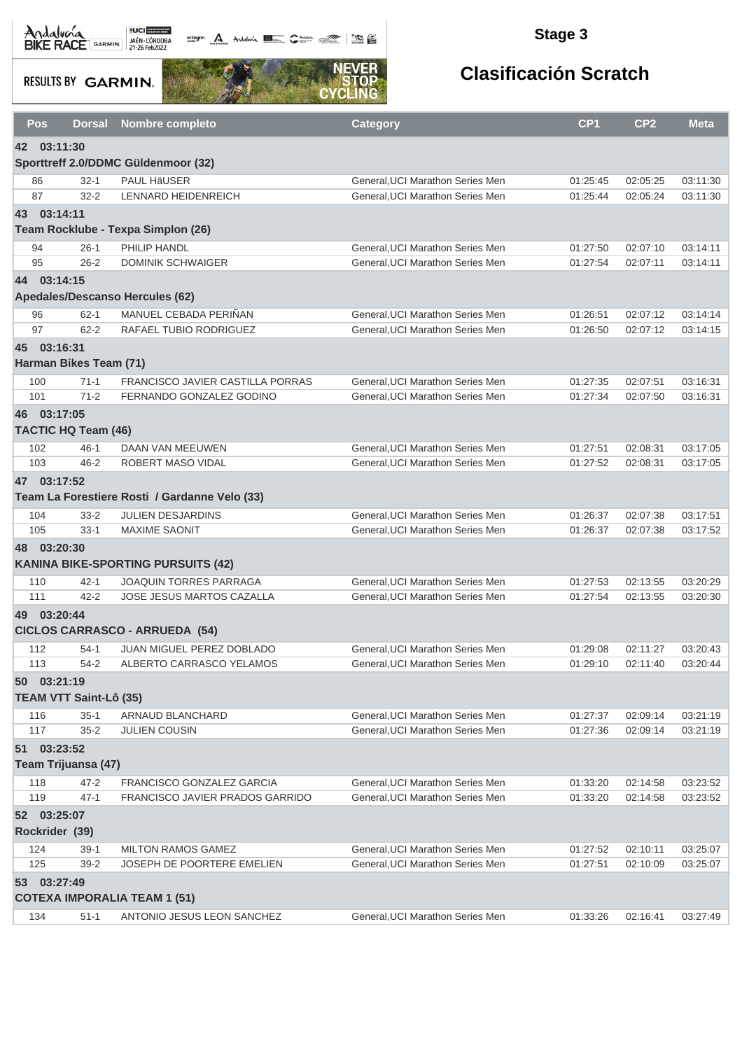**octogon A** Andalwin **ELLER** CANNAIS TO BE

### **Stage 3**

**RESULTS BY GARMIN.** 



| Pos            | <b>Dorsal</b>                      | <b>Nombre completo</b>                        | <b>Category</b>                  | CP <sub>1</sub> | CP <sub>2</sub> | <b>Meta</b> |
|----------------|------------------------------------|-----------------------------------------------|----------------------------------|-----------------|-----------------|-------------|
| 42             | 03:11:30                           |                                               |                                  |                 |                 |             |
|                |                                    | Sporttreff 2.0/DDMC Güldenmoor (32)           |                                  |                 |                 |             |
| 86             | $32 - 1$                           | <b>PAUL HÄUSER</b>                            | General, UCI Marathon Series Men | 01:25:45        | 02:05:25        | 03:11:30    |
| 87             | $32 - 2$                           | LENNARD HEIDENREICH                           | General, UCI Marathon Series Men | 01:25:44        | 02:05:24        | 03:11:30    |
| 43 03:14:11    |                                    | Team Rocklube - Texpa Simplon (26)            |                                  |                 |                 |             |
| 94             | $26-1$                             | PHILIP HANDL                                  | General, UCI Marathon Series Men | 01:27:50        | 02:07:10        | 03:14:11    |
| 95             | $26 - 2$                           | <b>DOMINIK SCHWAIGER</b>                      | General, UCI Marathon Series Men | 01:27:54        | 02:07:11        | 03:14:11    |
| 44             | 03:14:15                           |                                               |                                  |                 |                 |             |
|                |                                    | Apedales/Descanso Hercules (62)               |                                  |                 |                 |             |
| 96             | $62 - 1$                           | MANUEL CEBADA PERIÑAN                         | General, UCI Marathon Series Men | 01:26:51        | 02:07:12        | 03:14:14    |
| 97             | $62 - 2$                           | RAFAEL TUBIO RODRIGUEZ                        | General, UCI Marathon Series Men | 01:26:50        | 02:07:12        | 03:14:15    |
| 45             | 03:16:31<br>Harman Bikes Team (71) |                                               |                                  |                 |                 |             |
| 100            | $71-1$                             | FRANCISCO JAVIER CASTILLA PORRAS              | General.UCI Marathon Series Men  | 01:27:35        | 02:07:51        | 03:16:31    |
| 101            | $71 - 2$                           | FERNANDO GONZALEZ GODINO                      | General, UCI Marathon Series Men | 01:27:34        | 02:07:50        | 03:16:31    |
| 46 03:17:05    | <b>TACTIC HQ Team (46)</b>         |                                               |                                  |                 |                 |             |
| 102            | $46 - 1$                           | DAAN VAN MEEUWEN                              | General, UCI Marathon Series Men | 01:27:51        | 02:08:31        | 03:17:05    |
| 103            | $46 - 2$                           | ROBERT MASO VIDAL                             | General, UCI Marathon Series Men | 01:27:52        | 02:08:31        | 03:17:05    |
| 47 03:17:52    |                                    | Team La Forestiere Rosti / Gardanne Velo (33) |                                  |                 |                 |             |
| 104            | $33 - 2$                           | <b>JULIEN DESJARDINS</b>                      | General, UCI Marathon Series Men | 01:26:37        | 02:07:38        | 03:17:51    |
| 105            | $33 - 1$                           | <b>MAXIME SAONIT</b>                          | General, UCI Marathon Series Men | 01:26:37        | 02:07:38        | 03:17:52    |
| 48             | 03:20:30                           | <b>KANINA BIKE-SPORTING PURSUITS (42)</b>     |                                  |                 |                 |             |
| 110            | $42 - 1$                           | JOAQUIN TORRES PARRAGA                        | General, UCI Marathon Series Men | 01:27:53        | 02:13:55        | 03:20:29    |
| 111            | $42 - 2$                           | JOSE JESUS MARTOS CAZALLA                     | General, UCI Marathon Series Men | 01:27:54        | 02:13:55        | 03:20:30    |
| 49 03:20:44    |                                    | <b>CICLOS CARRASCO - ARRUEDA (54)</b>         |                                  |                 |                 |             |
| 112            | $54-1$                             | <b>JUAN MIGUEL PEREZ DOBLADO</b>              | General, UCI Marathon Series Men | 01:29:08        | 02:11:27        | 03:20:43    |
| 113            | $54 - 2$                           | ALBERTO CARRASCO YELAMOS                      | General, UCI Marathon Series Men | 01:29:10        | 02:11:40        | 03:20:44    |
| 50 03:21:19    | <b>TEAM VTT Saint-Lô (35)</b>      |                                               |                                  |                 |                 |             |
| 116            | $35-1$                             | ARNAUD BLANCHARD                              | General, UCI Marathon Series Men | 01:27:37        | 02:09:14        | 03:21:19    |
| 117            | $35 - 2$                           | <b>JULIEN COUSIN</b>                          | General, UCI Marathon Series Men | 01:27:36        | 02:09:14        | 03:21:19    |
| 51 03:23:52    |                                    |                                               |                                  |                 |                 |             |
|                | Team Trijuansa (47)                |                                               |                                  |                 |                 |             |
| 118            | $47 - 2$                           | FRANCISCO GONZALEZ GARCIA                     | General, UCI Marathon Series Men | 01:33:20        | 02:14:58        | 03:23:52    |
| 119            | $47 - 1$                           | FRANCISCO JAVIER PRADOS GARRIDO               | General, UCI Marathon Series Men | 01:33:20        | 02:14:58        | 03:23:52    |
| 52 03:25:07    |                                    |                                               |                                  |                 |                 |             |
| Rockrider (39) |                                    |                                               |                                  |                 |                 |             |
| 124            | $39-1$                             | <b>MILTON RAMOS GAMEZ</b>                     | General, UCI Marathon Series Men | 01:27:52        | 02:10:11        | 03:25:07    |
| 125            | $39 - 2$                           | <b>JOSEPH DE POORTERE EMELIEN</b>             | General, UCI Marathon Series Men | 01:27:51        | 02:10:09        | 03:25:07    |
| 53 03:27:49    |                                    |                                               |                                  |                 |                 |             |
|                |                                    | <b>COTEXA IMPORALIA TEAM 1 (51)</b>           |                                  |                 |                 |             |
| 134            | $51 - 1$                           | ANTONIO JESUS LEON SANCHEZ                    | General, UCI Marathon Series Men | 01:33:26        | 02:16:41        | 03:27:49    |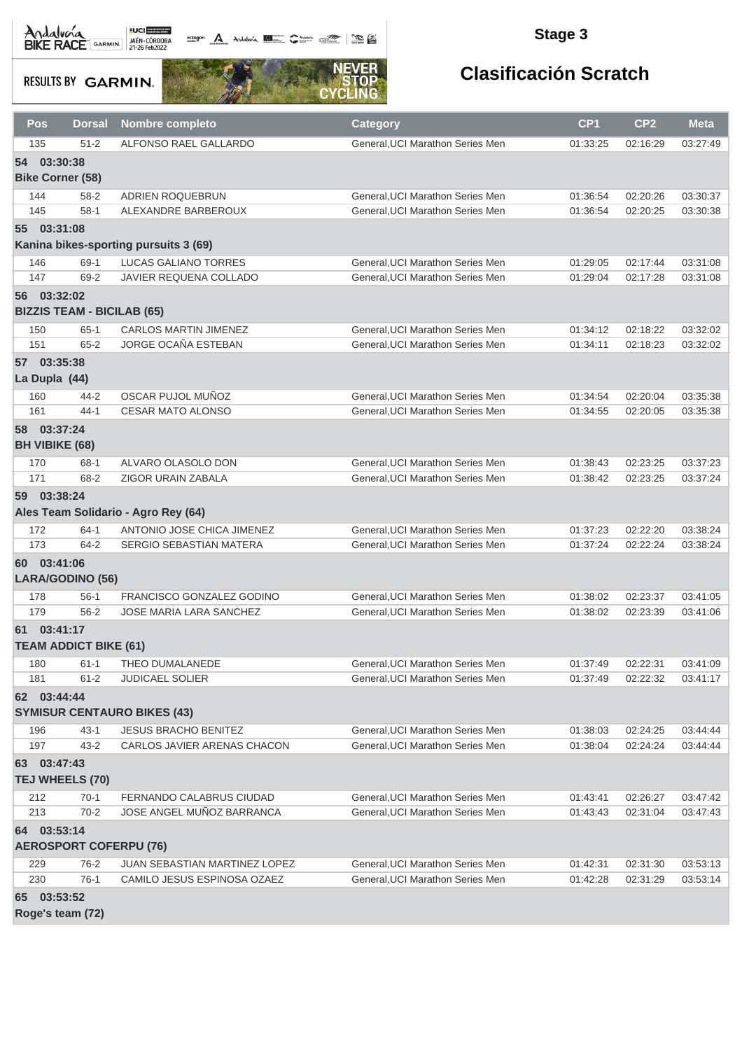Andalvona MEDICIE

octogon A Andalunia **1977** Catalog 2008 - 2008

### **Stage 3**

**RESULTS BY GARMIN.** 



| Pos | <b>Dorsal</b>                     | <b>Nombre completo</b>                | Category                         | CP <sub>1</sub> | CP <sub>2</sub> | <b>Meta</b> |
|-----|-----------------------------------|---------------------------------------|----------------------------------|-----------------|-----------------|-------------|
| 135 | $51 - 2$                          | ALFONSO RAEL GALLARDO                 | General, UCI Marathon Series Men | 01:33:25        | 02:16:29        | 03:27:49    |
|     | 54 03:30:38                       |                                       |                                  |                 |                 |             |
|     | <b>Bike Corner (58)</b>           |                                       |                                  |                 |                 |             |
| 144 | $58 - 2$                          | ADRIEN ROQUEBRUN                      | General, UCI Marathon Series Men | 01:36:54        | 02:20:26        | 03:30:37    |
| 145 | $58-1$                            | ALEXANDRE BARBEROUX                   | General, UCI Marathon Series Men | 01:36:54        | 02:20:25        | 03:30:38    |
|     | 55 03:31:08                       |                                       |                                  |                 |                 |             |
|     |                                   | Kanina bikes-sporting pursuits 3 (69) |                                  |                 |                 |             |
| 146 | 69-1                              | <b>LUCAS GALIANO TORRES</b>           | General, UCI Marathon Series Men | 01:29:05        | 02:17:44        | 03:31:08    |
| 147 | 69-2                              | JAVIER REQUENA COLLADO                | General, UCI Marathon Series Men | 01:29:04        | 02:17:28        | 03:31:08    |
|     | 56 03:32:02                       |                                       |                                  |                 |                 |             |
|     | <b>BIZZIS TEAM - BICILAB (65)</b> |                                       |                                  |                 |                 |             |
| 150 | $65 - 1$                          | <b>CARLOS MARTIN JIMENEZ</b>          | General, UCI Marathon Series Men | 01:34:12        | 02:18:22        | 03:32:02    |
| 151 | $65 - 2$                          | <b>JORGE OCAÑA ESTEBAN</b>            | General, UCI Marathon Series Men | 01:34:11        | 02:18:23        | 03:32:02    |
|     | 57 03:35:38                       |                                       |                                  |                 |                 |             |
|     | La Dupla (44)                     |                                       |                                  |                 |                 |             |
| 160 | $44 - 2$                          | OSCAR PUJOL MUÑOZ                     | General, UCI Marathon Series Men | 01:34:54        | 02:20:04        | 03:35:38    |
| 161 | $44 - 1$                          | <b>CESAR MATO ALONSO</b>              | General, UCI Marathon Series Men | 01:34:55        | 02:20:05        | 03:35:38    |
|     | 58 03:37:24                       |                                       |                                  |                 |                 |             |
|     | <b>BH VIBIKE (68)</b>             |                                       |                                  |                 |                 |             |
| 170 | $68-1$                            | ALVARO OLASOLO DON                    | General, UCI Marathon Series Men | 01:38:43        | 02:23:25        | 03:37:23    |
| 171 | 68-2                              | ZIGOR URAIN ZABALA                    | General, UCI Marathon Series Men | 01:38:42        | 02:23:25        | 03:37:24    |
| 59  | 03:38:24                          |                                       |                                  |                 |                 |             |
|     |                                   | Ales Team Solidario - Agro Rey (64)   |                                  |                 |                 |             |
| 172 | $64-1$                            | ANTONIO JOSE CHICA JIMENEZ            | General, UCI Marathon Series Men | 01:37:23        | 02:22:20        | 03:38:24    |
| 173 | $64 - 2$                          | SERGIO SEBASTIAN MATERA               | General, UCI Marathon Series Men | 01:37:24        | 02:22:24        | 03:38:24    |
|     | 60 03:41:06                       |                                       |                                  |                 |                 |             |
|     | <b>LARA/GODINO (56)</b>           |                                       |                                  |                 |                 |             |
| 178 | $56-1$                            | FRANCISCO GONZALEZ GODINO             | General.UCI Marathon Series Men  | 01:38:02        | 02:23:37        | 03:41:05    |
| 179 | $56 - 2$                          | <b>JOSE MARIA LARA SANCHEZ</b>        | General, UCI Marathon Series Men | 01:38:02        | 02:23:39        | 03:41:06    |
|     | 61 03:41:17                       |                                       |                                  |                 |                 |             |
|     | <b>TEAM ADDICT BIKE (61)</b>      |                                       |                                  |                 |                 |             |
| 180 | $61 - 1$                          | THEO DUMALANEDE                       | General, UCI Marathon Series Men | 01:37:49        | 02:22:31        | 03:41:09    |
| 181 | $61 - 2$                          | <b>JUDICAEL SOLIER</b>                | General, UCI Marathon Series Men | 01:37:49        | 02:22:32        | 03:41:17    |
|     | 62 03:44:44                       |                                       |                                  |                 |                 |             |
|     |                                   | <b>SYMISUR CENTAURO BIKES (43)</b>    |                                  |                 |                 |             |
| 196 | $43 - 1$                          | <b>JESUS BRACHO BENITEZ</b>           | General, UCI Marathon Series Men | 01:38:03        | 02:24:25        | 03:44:44    |
| 197 | $43 - 2$                          | CARLOS JAVIER ARENAS CHACON           | General, UCI Marathon Series Men | 01:38:04        | 02:24:24        | 03:44:44    |
|     | 63 03:47:43                       |                                       |                                  |                 |                 |             |
|     | <b>TEJ WHEELS (70)</b>            |                                       |                                  |                 |                 |             |
| 212 | $70-1$                            | FERNANDO CALABRUS CIUDAD              | General, UCI Marathon Series Men | 01:43:41        | 02:26:27        | 03:47:42    |
| 213 | $70-2$                            | JOSE ANGEL MUÑOZ BARRANCA             | General, UCI Marathon Series Men | 01:43:43        | 02:31:04        | 03:47:43    |
| 64  | 03:53:14                          |                                       |                                  |                 |                 |             |
|     | <b>AEROSPORT COFERPU (76)</b>     |                                       |                                  |                 |                 |             |
| 229 | 76-2                              | JUAN SEBASTIAN MARTINEZ LOPEZ         | General, UCI Marathon Series Men | 01:42:31        | 02:31:30        | 03:53:13    |
| 230 | $76-1$                            | CAMILO JESUS ESPINOSA OZAEZ           | General, UCI Marathon Series Men | 01:42:28        | 02:31:29        | 03:53:14    |
|     | 65 03:53:52                       |                                       |                                  |                 |                 |             |
|     | Roge's team (72)                  |                                       |                                  |                 |                 |             |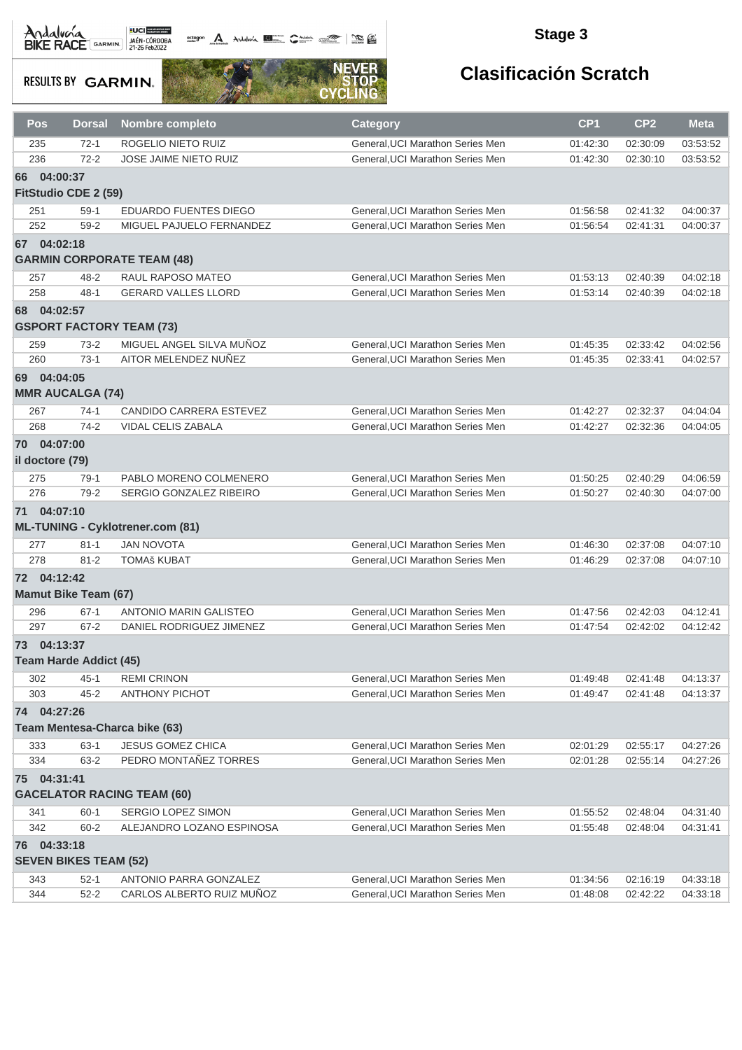Andalvara BIKE RACE GARMIN 21-26 Feb2022

octogon A Andalunia **1977** Catalog 2008 - 2008

### **Stage 3**

**RESULTS BY GARMIN.** 



| Pos             | <b>Dorsal</b>                 | <b>Nombre completo</b>                           | <b>Category</b>                                                      | CP <sub>1</sub>      | CP <sub>2</sub>      | <b>Meta</b>          |
|-----------------|-------------------------------|--------------------------------------------------|----------------------------------------------------------------------|----------------------|----------------------|----------------------|
| 235             | $72-1$                        | ROGELIO NIETO RUIZ                               | General, UCI Marathon Series Men                                     | 01:42:30             | 02:30:09             | 03:53:52             |
| 236             | $72 - 2$                      | JOSE JAIME NIETO RUIZ                            | General, UCI Marathon Series Men                                     | 01:42:30             | 02:30:10             | 03:53:52             |
| 66              | 04:00:37                      |                                                  |                                                                      |                      |                      |                      |
|                 | FitStudio CDE 2 (59)          |                                                  |                                                                      |                      |                      |                      |
| 251             | $59-1$                        | EDUARDO FUENTES DIEGO                            | General, UCI Marathon Series Men                                     | 01:56:58             | 02:41:32             | 04:00:37             |
| 252             | $59 - 2$                      | MIGUEL PAJUELO FERNANDEZ                         | General, UCI Marathon Series Men                                     | 01:56:54             | 02:41:31             | 04:00:37             |
| 67              | 04:02:18                      |                                                  |                                                                      |                      |                      |                      |
|                 |                               | <b>GARMIN CORPORATE TEAM (48)</b>                |                                                                      |                      |                      |                      |
| 257             | $48 - 2$                      | RAUL RAPOSO MATEO                                | General, UCI Marathon Series Men                                     | 01:53:13             | 02:40:39             | 04:02:18             |
| 258             | $48 - 1$                      | <b>GERARD VALLES LLORD</b>                       | General. UCI Marathon Series Men                                     | 01:53:14             | 02:40:39             | 04:02:18             |
| 68              | 04:02:57                      |                                                  |                                                                      |                      |                      |                      |
|                 |                               | <b>GSPORT FACTORY TEAM (73)</b>                  |                                                                      |                      |                      |                      |
|                 |                               |                                                  |                                                                      |                      |                      |                      |
| 259<br>260      | $73-2$<br>$73-1$              | MIGUEL ANGEL SILVA MUÑOZ<br>AITOR MELENDEZ NUÑEZ | General, UCI Marathon Series Men<br>General, UCI Marathon Series Men | 01:45:35<br>01:45:35 | 02:33:42<br>02:33:41 | 04:02:56<br>04:02:57 |
|                 |                               |                                                  |                                                                      |                      |                      |                      |
| 69 04:04:05     |                               |                                                  |                                                                      |                      |                      |                      |
|                 | <b>MMR AUCALGA (74)</b>       |                                                  |                                                                      |                      |                      |                      |
| 267             | $74-1$                        | <b>CANDIDO CARRERA ESTEVEZ</b>                   | General, UCI Marathon Series Men                                     | 01:42:27             | 02:32:37             | 04:04:04             |
| 268             | $74-2$                        | VIDAL CELIS ZABALA                               | General.UCI Marathon Series Men                                      | 01:42:27             | 02:32:36             | 04:04:05             |
| 70 04:07:00     |                               |                                                  |                                                                      |                      |                      |                      |
| il doctore (79) |                               |                                                  |                                                                      |                      |                      |                      |
| 275             | $79-1$                        | PABLO MORENO COLMENERO                           | General, UCI Marathon Series Men                                     | 01:50:25             | 02:40:29             | 04:06:59             |
| 276             | $79-2$                        | SERGIO GONZALEZ RIBEIRO                          | General, UCI Marathon Series Men                                     | 01:50:27             | 02:40:30             | 04:07:00             |
| 71 04:07:10     |                               |                                                  |                                                                      |                      |                      |                      |
|                 |                               | <b>ML-TUNING - Cyklotrener.com (81)</b>          |                                                                      |                      |                      |                      |
| 277             | $81 - 1$                      | <b>JAN NOVOTA</b>                                | General, UCI Marathon Series Men                                     | 01:46:30             | 02:37:08             | 04:07:10             |
| 278             | $81 - 2$                      | <b>TOMAš KUBAT</b>                               | General, UCI Marathon Series Men                                     | 01:46:29             | 02:37:08             | 04:07:10             |
| 72 04:12:42     |                               |                                                  |                                                                      |                      |                      |                      |
|                 | <b>Mamut Bike Team (67)</b>   |                                                  |                                                                      |                      |                      |                      |
| 296             | $67-1$                        | <b>ANTONIO MARIN GALISTEO</b>                    | General, UCI Marathon Series Men                                     | 01:47:56             | 02:42:03             | 04:12:41             |
| 297             | $67 - 2$                      | DANIEL RODRIGUEZ JIMENEZ                         | General, UCI Marathon Series Men                                     | 01:47:54             | 02:42:02             | 04:12:42             |
|                 |                               |                                                  |                                                                      |                      |                      |                      |
| 73              | 04:13:37                      |                                                  |                                                                      |                      |                      |                      |
|                 | <b>Team Harde Addict (45)</b> |                                                  |                                                                      |                      |                      |                      |
| 302             | $45 - 1$                      | <b>REMI CRINON</b>                               | General, UCI Marathon Series Men                                     | 01:49:48             | 02:41:48             | 04:13:37             |
| 303             | $45 - 2$                      | <b>ANTHONY PICHOT</b>                            | General, UCI Marathon Series Men                                     | 01:49:47             | 02:41:48             | 04:13:37             |
| 74 04:27:26     |                               |                                                  |                                                                      |                      |                      |                      |
|                 |                               | Team Mentesa-Charca bike (63)                    |                                                                      |                      |                      |                      |
| 333             | $63-1$                        | JESUS GOMEZ CHICA                                | General, UCI Marathon Series Men                                     | 02:01:29             | 02:55:17             | 04:27:26             |
| 334             | $63 - 2$                      | PEDRO MONTAÑEZ TORRES                            | General.UCI Marathon Series Men                                      | 02:01:28             | 02:55:14             | 04:27:26             |
| 75 04:31:41     |                               |                                                  |                                                                      |                      |                      |                      |
|                 |                               | <b>GACELATOR RACING TEAM (60)</b>                |                                                                      |                      |                      |                      |
| 341             | $60 - 1$                      | SERGIO LOPEZ SIMON                               | General, UCI Marathon Series Men                                     | 01:55:52             | 02:48:04             | 04:31:40             |
| 342             | $60 - 2$                      | ALEJANDRO LOZANO ESPINOSA                        | General, UCI Marathon Series Men                                     | 01:55:48             | 02:48:04             | 04:31:41             |
| 76 04:33:18     |                               |                                                  |                                                                      |                      |                      |                      |
|                 | <b>SEVEN BIKES TEAM (52)</b>  |                                                  |                                                                      |                      |                      |                      |
| 343             | $52-1$                        | ANTONIO PARRA GONZALEZ                           | General, UCI Marathon Series Men                                     | 01:34:56             | 02:16:19             | 04:33:18             |
| 344             | $52 - 2$                      | CARLOS ALBERTO RUIZ MUÑOZ                        | General, UCI Marathon Series Men                                     | 01:48:08             | 02:42:22             | 04:33:18             |
|                 |                               |                                                  |                                                                      |                      |                      |                      |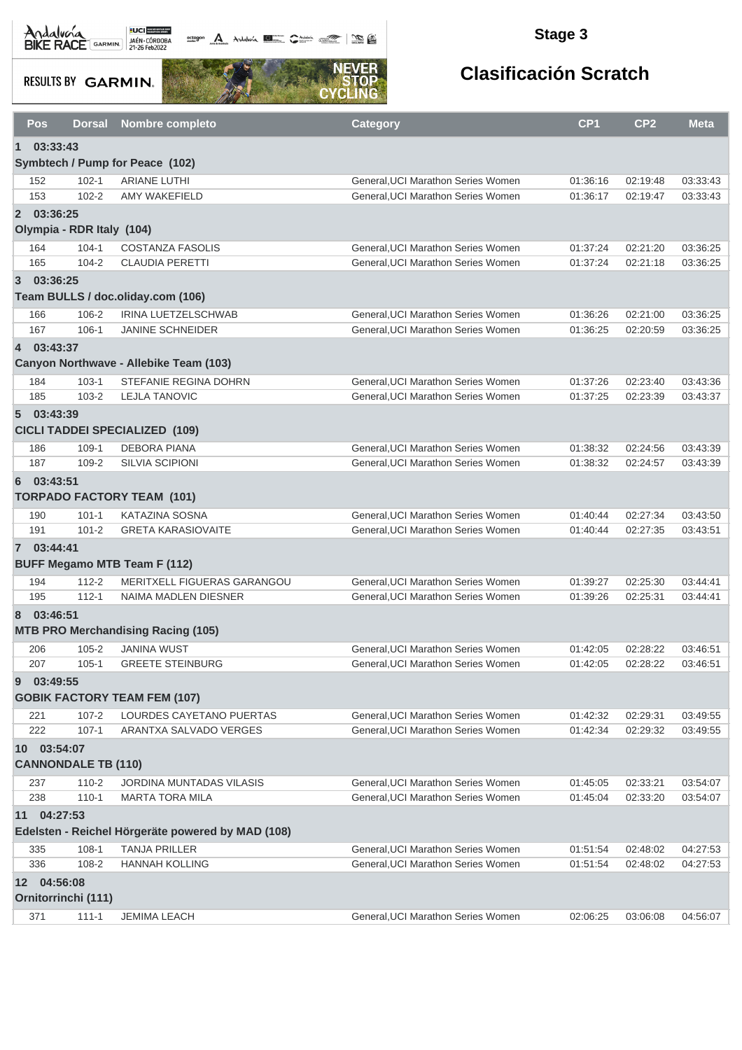Andalva BACE GARMIN AND LOCAL DEL BACK

**octogon A** Andalwia **Report Communication Communication** 

### **Stage 3**

**RESULTS BY GARMIN.** 



| Pos         | <b>Dorsal</b>              | <b>Nombre completo</b>                            | <b>Category</b>                                                          | CP <sub>1</sub>      | CP <sub>2</sub>      | <b>Meta</b>          |
|-------------|----------------------------|---------------------------------------------------|--------------------------------------------------------------------------|----------------------|----------------------|----------------------|
| $\mathbf 1$ | 03:33:43                   |                                                   |                                                                          |                      |                      |                      |
|             |                            | Symbtech / Pump for Peace (102)                   |                                                                          |                      |                      |                      |
| 152         | $102 - 1$                  | <b>ARIANE LUTHI</b>                               | General, UCI Marathon Series Women                                       | 01:36:16             | 02:19:48             | 03:33:43             |
| 153         | $102 - 2$                  | <b>AMY WAKEFIELD</b>                              | General, UCI Marathon Series Women                                       | 01:36:17             | 02:19:47             | 03:33:43             |
| 2 03:36:25  |                            |                                                   |                                                                          |                      |                      |                      |
|             | Olympia - RDR Italy (104)  |                                                   |                                                                          |                      |                      |                      |
| 164         | $104 - 1$                  | <b>COSTANZA FASOLIS</b>                           | General, UCI Marathon Series Women                                       | 01:37:24             | 02:21:20             | 03:36:25             |
| 165         | $104 - 2$                  | <b>CLAUDIA PERETTI</b>                            | General, UCI Marathon Series Women                                       | 01:37:24             | 02:21:18             | 03:36:25             |
| 3 03:36:25  |                            |                                                   |                                                                          |                      |                      |                      |
|             |                            | Team BULLS / doc.oliday.com (106)                 |                                                                          |                      |                      |                      |
|             |                            |                                                   |                                                                          |                      |                      |                      |
| 166<br>167  | 106-2<br>$106 - 1$         | IRINA LUETZELSCHWAB<br><b>JANINE SCHNEIDER</b>    | General, UCI Marathon Series Women<br>General, UCI Marathon Series Women | 01:36:26<br>01:36:25 | 02:21:00<br>02:20:59 | 03:36:25<br>03:36:25 |
|             |                            |                                                   |                                                                          |                      |                      |                      |
| 4 03:43:37  |                            |                                                   |                                                                          |                      |                      |                      |
|             |                            | Canyon Northwave - Allebike Team (103)            |                                                                          |                      |                      |                      |
| 184         | $103 - 1$                  | STEFANIE REGINA DOHRN                             | General, UCI Marathon Series Women                                       | 01:37:26             | 02:23:40             | 03:43:36             |
| 185         | $103 - 2$                  | <b>LEJLA TANOVIC</b>                              | General, UCI Marathon Series Women                                       | 01:37:25             | 02:23:39             | 03:43:37             |
| 503:43:39   |                            |                                                   |                                                                          |                      |                      |                      |
|             |                            | <b>CICLI TADDEI SPECIALIZED (109)</b>             |                                                                          |                      |                      |                      |
| 186         | $109-1$                    | <b>DEBORA PIANA</b>                               | General, UCI Marathon Series Women                                       | 01:38:32             | 02:24:56             | 03:43:39             |
| 187         | 109-2                      | <b>SILVIA SCIPIONI</b>                            | General, UCI Marathon Series Women                                       | 01:38:32             | 02:24:57             | 03:43:39             |
| 6           | 03:43:51                   |                                                   |                                                                          |                      |                      |                      |
|             |                            | <b>TORPADO FACTORY TEAM (101)</b>                 |                                                                          |                      |                      |                      |
| 190         | $101 - 1$                  | KATAZINA SOSNA                                    | General, UCI Marathon Series Women                                       | 01:40:44             | 02:27:34             | 03:43:50             |
| 191         | $101 - 2$                  | <b>GRETA KARASIOVAITE</b>                         | General, UCI Marathon Series Women                                       | 01:40:44             | 02:27:35             | 03:43:51             |
| 7 03:44:41  |                            |                                                   |                                                                          |                      |                      |                      |
|             |                            | <b>BUFF Megamo MTB Team F (112)</b>               |                                                                          |                      |                      |                      |
| 194         | $112 - 2$                  | MERITXELL FIGUERAS GARANGOU                       | General, UCI Marathon Series Women                                       | 01:39:27             | 02:25:30             | 03:44:41             |
| 195         | $112 - 1$                  | NAIMA MADLEN DIESNER                              | General, UCI Marathon Series Women                                       | 01:39:26             | 02:25:31             | 03:44:41             |
| 8           | 03:46:51                   |                                                   |                                                                          |                      |                      |                      |
|             |                            | <b>MTB PRO Merchandising Racing (105)</b>         |                                                                          |                      |                      |                      |
| 206         | $105 - 2$                  | <b>JANINA WUST</b>                                | General, UCI Marathon Series Women                                       | 01:42:05             | 02:28:22             | 03:46:51             |
| 207         | $105 - 1$                  | <b>GREETE STEINBURG</b>                           | General, UCI Marathon Series Women                                       | 01:42:05             | 02:28:22             | 03:46:51             |
| 9           | 03:49:55                   |                                                   |                                                                          |                      |                      |                      |
|             |                            | <b>GOBIK FACTORY TEAM FEM (107)</b>               |                                                                          |                      |                      |                      |
|             |                            |                                                   |                                                                          |                      |                      |                      |
| 221         | $107 - 2$                  | LOURDES CAYETANO PUERTAS                          | General, UCI Marathon Series Women<br>General.UCI Marathon Series Women  | 01:42:32             | 02:29:31             | 03:49:55             |
| 222         | $107 - 1$                  | ARANTXA SALVADO VERGES                            |                                                                          | 01:42:34             | 02:29:32             | 03:49:55             |
|             | 10 03:54:07                |                                                   |                                                                          |                      |                      |                      |
|             | <b>CANNONDALE TB (110)</b> |                                                   |                                                                          |                      |                      |                      |
| 237         | $110 - 2$                  | <b>JORDINA MUNTADAS VILASIS</b>                   | General, UCI Marathon Series Women                                       | 01:45:05             | 02:33:21             | 03:54:07             |
| 238         | $110 - 1$                  | <b>MARTA TORA MILA</b>                            | General, UCI Marathon Series Women                                       | 01:45:04             | 02:33:20             | 03:54:07             |
| 11          | 04:27:53                   |                                                   |                                                                          |                      |                      |                      |
|             |                            | Edelsten - Reichel Hörgeräte powered by MAD (108) |                                                                          |                      |                      |                      |
| 335         | $108-1$                    | <b>TANJA PRILLER</b>                              | General, UCI Marathon Series Women                                       | 01:51:54             | 02:48:02             | 04:27:53             |
| 336         | 108-2                      | <b>HANNAH KOLLING</b>                             | General, UCI Marathon Series Women                                       | 01:51:54             | 02:48:02             | 04:27:53             |
|             | 12 04:56:08                |                                                   |                                                                          |                      |                      |                      |
|             | Ornitorrinchi (111)        |                                                   |                                                                          |                      |                      |                      |
| 371         | $111 - 1$                  | JEMIMA LEACH                                      | General, UCI Marathon Series Women                                       | 02:06:25             | 03:06:08             | 04:56:07             |